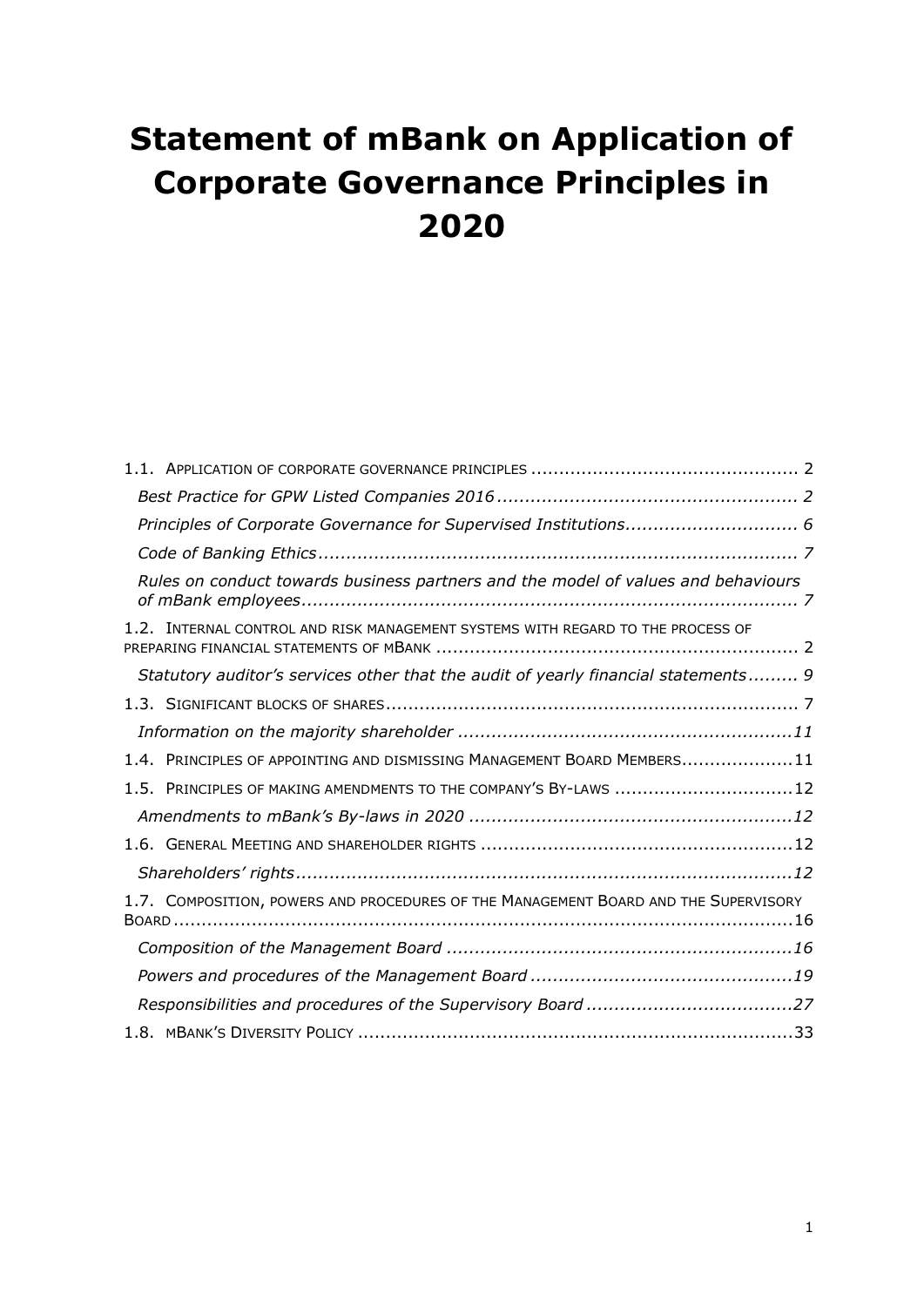# <span id="page-0-0"></span>**Statement of mBank on Application of Corporate Governance Principles in 2020**

| Principles of Corporate Governance for Supervised Institutions 6                    |
|-------------------------------------------------------------------------------------|
|                                                                                     |
| Rules on conduct towards business partners and the model of values and behaviours   |
| 1.2. INTERNAL CONTROL AND RISK MANAGEMENT SYSTEMS WITH REGARD TO THE PROCESS OF     |
| Statutory auditor's services other that the audit of yearly financial statements 9  |
|                                                                                     |
|                                                                                     |
| 1.4. PRINCIPLES OF APPOINTING AND DISMISSING MANAGEMENT BOARD MEMBERS11             |
| 1.5. PRINCIPLES OF MAKING AMENDMENTS TO THE COMPANY'S BY-LAWS 12                    |
|                                                                                     |
|                                                                                     |
|                                                                                     |
| 1.7. COMPOSITION, POWERS AND PROCEDURES OF THE MANAGEMENT BOARD AND THE SUPERVISORY |
|                                                                                     |
|                                                                                     |
|                                                                                     |
|                                                                                     |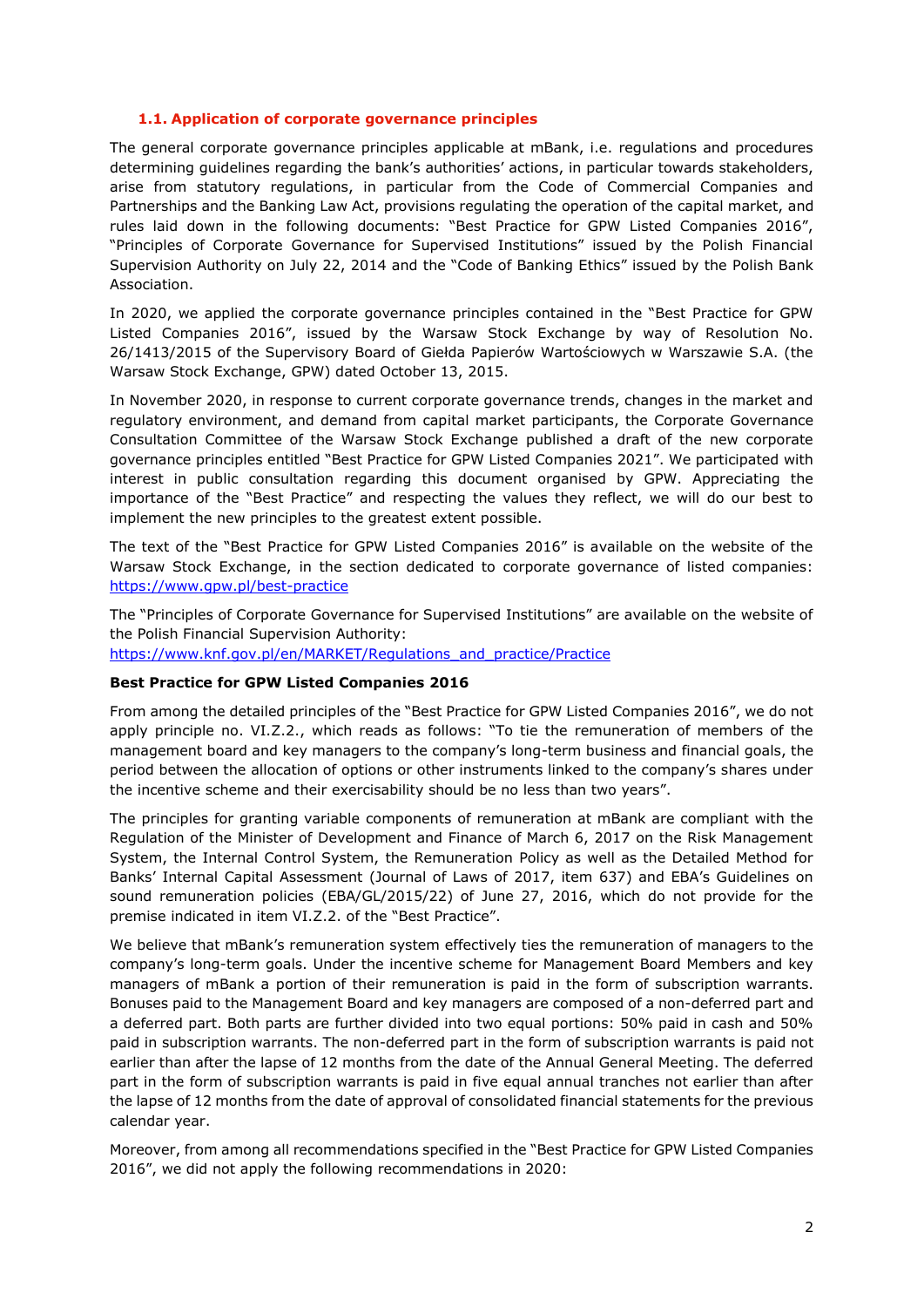## **1.1. Application of corporate governance principles**

<span id="page-1-2"></span><span id="page-1-0"></span>The general corporate governance principles applicable at mBank, i.e. regulations and procedures determining guidelines regarding the bank's authorities' actions, in particular towards stakeholders, arise from statutory regulations, in particular from the Code of Commercial Companies and Partnerships and the Banking Law Act, provisions regulating the operation of the capital market, and rules laid down in the following documents: "Best Practice for GPW Listed Companies 2016", "Principles of Corporate Governance for Supervised Institutions" issued by the Polish Financial Supervision Authority on July 22, 2014 and the "Code of Banking Ethics" issued by the Polish Bank Association.

In 2020, we applied the corporate governance principles contained in the "Best Practice for GPW Listed Companies 2016", issued by the Warsaw Stock Exchange by way of Resolution No. 26/1413/2015 of the Supervisory Board of Giełda Papierów Wartościowych w Warszawie S.A. (the Warsaw Stock Exchange, GPW) dated October 13, 2015.

In November 2020, in response to current corporate governance trends, changes in the market and regulatory environment, and demand from capital market participants, the Corporate Governance Consultation Committee of the Warsaw Stock Exchange published a draft of the new corporate governance principles entitled "Best Practice for GPW Listed Companies 2021". We participated with interest in public consultation regarding this document organised by GPW. Appreciating the importance of the "Best Practice" and respecting the values they reflect, we will do our best to implement the new principles to the greatest extent possible.

The text of the "Best Practice for GPW Listed Companies 2016" is available on the website of the Warsaw Stock Exchange, in the section dedicated to corporate governance of listed companies: <https://www.gpw.pl/best-practice>

The "Principles of Corporate Governance for Supervised Institutions" are available on the website of the Polish Financial Supervision Authority: [https://www.knf.gov.pl/en/MARKET/Regulations\\_and\\_practice/Practice](https://www.knf.gov.pl/en/MARKET/Regulations_and_practice/Practice)

# <span id="page-1-1"></span>**Best Practice for GPW Listed Companies 2016**

From among the detailed principles of the "Best Practice for GPW Listed Companies 2016", we do not apply principle no. VI.Z.2., which reads as follows: "To tie the remuneration of members of the management board and key managers to the company's long-term business and financial goals, the period between the allocation of options or other instruments linked to the company's shares under the incentive scheme and their exercisability should be no less than two years".

The principles for granting variable components of remuneration at mBank are compliant with the Regulation of the Minister of Development and Finance of March 6, 2017 on the Risk Management System, the Internal Control System, the Remuneration Policy as well as the Detailed Method for Banks' Internal Capital Assessment (Journal of Laws of 2017, item 637) and EBA's Guidelines on sound remuneration policies (EBA/GL/2015/22) of June 27, 2016, which do not provide for the premise indicated in item VI.Z.2. of the "Best Practice".

We believe that mBank's remuneration system effectively ties the remuneration of managers to the company's long-term goals. Under the incentive scheme for Management Board Members and key managers of mBank a portion of their remuneration is paid in the form of subscription warrants. Bonuses paid to the Management Board and key managers are composed of a non-deferred part and a deferred part. Both parts are further divided into two equal portions: 50% paid in cash and 50% paid in subscription warrants. The non-deferred part in the form of subscription warrants is paid not earlier than after the lapse of 12 months from the date of the Annual General Meeting. The deferred part in the form of subscription warrants is paid in five equal annual tranches not earlier than after the lapse of 12 months from the date of approval of consolidated financial statements for the previous calendar year.

Moreover, from among all recommendations specified in the "Best Practice for GPW Listed Companies 2016", we did not apply the following recommendations in 2020: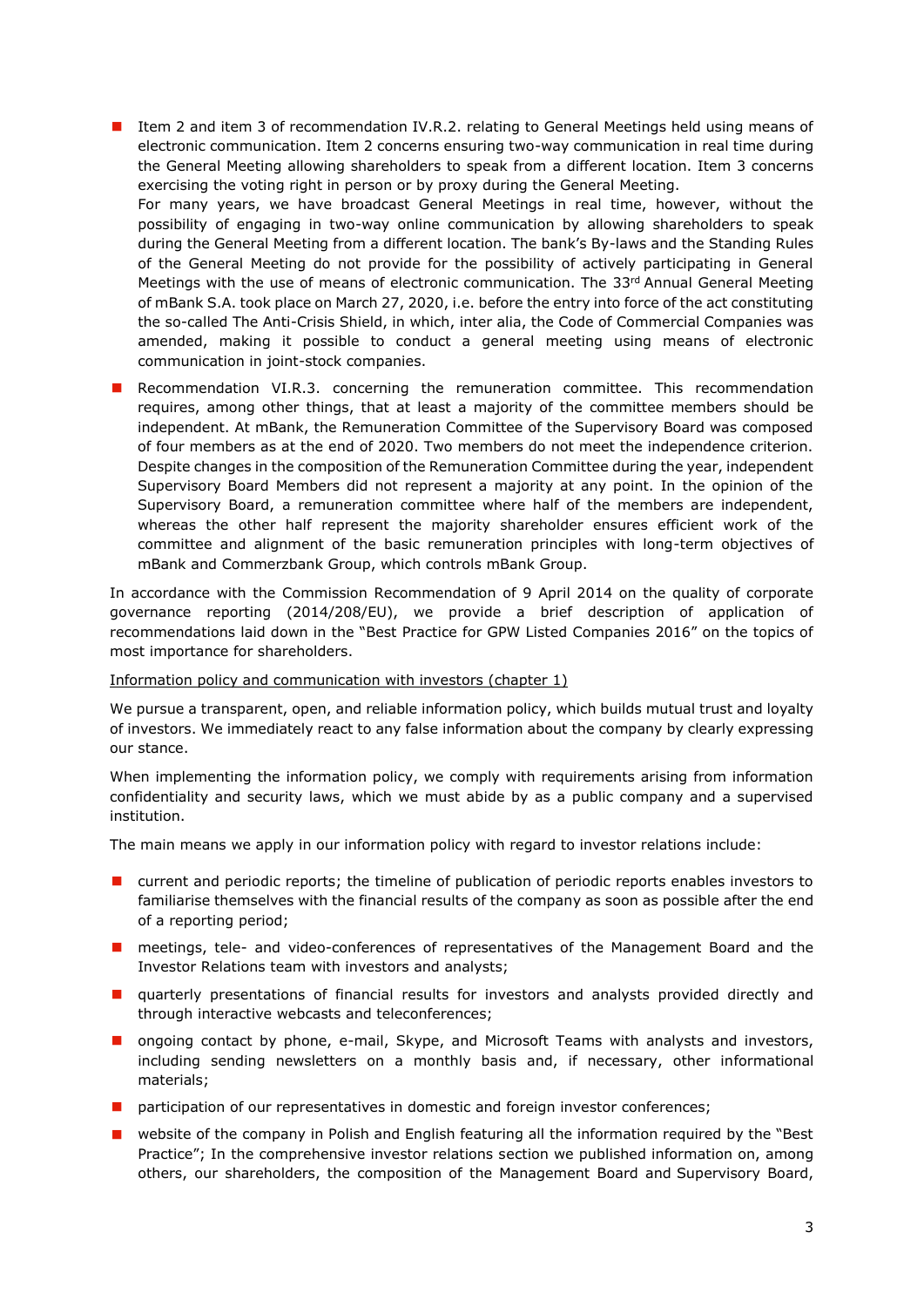- Item 2 and item 3 of recommendation IV.R.2. relating to General Meetings held using means of electronic communication. Item 2 concerns ensuring two-way communication in real time during the General Meeting allowing shareholders to speak from a different location. Item 3 concerns exercising the voting right in person or by proxy during the General Meeting. For many years, we have broadcast General Meetings in real time, however, without the possibility of engaging in two-way online communication by allowing shareholders to speak during the General Meeting from a different location. The bank's By-laws and the Standing Rules of the General Meeting do not provide for the possibility of actively participating in General Meetings with the use of means of electronic communication. The  $33<sup>rd</sup>$  Annual General Meeting of mBank S.A. took place on March 27, 2020, i.e. before the entry into force of the act constituting the so-called The Anti-Crisis Shield, in which, inter alia, the Code of Commercial Companies was amended, making it possible to conduct a general meeting using means of electronic communication in joint-stock companies.
- Recommendation VI.R.3. concerning the remuneration committee. This recommendation requires, among other things, that at least a majority of the committee members should be independent. At mBank, the Remuneration Committee of the Supervisory Board was composed of four members as at the end of 2020. Two members do not meet the independence criterion. Despite changes in the composition of the Remuneration Committee during the year, independent Supervisory Board Members did not represent a majority at any point. In the opinion of the Supervisory Board, a remuneration committee where half of the members are independent, whereas the other half represent the majority shareholder ensures efficient work of the committee and alignment of the basic remuneration principles with long-term objectives of mBank and Commerzbank Group, which controls mBank Group.

In accordance with the Commission Recommendation of 9 April 2014 on the quality of corporate governance reporting (2014/208/EU), we provide a brief description of application of recommendations laid down in the "Best Practice for GPW Listed Companies 2016" on the topics of most importance for shareholders.

## Information policy and communication with investors (chapter 1)

We pursue a transparent, open, and reliable information policy, which builds mutual trust and loyalty of investors. We immediately react to any false information about the company by clearly expressing our stance.

When implementing the information policy, we comply with requirements arising from information confidentiality and security laws, which we must abide by as a public company and a supervised institution.

The main means we apply in our information policy with regard to investor relations include:

- $\blacksquare$  current and periodic reports; the timeline of publication of periodic reports enables investors to familiarise themselves with the financial results of the company as soon as possible after the end of a reporting period;
- **n** meetings, tele- and video-conferences of representatives of the Management Board and the Investor Relations team with investors and analysts;
- **u** quarterly presentations of financial results for investors and analysts provided directly and through interactive webcasts and teleconferences;
- ongoing contact by phone, e-mail, Skype, and Microsoft Teams with analysts and investors, including sending newsletters on a monthly basis and, if necessary, other informational materials;
- **n** participation of our representatives in domestic and foreign investor conferences;
- **E** website of the company in Polish and English featuring all the information required by the "Best Practice"; In the comprehensive investor relations section we published information on, among others, our shareholders, the composition of the Management Board and Supervisory Board,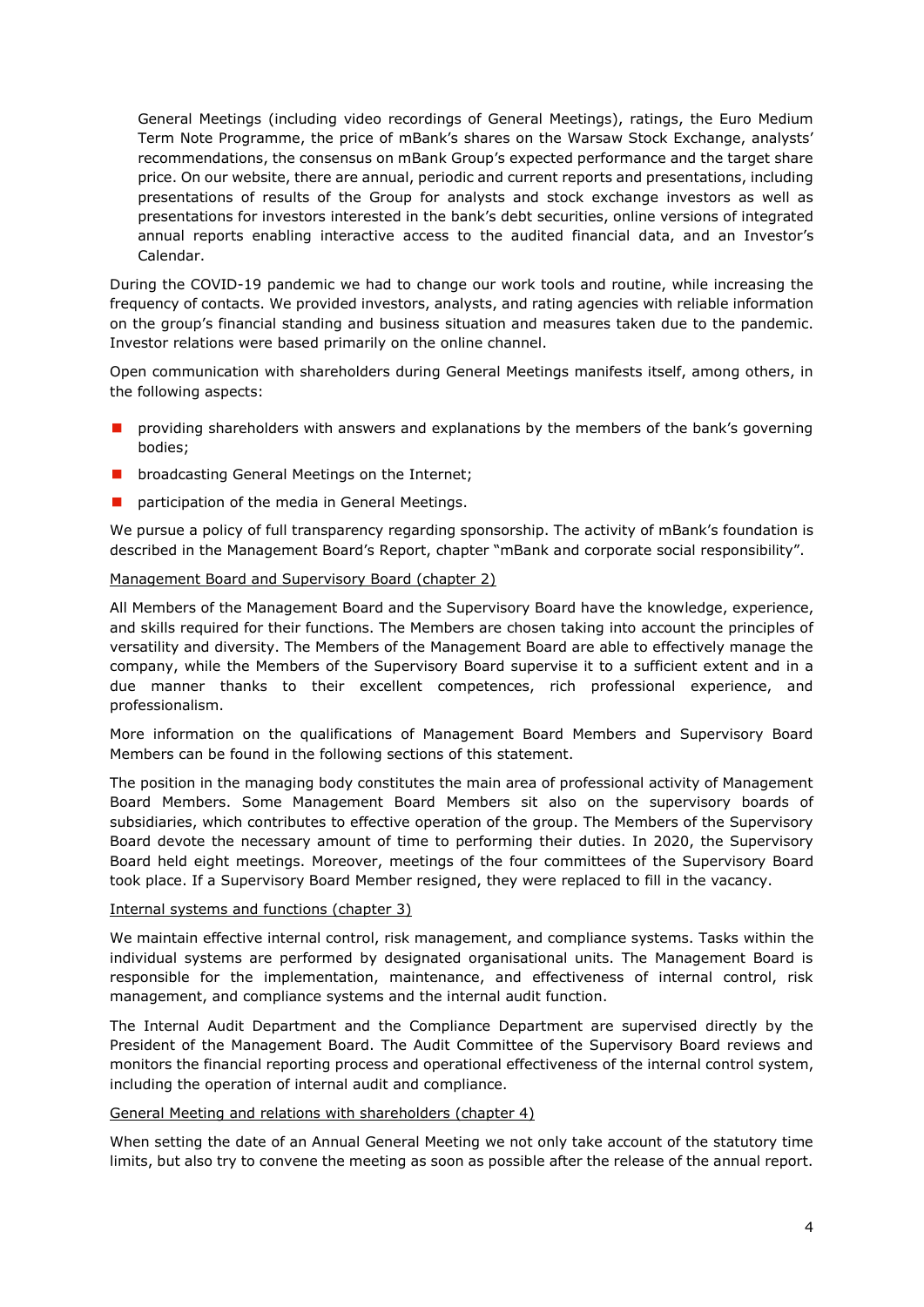General Meetings (including video recordings of General Meetings), ratings, the Euro Medium Term Note Programme, the price of mBank's shares on the Warsaw Stock Exchange, analysts' recommendations, the consensus on mBank Group's expected performance and the target share price. On our website, there are annual, periodic and current reports and presentations, including presentations of results of the Group for analysts and stock exchange investors as well as presentations for investors interested in the bank's debt securities, online versions of integrated annual reports enabling interactive access to the audited financial data, and an Investor's Calendar.

During the COVID-19 pandemic we had to change our work tools and routine, while increasing the frequency of contacts. We provided investors, analysts, and rating agencies with reliable information on the group's financial standing and business situation and measures taken due to the pandemic. Investor relations were based primarily on the online channel.

Open communication with shareholders during General Meetings manifests itself, among others, in the following aspects:

- **n** providing shareholders with answers and explanations by the members of the bank's governing bodies;
- broadcasting General Meetings on the Internet;
- **P** participation of the media in General Meetings.

We pursue a policy of full transparency regarding sponsorship. The activity of mBank's foundation is described in the Management Board's Report, chapter "mBank and corporate social responsibility".

### Management Board and Supervisory Board (chapter 2)

All Members of the Management Board and the Supervisory Board have the knowledge, experience, and skills required for their functions. The Members are chosen taking into account the principles of versatility and diversity. The Members of the Management Board are able to effectively manage the company, while the Members of the Supervisory Board supervise it to a sufficient extent and in a due manner thanks to their excellent competences, rich professional experience, and professionalism.

More information on the qualifications of Management Board Members and Supervisory Board Members can be found in the following sections of this statement.

The position in the managing body constitutes the main area of professional activity of Management Board Members. Some Management Board Members sit also on the supervisory boards of subsidiaries, which contributes to effective operation of the group. The Members of the Supervisory Board devote the necessary amount of time to performing their duties. In 2020, the Supervisory Board held eight meetings. Moreover, meetings of the four committees of the Supervisory Board took place. If a Supervisory Board Member resigned, they were replaced to fill in the vacancy.

#### Internal systems and functions (chapter 3)

We maintain effective internal control, risk management, and compliance systems. Tasks within the individual systems are performed by designated organisational units. The Management Board is responsible for the implementation, maintenance, and effectiveness of internal control, risk management, and compliance systems and the internal audit function.

The Internal Audit Department and the Compliance Department are supervised directly by the President of the Management Board. The Audit Committee of the Supervisory Board reviews and monitors the financial reporting process and operational effectiveness of the internal control system, including the operation of internal audit and compliance.

#### General Meeting and relations with shareholders (chapter 4)

When setting the date of an Annual General Meeting we not only take account of the statutory time limits, but also try to convene the meeting as soon as possible after the release of the annual report.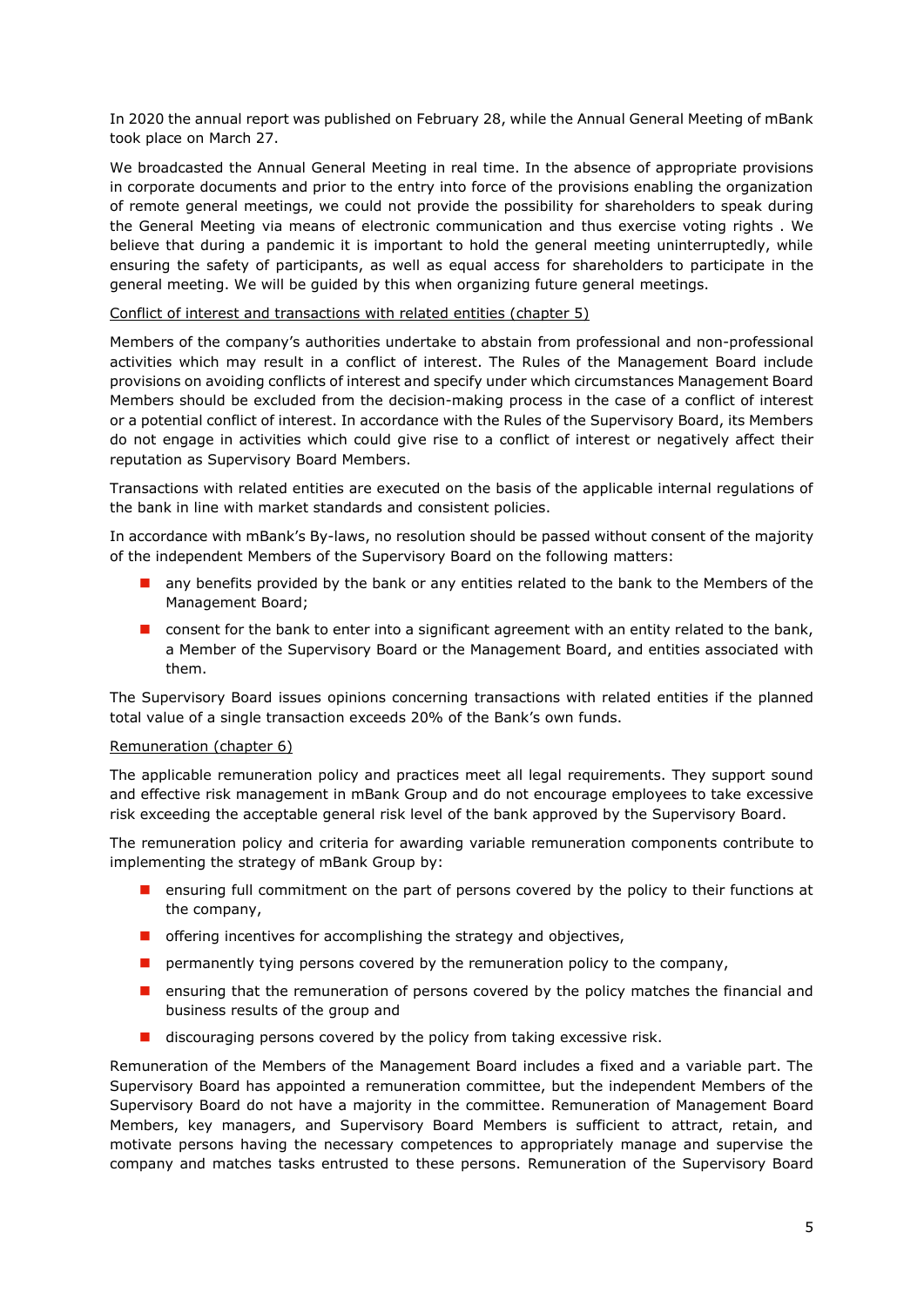In 2020 the annual report was published on February 28, while the Annual General Meeting of mBank took place on March 27.

We broadcasted the Annual General Meeting in real time. In the absence of appropriate provisions in corporate documents and prior to the entry into force of the provisions enabling the organization of remote general meetings, we could not provide the possibility for shareholders to speak during the General Meeting via means of electronic communication and thus exercise voting rights . We believe that during a pandemic it is important to hold the general meeting uninterruptedly, while ensuring the safety of participants, as well as equal access for shareholders to participate in the general meeting. We will be guided by this when organizing future general meetings.

## Conflict of interest and transactions with related entities (chapter 5)

Members of the company's authorities undertake to abstain from professional and non-professional activities which may result in a conflict of interest. The Rules of the Management Board include provisions on avoiding conflicts of interest and specify under which circumstances Management Board Members should be excluded from the decision-making process in the case of a conflict of interest or a potential conflict of interest. In accordance with the Rules of the Supervisory Board, its Members do not engage in activities which could give rise to a conflict of interest or negatively affect their reputation as Supervisory Board Members.

Transactions with related entities are executed on the basis of the applicable internal regulations of the bank in line with market standards and consistent policies.

In accordance with mBank's By-laws, no resolution should be passed without consent of the majority of the independent Members of the Supervisory Board on the following matters:

- any benefits provided by the bank or any entities related to the bank to the Members of the Management Board;
- **n** consent for the bank to enter into a significant agreement with an entity related to the bank, a Member of the Supervisory Board or the Management Board, and entities associated with them.

The Supervisory Board issues opinions concerning transactions with related entities if the planned total value of a single transaction exceeds 20% of the Bank's own funds.

## Remuneration (chapter 6)

The applicable remuneration policy and practices meet all legal requirements. They support sound and effective risk management in mBank Group and do not encourage employees to take excessive risk exceeding the acceptable general risk level of the bank approved by the Supervisory Board.

The remuneration policy and criteria for awarding variable remuneration components contribute to implementing the strategy of mBank Group by:

- **E** ensuring full commitment on the part of persons covered by the policy to their functions at the company,
- $\blacksquare$  offering incentives for accomplishing the strategy and objectives,
- **P** permanently tying persons covered by the remuneration policy to the company,
- **E** ensuring that the remuneration of persons covered by the policy matches the financial and business results of the group and
- $\blacksquare$  discouraging persons covered by the policy from taking excessive risk.

Remuneration of the Members of the Management Board includes a fixed and a variable part. The Supervisory Board has appointed a remuneration committee, but the independent Members of the Supervisory Board do not have a majority in the committee. Remuneration of Management Board Members, key managers, and Supervisory Board Members is sufficient to attract, retain, and motivate persons having the necessary competences to appropriately manage and supervise the company and matches tasks entrusted to these persons. Remuneration of the Supervisory Board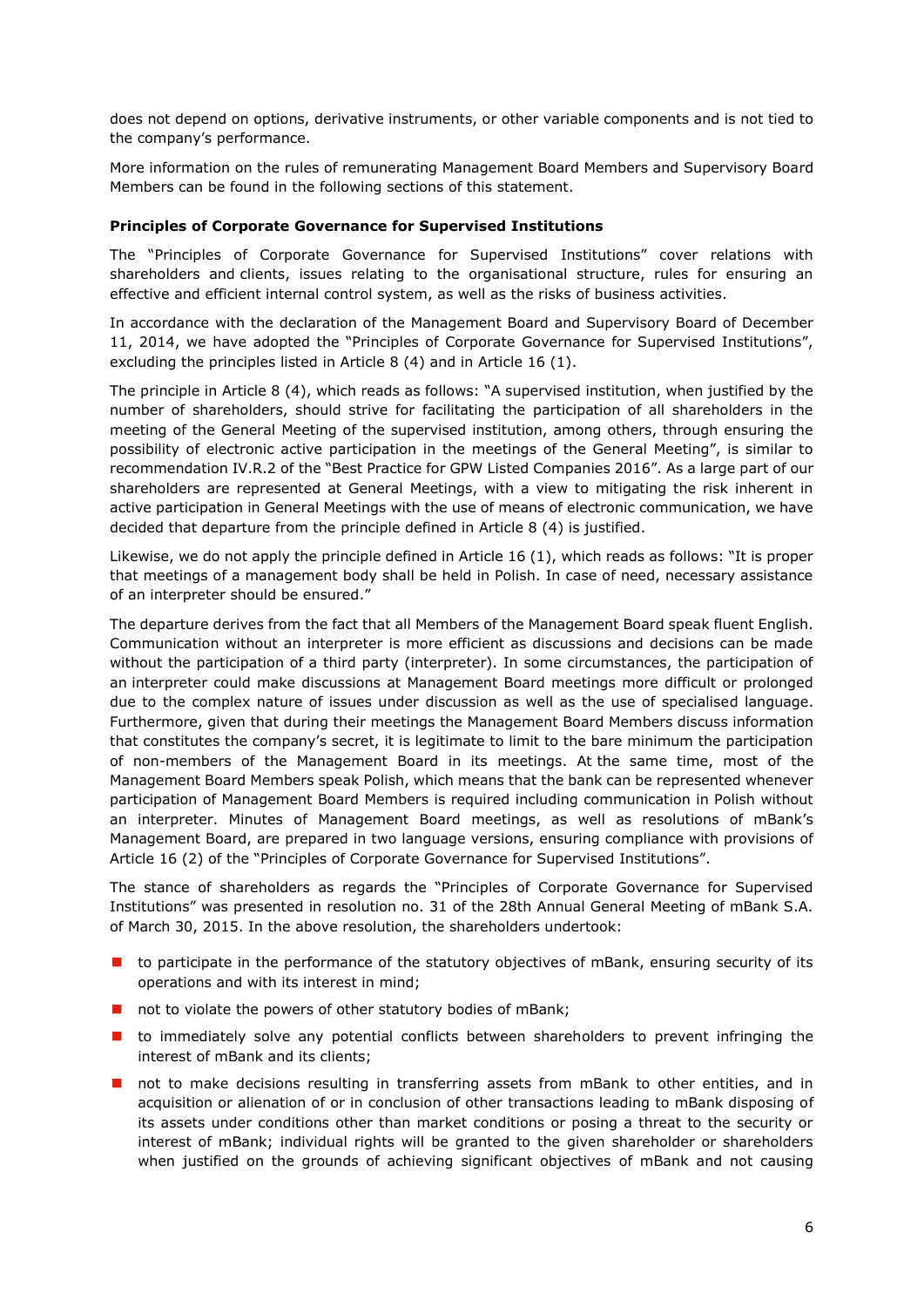does not depend on options, derivative instruments, or other variable components and is not tied to the company's performance.

More information on the rules of remunerating Management Board Members and Supervisory Board Members can be found in the following sections of this statement.

## <span id="page-5-0"></span>**Principles of Corporate Governance for Supervised Institutions**

The "Principles of Corporate Governance for Supervised Institutions" cover relations with shareholders and clients, issues relating to the organisational structure, rules for ensuring an effective and efficient internal control system, as well as the risks of business activities.

In accordance with the declaration of the Management Board and Supervisory Board of December 11, 2014, we have adopted the "Principles of Corporate Governance for Supervised Institutions", excluding the principles listed in Article 8 (4) and in Article 16 (1).

The principle in Article 8 (4), which reads as follows: "A supervised institution, when justified by the number of shareholders, should strive for facilitating the participation of all shareholders in the meeting of the General Meeting of the supervised institution, among others, through ensuring the possibility of electronic active participation in the meetings of the General Meeting", is similar to recommendation IV.R.2 of the "Best Practice for GPW Listed Companies 2016". As a large part of our shareholders are represented at General Meetings, with a view to mitigating the risk inherent in active participation in General Meetings with the use of means of electronic communication, we have decided that departure from the principle defined in Article 8 (4) is justified.

Likewise, we do not apply the principle defined in Article 16 (1), which reads as follows: "It is proper that meetings of a management body shall be held in Polish. In case of need, necessary assistance of an interpreter should be ensured."

The departure derives from the fact that all Members of the Management Board speak fluent English. Communication without an interpreter is more efficient as discussions and decisions can be made without the participation of a third party (interpreter). In some circumstances, the participation of an interpreter could make discussions at Management Board meetings more difficult or prolonged due to the complex nature of issues under discussion as well as the use of specialised language. Furthermore, given that during their meetings the Management Board Members discuss information that constitutes the company's secret, it is legitimate to limit to the bare minimum the participation of non-members of the Management Board in its meetings. At the same time, most of the Management Board Members speak Polish, which means that the bank can be represented whenever participation of Management Board Members is required including communication in Polish without an interpreter. Minutes of Management Board meetings, as well as resolutions of mBank's Management Board, are prepared in two language versions, ensuring compliance with provisions of Article 16 (2) of the "Principles of Corporate Governance for Supervised Institutions".

The stance of shareholders as regards the "Principles of Corporate Governance for Supervised Institutions" was presented in resolution no. 31 of the 28th Annual General Meeting of mBank S.A. of March 30, 2015. In the above resolution, the shareholders undertook:

- $\blacksquare$  to participate in the performance of the statutory objectives of mBank, ensuring security of its operations and with its interest in mind;
- not to violate the powers of other statutory bodies of mBank;
- **t** to immediately solve any potential conflicts between shareholders to prevent infringing the interest of mBank and its clients;
- **n** not to make decisions resulting in transferring assets from mBank to other entities, and in acquisition or alienation of or in conclusion of other transactions leading to mBank disposing of its assets under conditions other than market conditions or posing a threat to the security or interest of mBank; individual rights will be granted to the given shareholder or shareholders when justified on the grounds of achieving significant objectives of mBank and not causing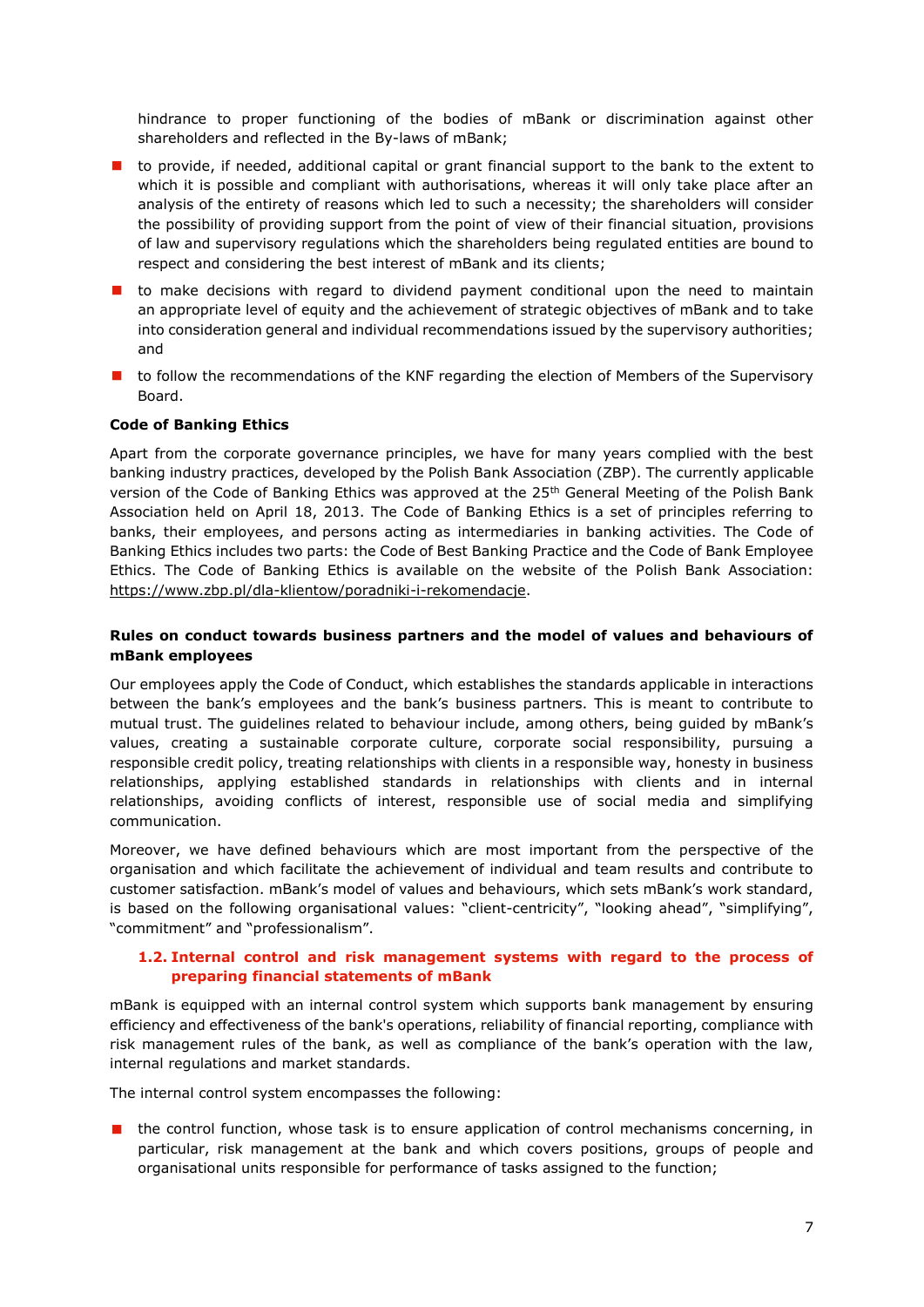hindrance to proper functioning of the bodies of mBank or discrimination against other shareholders and reflected in the By-laws of mBank;

- $\blacksquare$  to provide, if needed, additional capital or grant financial support to the bank to the extent to which it is possible and compliant with authorisations, whereas it will only take place after an analysis of the entirety of reasons which led to such a necessity; the shareholders will consider the possibility of providing support from the point of view of their financial situation, provisions of law and supervisory regulations which the shareholders being regulated entities are bound to respect and considering the best interest of mBank and its clients;
- $\blacksquare$  to make decisions with regard to dividend payment conditional upon the need to maintain an appropriate level of equity and the achievement of strategic objectives of mBank and to take into consideration general and individual recommendations issued by the supervisory authorities; and
- **th** to follow the recommendations of the KNF regarding the election of Members of the Supervisory Board.

# <span id="page-6-0"></span>**Code of Banking Ethics**

Apart from the corporate governance principles, we have for many years complied with the best banking industry practices, developed by the Polish Bank Association (ZBP). The currently applicable version of the Code of Banking Ethics was approved at the 25<sup>th</sup> General Meeting of the Polish Bank Association held on April 18, 2013. The Code of Banking Ethics is a set of principles referring to banks, their employees, and persons acting as intermediaries in banking activities. The Code of Banking Ethics includes two parts: the Code of Best Banking Practice and the Code of Bank Employee Ethics. The Code of Banking Ethics is available on the website of the Polish Bank Association: [https://www.zbp.pl/dla-klientow/poradniki-i-rekomendacje.](https://www.zbp.pl/dla-klientow/poradniki-i-rekomendacje)

# <span id="page-6-1"></span>**Rules on conduct towards business partners and the model of values and behaviours of mBank employees**

Our employees apply the Code of Conduct, which establishes the standards applicable in interactions between the bank's employees and the bank's business partners. This is meant to contribute to mutual trust. The guidelines related to behaviour include, among others, being guided by mBank's values, creating a sustainable corporate culture, corporate social responsibility, pursuing a responsible credit policy, treating relationships with clients in a responsible way, honesty in business relationships, applying established standards in relationships with clients and in internal relationships, avoiding conflicts of interest, responsible use of social media and simplifying communication.

Moreover, we have defined behaviours which are most important from the perspective of the organisation and which facilitate the achievement of individual and team results and contribute to customer satisfaction. mBank's model of values and behaviours, which sets mBank's work standard, is based on the following organisational values: "client-centricity", "looking ahead", "simplifying", "commitment" and "professionalism".

## **1.2. Internal control and risk management systems with regard to the process of preparing financial statements of mBank**

<span id="page-6-2"></span>mBank is equipped with an internal control system which supports bank management by ensuring efficiency and effectiveness of the bank's operations, reliability of financial reporting, compliance with risk management rules of the bank, as well as compliance of the bank's operation with the law, internal regulations and market standards.

The internal control system encompasses the following:

 the control function, whose task is to ensure application of control mechanisms concerning, in particular, risk management at the bank and which covers positions, groups of people and organisational units responsible for performance of tasks assigned to the function;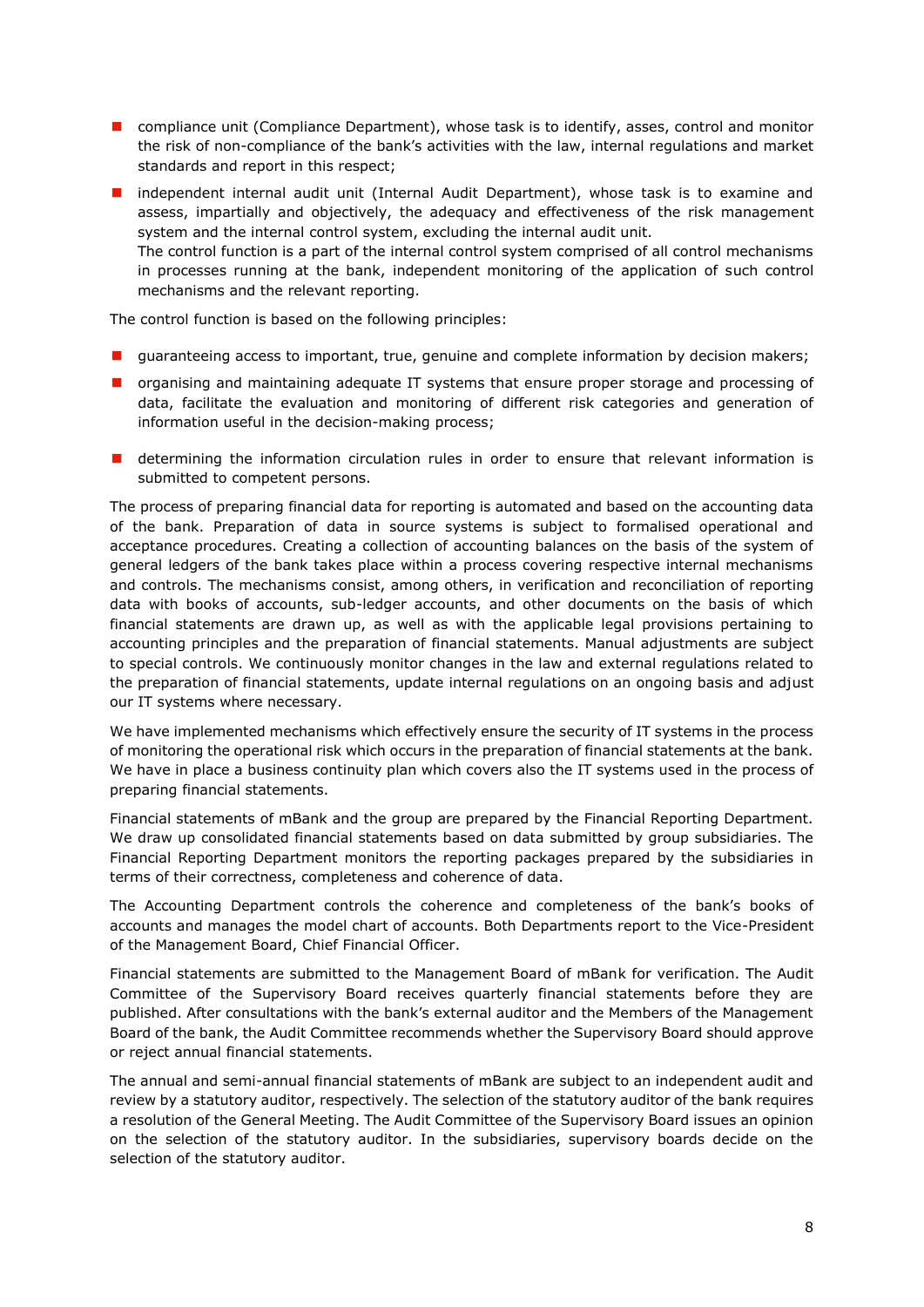**n** compliance unit (Compliance Department), whose task is to identify, asses, control and monitor the risk of non-compliance of the bank's activities with the law, internal regulations and market standards and report in this respect;

**I** independent internal audit unit (Internal Audit Department), whose task is to examine and assess, impartially and objectively, the adequacy and effectiveness of the risk management system and the internal control system, excluding the internal audit unit. The control function is a part of the internal control system comprised of all control mechanisms in processes running at the bank, independent monitoring of the application of such control mechanisms and the relevant reporting.

The control function is based on the following principles:

- **I** guaranteeing access to important, true, genuine and complete information by decision makers;
- organising and maintaining adequate IT systems that ensure proper storage and processing of data, facilitate the evaluation and monitoring of different risk categories and generation of information useful in the decision-making process;
- **D** determining the information circulation rules in order to ensure that relevant information is submitted to competent persons.

The process of preparing financial data for reporting is automated and based on the accounting data of the bank. Preparation of data in source systems is subject to formalised operational and acceptance procedures. Creating a collection of accounting balances on the basis of the system of general ledgers of the bank takes place within a process covering respective internal mechanisms and controls. The mechanisms consist, among others, in verification and reconciliation of reporting data with books of accounts, sub-ledger accounts, and other documents on the basis of which financial statements are drawn up, as well as with the applicable legal provisions pertaining to accounting principles and the preparation of financial statements. Manual adjustments are subject to special controls. We continuously monitor changes in the law and external regulations related to the preparation of financial statements, update internal regulations on an ongoing basis and adjust our IT systems where necessary.

We have implemented mechanisms which effectively ensure the security of IT systems in the process of monitoring the operational risk which occurs in the preparation of financial statements at the bank. We have in place a business continuity plan which covers also the IT systems used in the process of preparing financial statements.

Financial statements of mBank and the group are prepared by the Financial Reporting Department. We draw up consolidated financial statements based on data submitted by group subsidiaries. The Financial Reporting Department monitors the reporting packages prepared by the subsidiaries in terms of their correctness, completeness and coherence of data.

The Accounting Department controls the coherence and completeness of the bank's books of accounts and manages the model chart of accounts. Both Departments report to the Vice-President of the Management Board, Chief Financial Officer.

Financial statements are submitted to the Management Board of mBank for verification. The Audit Committee of the Supervisory Board receives quarterly financial statements before they are published. After consultations with the bank's external auditor and the Members of the Management Board of the bank, the Audit Committee recommends whether the Supervisory Board should approve or reject annual financial statements.

The annual and semi-annual financial statements of mBank are subject to an independent audit and review by a statutory auditor, respectively. The selection of the statutory auditor of the bank requires a resolution of the General Meeting. The Audit Committee of the Supervisory Board issues an opinion on the selection of the statutory auditor. In the subsidiaries, supervisory boards decide on the selection of the statutory auditor.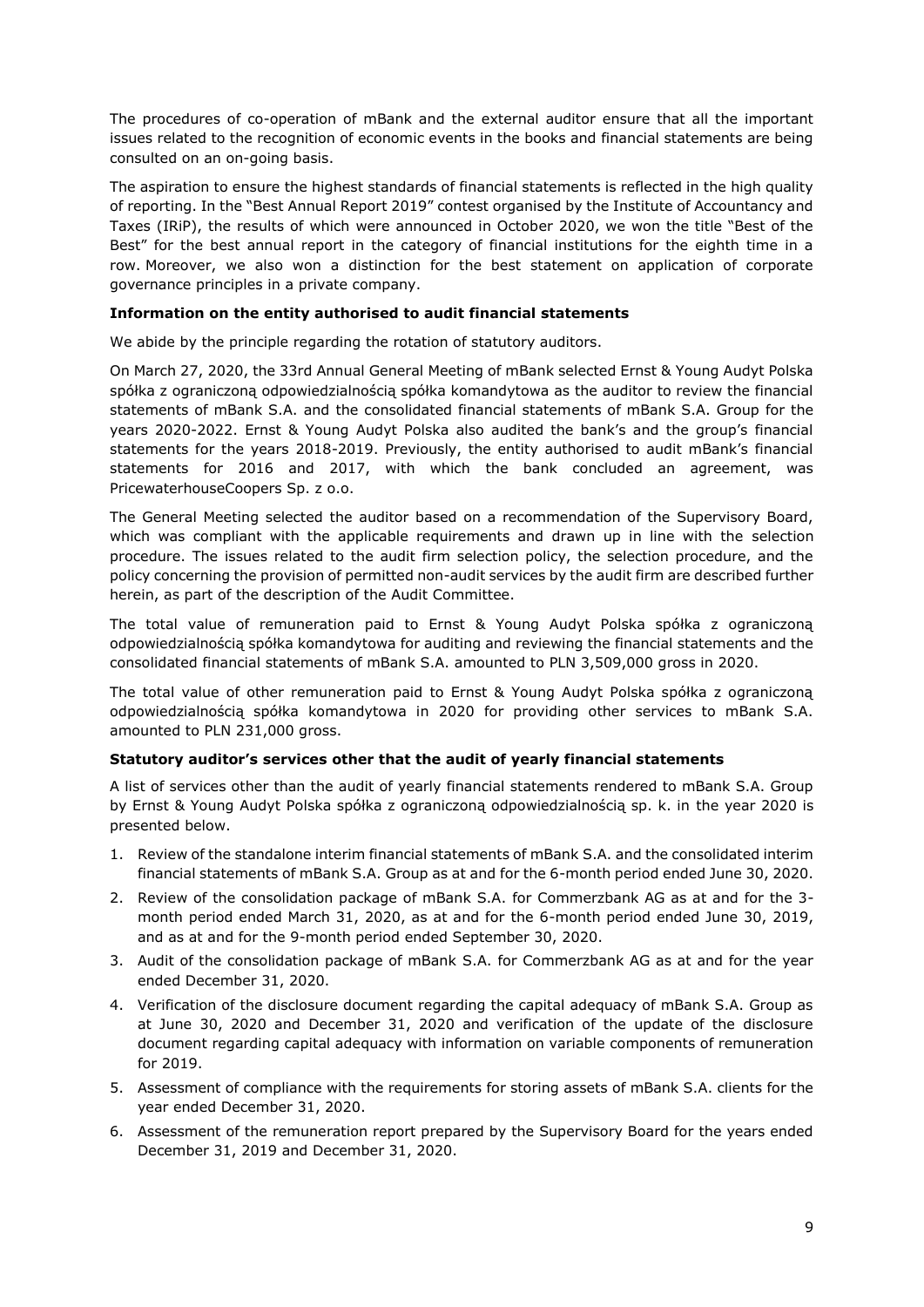The procedures of co-operation of mBank and the external auditor ensure that all the important issues related to the recognition of economic events in the books and financial statements are being consulted on an on-going basis.

The aspiration to ensure the highest standards of financial statements is reflected in the high quality of reporting. In the "Best Annual Report 2019" contest organised by the Institute of Accountancy and Taxes (IRiP), the results of which were announced in October 2020, we won the title "Best of the Best" for the best annual report in the category of financial institutions for the eighth time in a row. Moreover, we also won a distinction for the best statement on application of corporate governance principles in a private company.

# **Information on the entity authorised to audit financial statements**

We abide by the principle regarding the rotation of statutory auditors.

On March 27, 2020, the 33rd Annual General Meeting of mBank selected Ernst & Young Audyt Polska spółka z ograniczoną odpowiedzialnością spółka komandytowa as the auditor to review the financial statements of mBank S.A. and the consolidated financial statements of mBank S.A. Group for the years 2020-2022. Ernst & Young Audyt Polska also audited the bank's and the group's financial statements for the years 2018-2019. Previously, the entity authorised to audit mBank's financial statements for 2016 and 2017, with which the bank concluded an agreement, was PricewaterhouseCoopers Sp. z o.o.

The General Meeting selected the auditor based on a recommendation of the Supervisory Board, which was compliant with the applicable requirements and drawn up in line with the selection procedure. The issues related to the audit firm selection policy, the selection procedure, and the policy concerning the provision of permitted non-audit services by the audit firm are described further herein, as part of the description of the Audit Committee.

The total value of remuneration paid to Ernst & Young Audyt Polska spółka z ograniczoną odpowiedzialnością spółka komandytowa for auditing and reviewing the financial statements and the consolidated financial statements of mBank S.A. amounted to PLN 3,509,000 gross in 2020.

The total value of other remuneration paid to Ernst & Young Audyt Polska spółka z ograniczoną odpowiedzialnością spółka komandytowa in 2020 for providing other services to mBank S.A. amounted to PLN 231,000 gross.

# <span id="page-8-0"></span>**Statutory auditor's services other that the audit of yearly financial statements**

A list of services other than the audit of yearly financial statements rendered to mBank S.A. Group by Ernst & Young Audyt Polska spółka z ograniczoną odpowiedzialnością sp. k. in the year 2020 is presented below.

- 1. Review of the standalone interim financial statements of mBank S.A. and the consolidated interim financial statements of mBank S.A. Group as at and for the 6-month period ended June 30, 2020.
- 2. Review of the consolidation package of mBank S.A. for Commerzbank AG as at and for the 3 month period ended March 31, 2020, as at and for the 6-month period ended June 30, 2019, and as at and for the 9-month period ended September 30, 2020.
- 3. Audit of the consolidation package of mBank S.A. for Commerzbank AG as at and for the year ended December 31, 2020.
- 4. Verification of the disclosure document regarding the capital adequacy of mBank S.A. Group as at June 30, 2020 and December 31, 2020 and verification of the update of the disclosure document regarding capital adequacy with information on variable components of remuneration for 2019.
- 5. Assessment of compliance with the requirements for storing assets of mBank S.A. clients for the year ended December 31, 2020.
- 6. Assessment of the remuneration report prepared by the Supervisory Board for the years ended December 31, 2019 and December 31, 2020.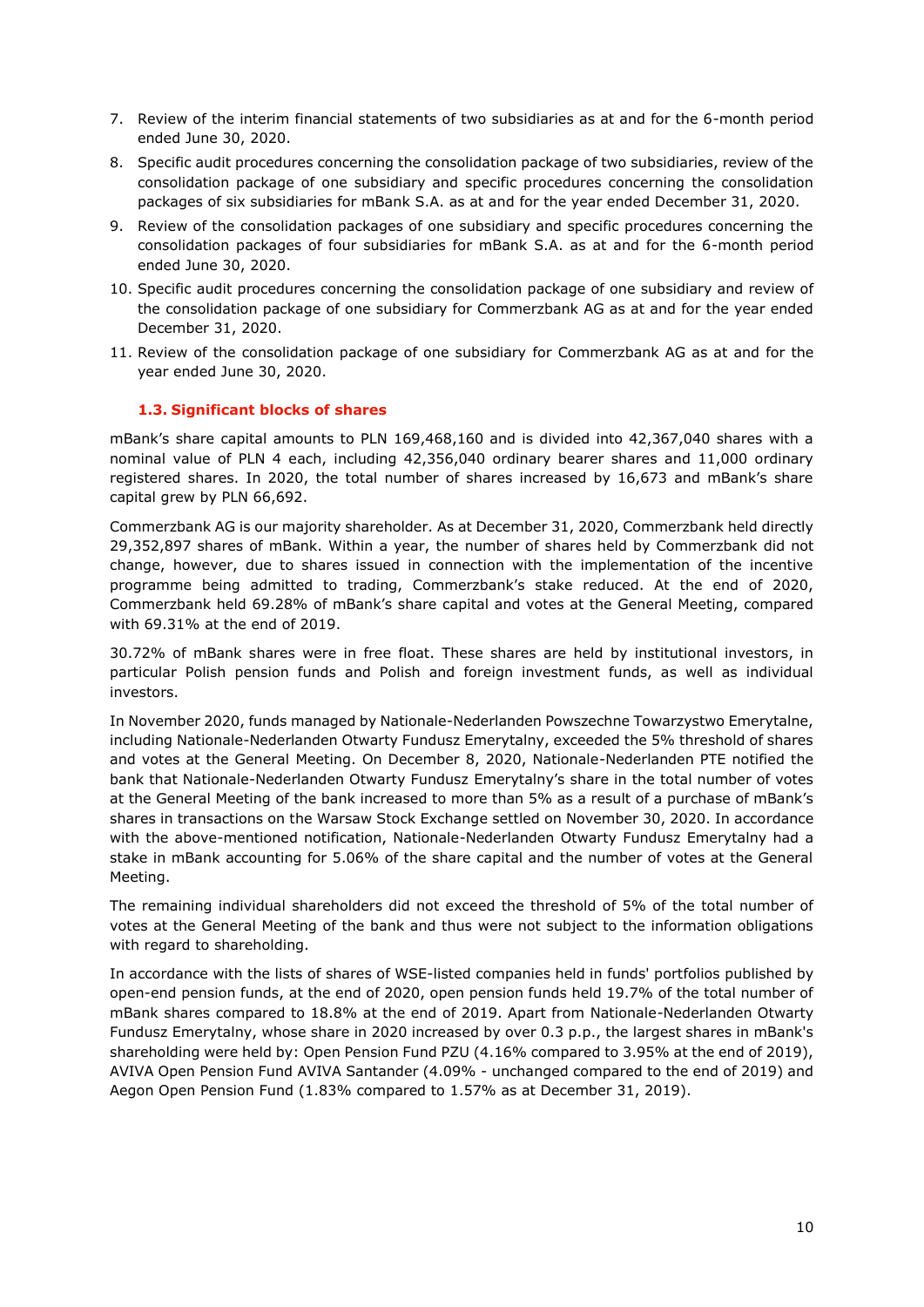- 7. Review of the interim financial statements of two subsidiaries as at and for the 6-month period ended June 30, 2020.
- 8. Specific audit procedures concerning the consolidation package of two subsidiaries, review of the consolidation package of one subsidiary and specific procedures concerning the consolidation packages of six subsidiaries for mBank S.A. as at and for the year ended December 31, 2020.
- 9. Review of the consolidation packages of one subsidiary and specific procedures concerning the consolidation packages of four subsidiaries for mBank S.A. as at and for the 6-month period ended June 30, 2020.
- 10. Specific audit procedures concerning the consolidation package of one subsidiary and review of the consolidation package of one subsidiary for Commerzbank AG as at and for the year ended December 31, 2020.
- 11. Review of the consolidation package of one subsidiary for Commerzbank AG as at and for the year ended June 30, 2020.

# **1.3. Significant blocks of shares**

mBank's share capital amounts to PLN 169,468,160 and is divided into 42,367,040 shares with a nominal value of PLN 4 each, including 42,356,040 ordinary bearer shares and 11,000 ordinary registered shares. In 2020, the total number of shares increased by 16,673 and mBank's share capital grew by PLN 66,692.

Commerzbank AG is our majority shareholder. As at December 31, 2020, Commerzbank held directly 29,352,897 shares of mBank. Within a year, the number of shares held by Commerzbank did not change, however, due to shares issued in connection with the implementation of the incentive programme being admitted to trading, Commerzbank's stake reduced. At the end of 2020, Commerzbank held 69.28% of mBank's share capital and votes at the General Meeting, compared with 69.31% at the end of 2019.

30.72% of mBank shares were in free float. These shares are held by institutional investors, in particular Polish pension funds and Polish and foreign investment funds, as well as individual investors.

In November 2020, funds managed by Nationale-Nederlanden Powszechne Towarzystwo Emerytalne, including Nationale-Nederlanden Otwarty Fundusz Emerytalny, exceeded the 5% threshold of shares and votes at the General Meeting. On December 8, 2020, Nationale-Nederlanden PTE notified the bank that Nationale-Nederlanden Otwarty Fundusz Emerytalny's share in the total number of votes at the General Meeting of the bank increased to more than 5% as a result of a purchase of mBank's shares in transactions on the Warsaw Stock Exchange settled on November 30, 2020. In accordance with the above-mentioned notification, Nationale-Nederlanden Otwarty Fundusz Emerytalny had a stake in mBank accounting for 5.06% of the share capital and the number of votes at the General Meeting.

The remaining individual shareholders did not exceed the threshold of 5% of the total number of votes at the General Meeting of the bank and thus were not subject to the information obligations with regard to shareholding.

In accordance with the lists of shares of WSE-listed companies held in funds' portfolios published by open-end pension funds, at the end of 2020, open pension funds held 19.7% of the total number of mBank shares compared to 18.8% at the end of 2019. Apart from Nationale-Nederlanden Otwarty Fundusz Emerytalny, whose share in 2020 increased by over 0.3 p.p., the largest shares in mBank's shareholding were held by: Open Pension Fund PZU (4.16% compared to 3.95% at the end of 2019), AVIVA Open Pension Fund AVIVA Santander (4.09% - unchanged compared to the end of 2019) and Aegon Open Pension Fund (1.83% compared to 1.57% as at December 31, 2019).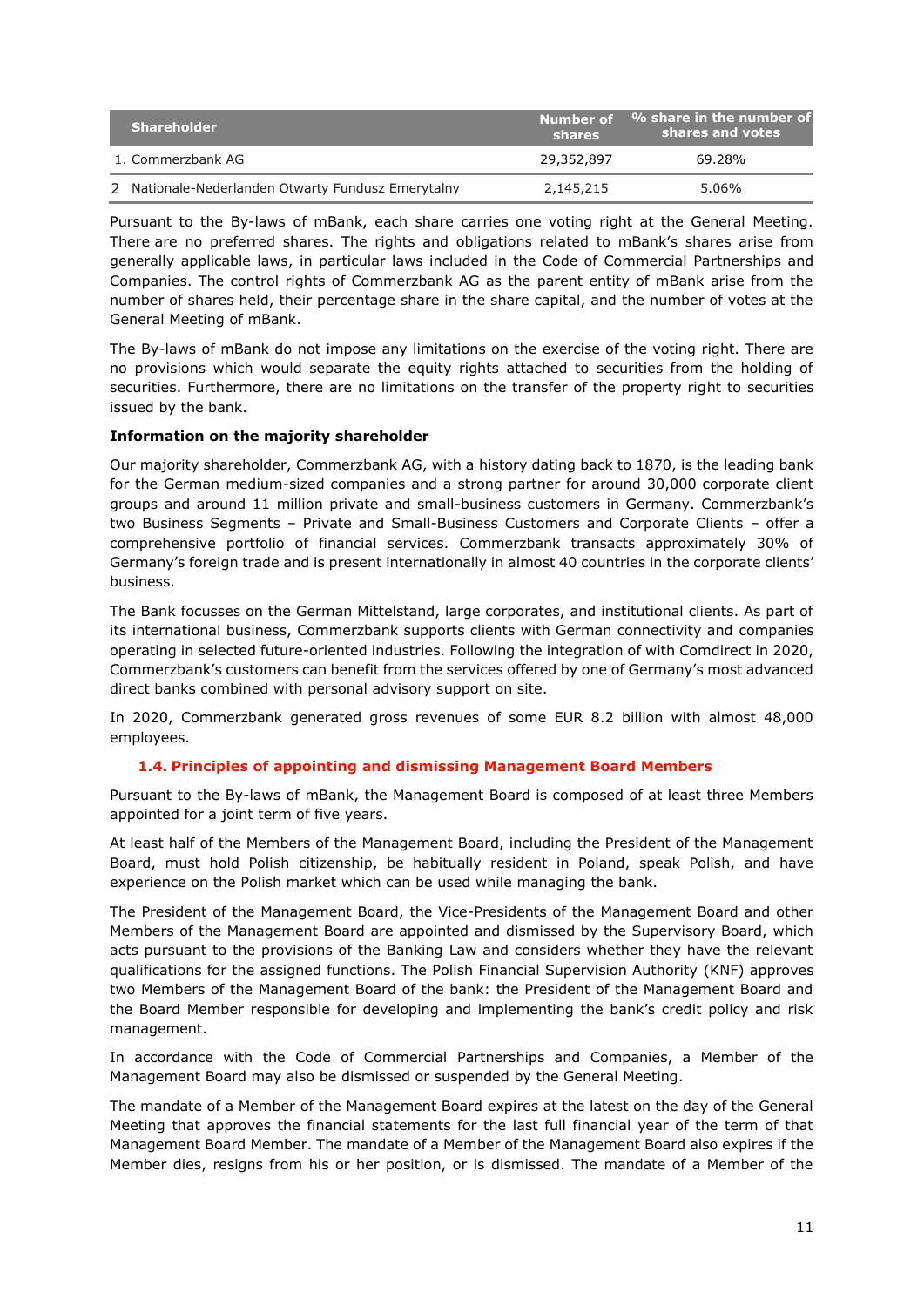| <b>Shareholder</b>                                 | shares     | Number of % share in the number of<br>shares and votes |
|----------------------------------------------------|------------|--------------------------------------------------------|
| 1. Commerzbank AG                                  | 29,352,897 | 69.28%                                                 |
| 2 Nationale-Nederlanden Otwarty Fundusz Emerytalny | 2,145,215  | 5.06%                                                  |

Pursuant to the By-laws of mBank, each share carries one voting right at the General Meeting. There are no preferred shares. The rights and obligations related to mBank's shares arise from generally applicable laws, in particular laws included in the Code of Commercial Partnerships and Companies. The control rights of Commerzbank AG as the parent entity of mBank arise from the number of shares held, their percentage share in the share capital, and the number of votes at the General Meeting of mBank.

The By-laws of mBank do not impose any limitations on the exercise of the voting right. There are no provisions which would separate the equity rights attached to securities from the holding of securities. Furthermore, there are no limitations on the transfer of the property right to securities issued by the bank.

# <span id="page-10-0"></span>**Information on the majority shareholder**

Our majority shareholder, Commerzbank AG, with a history dating back to 1870, is the leading bank for the German medium-sized companies and a strong partner for around 30,000 corporate client groups and around 11 million private and small-business customers in Germany. Commerzbank's two Business Segments – Private and Small-Business Customers and Corporate Clients – offer a comprehensive portfolio of financial services. Commerzbank transacts approximately 30% of Germany's foreign trade and is present internationally in almost 40 countries in the corporate clients' business.

The Bank focusses on the German Mittelstand, large corporates, and institutional clients. As part of its international business, Commerzbank supports clients with German connectivity and companies operating in selected future-oriented industries. Following the integration of with Comdirect in 2020, Commerzbank's customers can benefit from the services offered by one of Germany's most advanced direct banks combined with personal advisory support on site.

In 2020, Commerzbank generated gross revenues of some EUR 8.2 billion with almost 48,000 employees.

# **1.4. Principles of appointing and dismissing Management Board Members**

<span id="page-10-1"></span>Pursuant to the By-laws of mBank, the Management Board is composed of at least three Members appointed for a joint term of five years.

At least half of the Members of the Management Board, including the President of the Management Board, must hold Polish citizenship, be habitually resident in Poland, speak Polish, and have experience on the Polish market which can be used while managing the bank.

The President of the Management Board, the Vice-Presidents of the Management Board and other Members of the Management Board are appointed and dismissed by the Supervisory Board, which acts pursuant to the provisions of the Banking Law and considers whether they have the relevant qualifications for the assigned functions. The Polish Financial Supervision Authority (KNF) approves two Members of the Management Board of the bank: the President of the Management Board and the Board Member responsible for developing and implementing the bank's credit policy and risk management.

In accordance with the Code of Commercial Partnerships and Companies, a Member of the Management Board may also be dismissed or suspended by the General Meeting.

The mandate of a Member of the Management Board expires at the latest on the day of the General Meeting that approves the financial statements for the last full financial year of the term of that Management Board Member. The mandate of a Member of the Management Board also expires if the Member dies, resigns from his or her position, or is dismissed. The mandate of a Member of the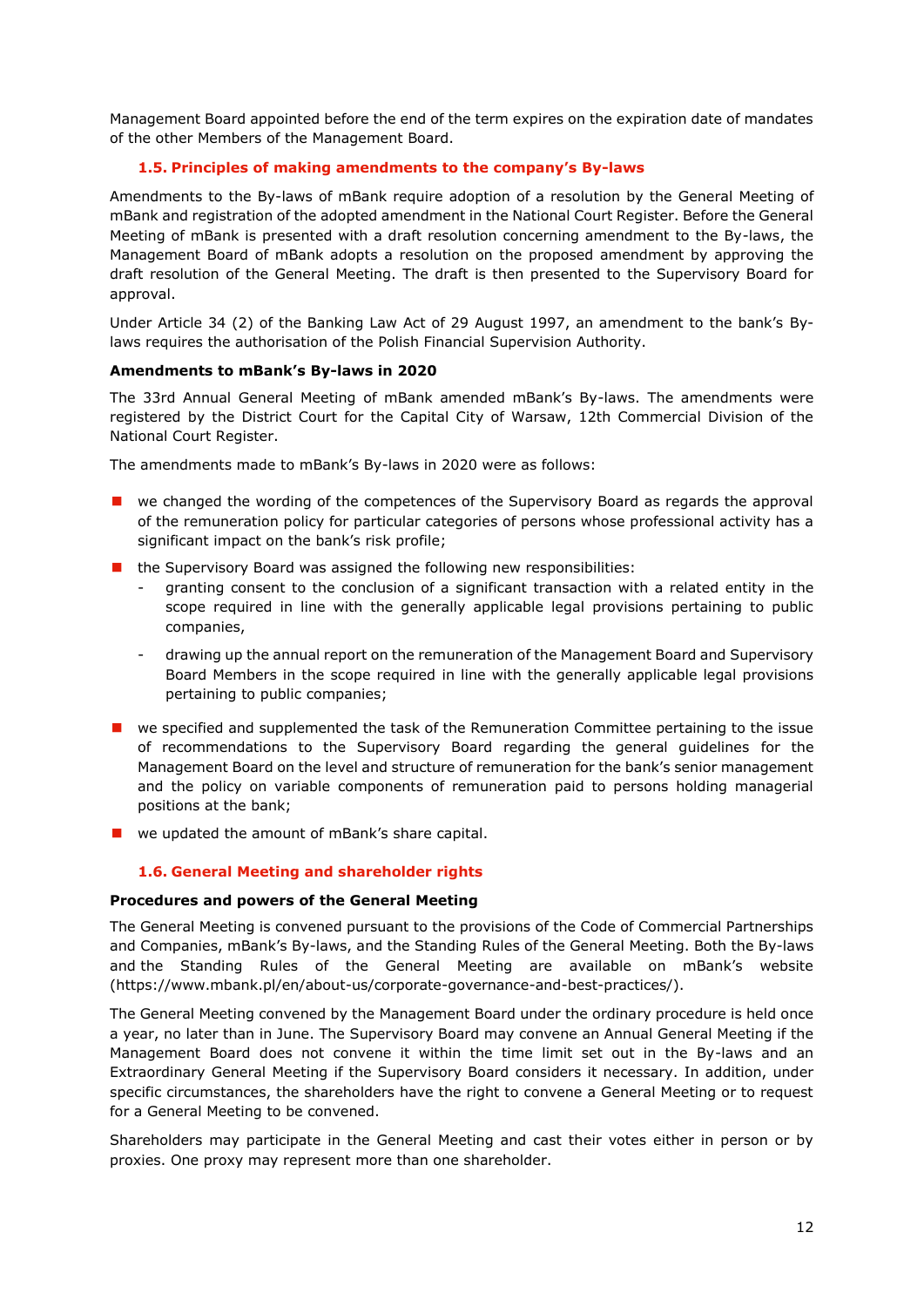Management Board appointed before the end of the term expires on the expiration date of mandates of the other Members of the Management Board.

# **1.5. Principles of making amendments to the company's By-laws**

<span id="page-11-2"></span><span id="page-11-0"></span>Amendments to the By-laws of mBank require adoption of a resolution by the General Meeting of mBank and registration of the adopted amendment in the National Court Register. Before the General Meeting of mBank is presented with a draft resolution concerning amendment to the By-laws, the Management Board of mBank adopts a resolution on the proposed amendment by approving the draft resolution of the General Meeting. The draft is then presented to the Supervisory Board for approval.

Under Article 34 (2) of the Banking Law Act of 29 August 1997, an amendment to the bank's Bylaws requires the authorisation of the Polish Financial Supervision Authority.

## <span id="page-11-1"></span>**Amendments to mBank's By-laws in 2020**

The 33rd Annual General Meeting of mBank amended mBank's By-laws. The amendments were registered by the District Court for the Capital City of Warsaw, 12th Commercial Division of the National Court Register.

The amendments made to mBank's By-laws in 2020 were as follows:

- **E** we changed the wording of the competences of the Supervisory Board as regards the approval of the remuneration policy for particular categories of persons whose professional activity has a significant impact on the bank's risk profile:
- the Supervisory Board was assigned the following new responsibilities:
	- granting consent to the conclusion of a significant transaction with a related entity in the scope required in line with the generally applicable legal provisions pertaining to public companies,
	- drawing up the annual report on the remuneration of the Management Board and Supervisory Board Members in the scope required in line with the generally applicable legal provisions pertaining to public companies;
- **E** we specified and supplemented the task of the Remuneration Committee pertaining to the issue of recommendations to the Supervisory Board regarding the general guidelines for the Management Board on the level and structure of remuneration for the bank's senior management and the policy on variable components of remuneration paid to persons holding managerial positions at the bank;
- we updated the amount of mBank's share capital.

## **1.6. General Meeting and shareholder rights**

#### <span id="page-11-3"></span>**Procedures and powers of the General Meeting**

The General Meeting is convened pursuant to the provisions of the Code of Commercial Partnerships and Companies, mBank's By-laws, and the Standing Rules of the General Meeting. Both the By-laws and the Standing Rules of the General Meeting are available on mBank's website (https://www.mbank.pl/en/about-us/corporate-governance-and-best-practices/).

The General Meeting convened by the Management Board under the ordinary procedure is held once a year, no later than in June. The Supervisory Board may convene an Annual General Meeting if the Management Board does not convene it within the time limit set out in the By-laws and an Extraordinary General Meeting if the Supervisory Board considers it necessary. In addition, under specific circumstances, the shareholders have the right to convene a General Meeting or to request for a General Meeting to be convened.

Shareholders may participate in the General Meeting and cast their votes either in person or by proxies. One proxy may represent more than one shareholder.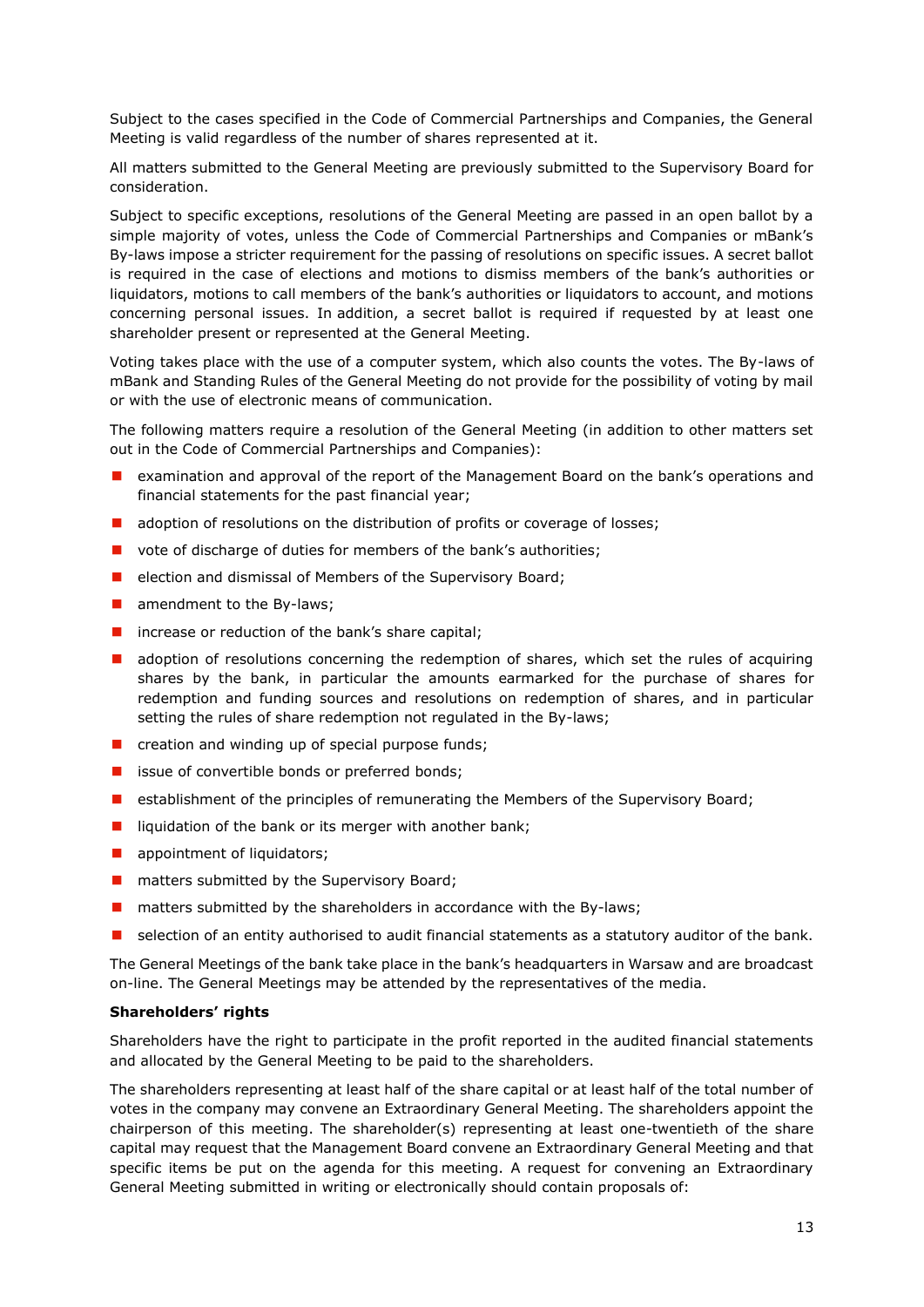Subject to the cases specified in the Code of Commercial Partnerships and Companies, the General Meeting is valid regardless of the number of shares represented at it.

All matters submitted to the General Meeting are previously submitted to the Supervisory Board for consideration.

Subject to specific exceptions, resolutions of the General Meeting are passed in an open ballot by a simple majority of votes, unless the Code of Commercial Partnerships and Companies or mBank's By-laws impose a stricter requirement for the passing of resolutions on specific issues. A secret ballot is required in the case of elections and motions to dismiss members of the bank's authorities or liquidators, motions to call members of the bank's authorities or liquidators to account, and motions concerning personal issues. In addition, a secret ballot is required if requested by at least one shareholder present or represented at the General Meeting.

Voting takes place with the use of a computer system, which also counts the votes. The By-laws of mBank and Standing Rules of the General Meeting do not provide for the possibility of voting by mail or with the use of electronic means of communication.

The following matters require a resolution of the General Meeting (in addition to other matters set out in the Code of Commercial Partnerships and Companies):

- examination and approval of the report of the Management Board on the bank's operations and financial statements for the past financial year;
- **a** adoption of resolutions on the distribution of profits or coverage of losses;
- vote of discharge of duties for members of the bank's authorities;
- election and dismissal of Members of the Supervisory Board;
- $\blacksquare$  amendment to the By-laws;
- $\blacksquare$  increase or reduction of the bank's share capital;
- **a** adoption of resolutions concerning the redemption of shares, which set the rules of acquiring shares by the bank, in particular the amounts earmarked for the purchase of shares for redemption and funding sources and resolutions on redemption of shares, and in particular setting the rules of share redemption not regulated in the By-laws;
- $\blacksquare$  creation and winding up of special purpose funds;
- **issue of convertible bonds or preferred bonds;**
- **E** establishment of the principles of remunerating the Members of the Supervisory Board;
- liquidation of the bank or its merger with another bank;
- **a** appointment of liquidators;
- $\blacksquare$  matters submitted by the Supervisory Board;
- $\blacksquare$  matters submitted by the shareholders in accordance with the By-laws;
- **E** selection of an entity authorised to audit financial statements as a statutory auditor of the bank.

The General Meetings of the bank take place in the bank's headquarters in Warsaw and are broadcast on-line. The General Meetings may be attended by the representatives of the media.

## **Shareholders' rights**

Shareholders have the right to participate in the profit reported in the audited financial statements and allocated by the General Meeting to be paid to the shareholders.

The shareholders representing at least half of the share capital or at least half of the total number of votes in the company may convene an Extraordinary General Meeting. The shareholders appoint the chairperson of this meeting. The shareholder(s) representing at least one-twentieth of the share capital may request that the Management Board convene an Extraordinary General Meeting and that specific items be put on the agenda for this meeting. A request for convening an Extraordinary General Meeting submitted in writing or electronically should contain proposals of: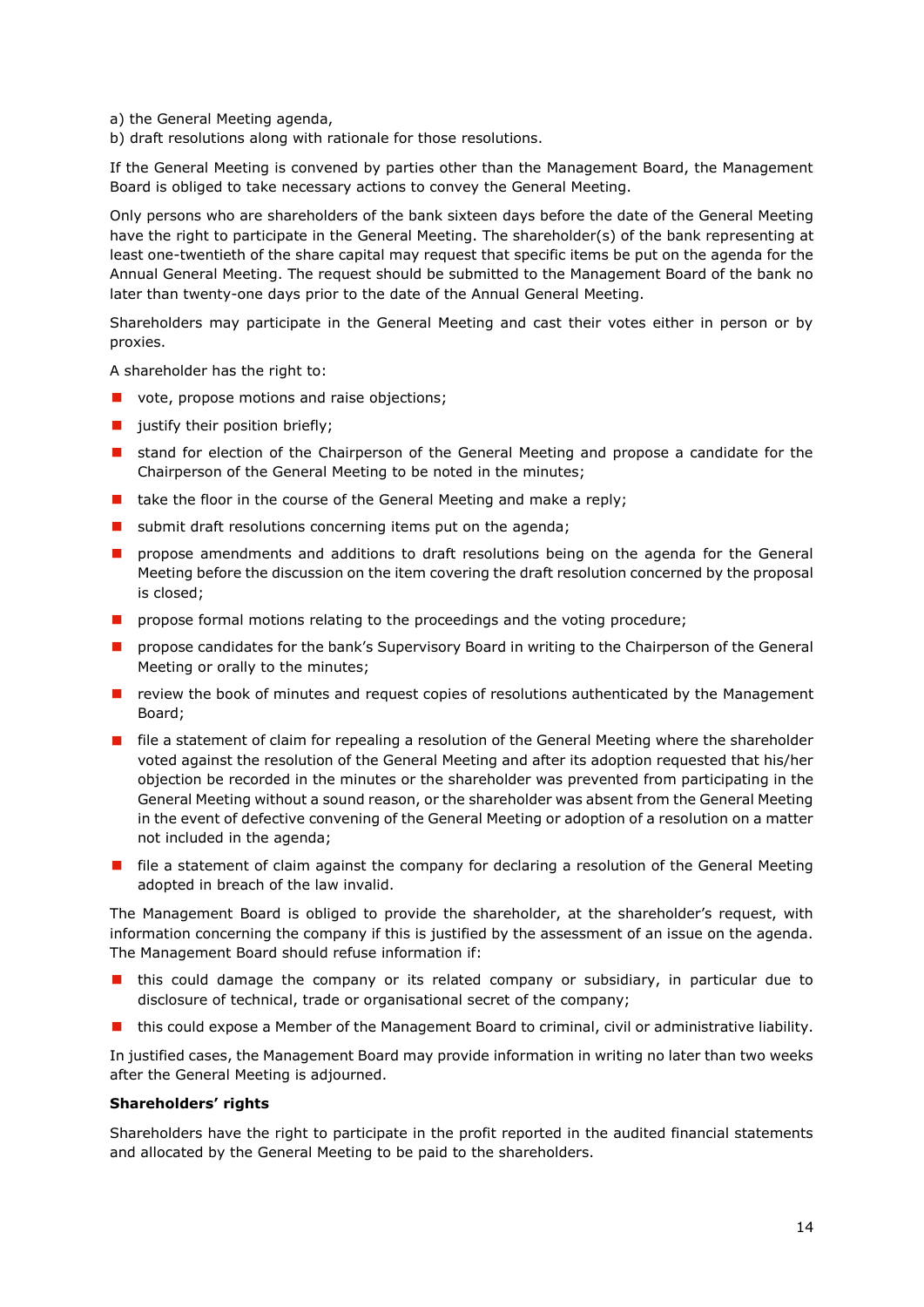a) the General Meeting agenda,

b) draft resolutions along with rationale for those resolutions.

If the General Meeting is convened by parties other than the Management Board, the Management Board is obliged to take necessary actions to convey the General Meeting.

Only persons who are shareholders of the bank sixteen days before the date of the General Meeting have the right to participate in the General Meeting. The shareholder(s) of the bank representing at least one-twentieth of the share capital may request that specific items be put on the agenda for the Annual General Meeting. The request should be submitted to the Management Board of the bank no later than twenty-one days prior to the date of the Annual General Meeting.

Shareholders may participate in the General Meeting and cast their votes either in person or by proxies.

A shareholder has the right to:

- vote, propose motions and raise objections;
- $\blacksquare$  justify their position briefly;
- **I** stand for election of the Chairperson of the General Meeting and propose a candidate for the Chairperson of the General Meeting to be noted in the minutes;
- $\blacksquare$  take the floor in the course of the General Meeting and make a reply;
- submit draft resolutions concerning items put on the agenda;
- **n** propose amendments and additions to draft resolutions being on the agenda for the General Meeting before the discussion on the item covering the draft resolution concerned by the proposal is closed;
- **P** propose formal motions relating to the proceedings and the voting procedure;
- **PED Propose candidates for the bank's Supervisory Board in writing to the Chairperson of the General** Meeting or orally to the minutes;
- **P** review the book of minutes and request copies of resolutions authenticated by the Management Board;
- **F** file a statement of claim for repealing a resolution of the General Meeting where the shareholder voted against the resolution of the General Meeting and after its adoption requested that his/her objection be recorded in the minutes or the shareholder was prevented from participating in the General Meeting without a sound reason, or the shareholder was absent from the General Meeting in the event of defective convening of the General Meeting or adoption of a resolution on a matter not included in the agenda;
- $\blacksquare$  file a statement of claim against the company for declaring a resolution of the General Meeting adopted in breach of the law invalid.

The Management Board is obliged to provide the shareholder, at the shareholder's request, with information concerning the company if this is justified by the assessment of an issue on the agenda. The Management Board should refuse information if:

- this could damage the company or its related company or subsidiary, in particular due to disclosure of technical, trade or organisational secret of the company;
- this could expose a Member of the Management Board to criminal, civil or administrative liability.

In justified cases, the Management Board may provide information in writing no later than two weeks after the General Meeting is adjourned.

#### **Shareholders' rights**

Shareholders have the right to participate in the profit reported in the audited financial statements and allocated by the General Meeting to be paid to the shareholders.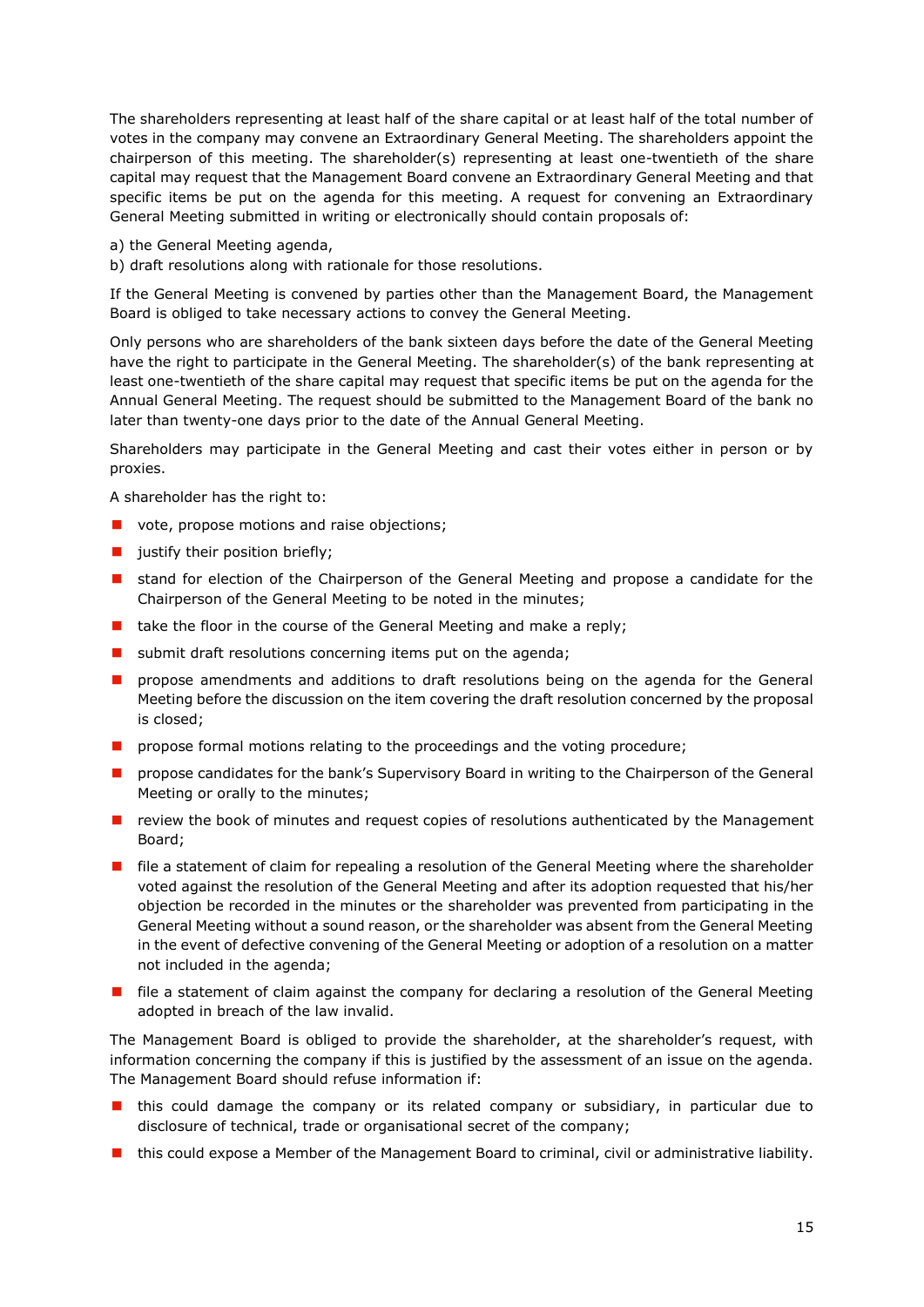The shareholders representing at least half of the share capital or at least half of the total number of votes in the company may convene an Extraordinary General Meeting. The shareholders appoint the chairperson of this meeting. The shareholder(s) representing at least one-twentieth of the share capital may request that the Management Board convene an Extraordinary General Meeting and that specific items be put on the agenda for this meeting. A request for convening an Extraordinary General Meeting submitted in writing or electronically should contain proposals of:

a) the General Meeting agenda,

b) draft resolutions along with rationale for those resolutions.

If the General Meeting is convened by parties other than the Management Board, the Management Board is obliged to take necessary actions to convey the General Meeting.

Only persons who are shareholders of the bank sixteen days before the date of the General Meeting have the right to participate in the General Meeting. The shareholder(s) of the bank representing at least one-twentieth of the share capital may request that specific items be put on the agenda for the Annual General Meeting. The request should be submitted to the Management Board of the bank no later than twenty-one days prior to the date of the Annual General Meeting.

Shareholders may participate in the General Meeting and cast their votes either in person or by proxies.

A shareholder has the right to:

- vote, propose motions and raise objections;
- ustify their position briefly;
- **E** stand for election of the Chairperson of the General Meeting and propose a candidate for the Chairperson of the General Meeting to be noted in the minutes;
- $\blacksquare$  take the floor in the course of the General Meeting and make a reply;
- submit draft resolutions concerning items put on the agenda;
- **P** propose amendments and additions to draft resolutions being on the agenda for the General Meeting before the discussion on the item covering the draft resolution concerned by the proposal is closed;
- **P** propose formal motions relating to the proceedings and the voting procedure;
- **PED 10** propose candidates for the bank's Supervisory Board in writing to the Chairperson of the General Meeting or orally to the minutes;
- $\blacksquare$  review the book of minutes and request copies of resolutions authenticated by the Management Board;
- **F** file a statement of claim for repealing a resolution of the General Meeting where the shareholder voted against the resolution of the General Meeting and after its adoption requested that his/her objection be recorded in the minutes or the shareholder was prevented from participating in the General Meeting without a sound reason, or the shareholder was absent from the General Meeting in the event of defective convening of the General Meeting or adoption of a resolution on a matter not included in the agenda;
- **File a statement of claim against the company for declaring a resolution of the General Meeting** adopted in breach of the law invalid.

The Management Board is obliged to provide the shareholder, at the shareholder's request, with information concerning the company if this is justified by the assessment of an issue on the agenda. The Management Board should refuse information if:

- **n** this could damage the company or its related company or subsidiary, in particular due to disclosure of technical, trade or organisational secret of the company;
- **n** this could expose a Member of the Management Board to criminal, civil or administrative liability.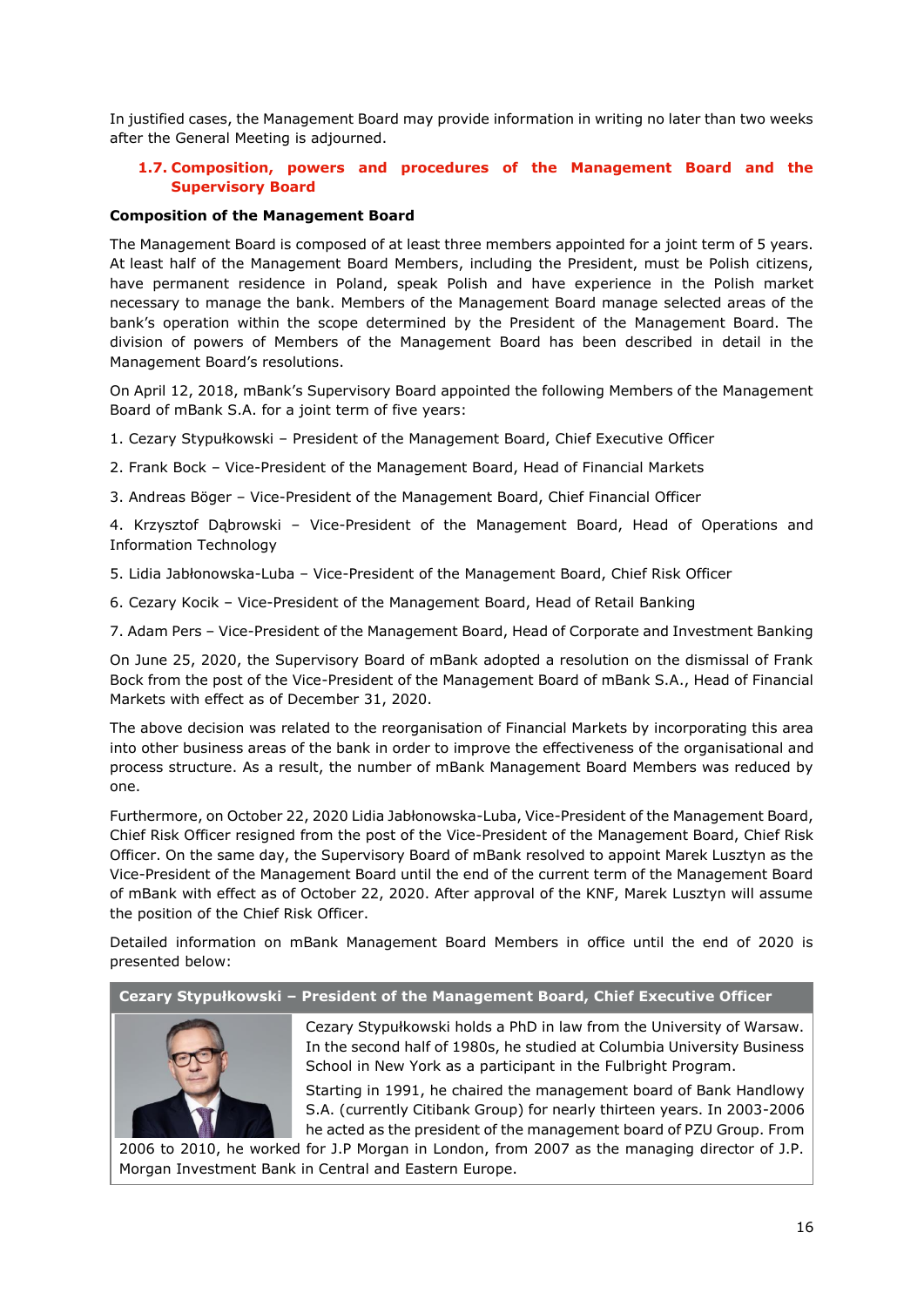In justified cases, the Management Board may provide information in writing no later than two weeks after the General Meeting is adjourned.

# <span id="page-15-0"></span>**1.7. Composition, powers and procedures of the Management Board and the Supervisory Board**

## <span id="page-15-1"></span>**Composition of the Management Board**

The Management Board is composed of at least three members appointed for a joint term of 5 years. At least half of the Management Board Members, including the President, must be Polish citizens, have permanent residence in Poland, speak Polish and have experience in the Polish market necessary to manage the bank. Members of the Management Board manage selected areas of the bank's operation within the scope determined by the President of the Management Board. The division of powers of Members of the Management Board has been described in detail in the Management Board's resolutions.

On April 12, 2018, mBank's Supervisory Board appointed the following Members of the Management Board of mBank S.A. for a joint term of five years:

- 1. Cezary Stypułkowski President of the Management Board, Chief Executive Officer
- 2. Frank Bock Vice-President of the Management Board, Head of Financial Markets
- 3. Andreas Böger Vice-President of the Management Board, Chief Financial Officer

4. Krzysztof Dąbrowski – Vice-President of the Management Board, Head of Operations and Information Technology

- 5. Lidia Jabłonowska-Luba Vice-President of the Management Board, Chief Risk Officer
- 6. Cezary Kocik Vice-President of the Management Board, Head of Retail Banking

7. Adam Pers – Vice-President of the Management Board, Head of Corporate and Investment Banking

On June 25, 2020, the Supervisory Board of mBank adopted a resolution on the dismissal of Frank Bock from the post of the Vice-President of the Management Board of mBank S.A., Head of Financial Markets with effect as of December 31, 2020.

The above decision was related to the reorganisation of Financial Markets by incorporating this area into other business areas of the bank in order to improve the effectiveness of the organisational and process structure. As a result, the number of mBank Management Board Members was reduced by one.

Furthermore, on October 22, 2020 Lidia Jabłonowska-Luba, Vice-President of the Management Board, Chief Risk Officer resigned from the post of the Vice-President of the Management Board, Chief Risk Officer. On the same day, the Supervisory Board of mBank resolved to appoint Marek Lusztyn as the Vice-President of the Management Board until the end of the current term of the Management Board of mBank with effect as of October 22, 2020. After approval of the KNF, Marek Lusztyn will assume the position of the Chief Risk Officer.

Detailed information on mBank Management Board Members in office until the end of 2020 is presented below:

# **Cezary Stypułkowski – President of the Management Board, Chief Executive Officer**



Cezary Stypułkowski holds a PhD in law from the University of Warsaw. In the second half of 1980s, he studied at Columbia University Business School in New York as a participant in the Fulbright Program.

Starting in 1991, he chaired the management board of Bank Handlowy S.A. (currently Citibank Group) for nearly thirteen years. In 2003-2006 he acted as the president of the management board of PZU Group. From

2006 to 2010, he worked for J.P Morgan in London, from 2007 as the managing director of J.P. Morgan Investment Bank in Central and Eastern Europe.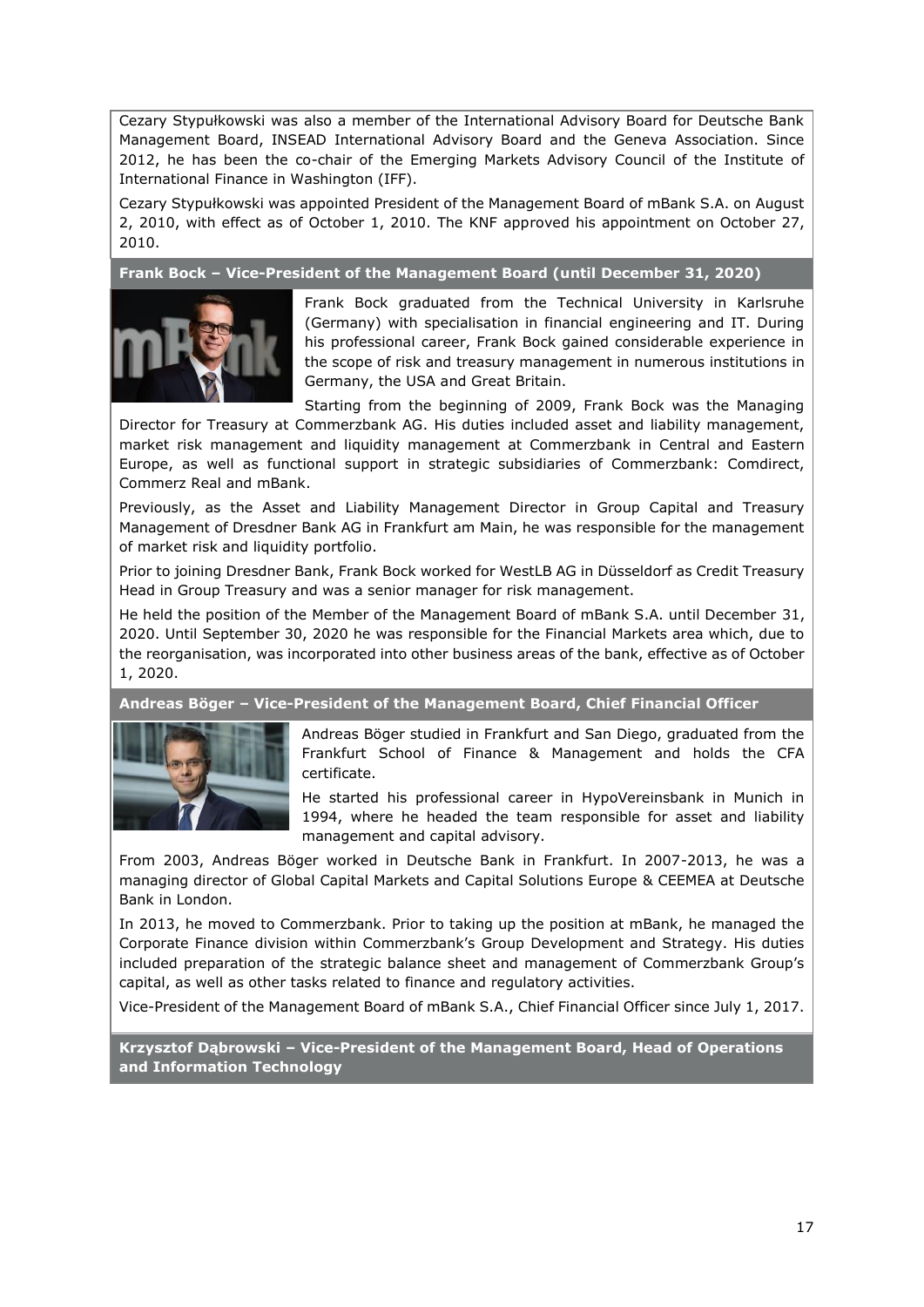Cezary Stypułkowski was also a member of the International Advisory Board for Deutsche Bank Management Board, INSEAD International Advisory Board and the Geneva Association. Since 2012, he has been the co-chair of the Emerging Markets Advisory Council of the Institute of International Finance in Washington (IFF).

Cezary Stypułkowski was appointed President of the Management Board of mBank S.A. on August 2, 2010, with effect as of October 1, 2010. The KNF approved his appointment on October 27, 2010.

**Frank Bock – Vice-President of the Management Board (until December 31, 2020)**



Frank Bock graduated from the Technical University in Karlsruhe (Germany) with specialisation in financial engineering and IT. During his professional career, Frank Bock gained considerable experience in the scope of risk and treasury management in numerous institutions in Germany, the USA and Great Britain.

Starting from the beginning of 2009, Frank Bock was the Managing Director for Treasury at Commerzbank AG. His duties included asset and liability management, market risk management and liquidity management at Commerzbank in Central and Eastern Europe, as well as functional support in strategic subsidiaries of Commerzbank: Comdirect, Commerz Real and mBank.

Previously, as the Asset and Liability Management Director in Group Capital and Treasury Management of Dresdner Bank AG in Frankfurt am Main, he was responsible for the management of market risk and liquidity portfolio.

Prior to joining Dresdner Bank, Frank Bock worked for WestLB AG in Düsseldorf as Credit Treasury Head in Group Treasury and was a senior manager for risk management.

He held the position of the Member of the Management Board of mBank S.A. until December 31, 2020. Until September 30, 2020 he was responsible for the Financial Markets area which, due to the reorganisation, was incorporated into other business areas of the bank, effective as of October 1, 2020.

**Andreas Böger – Vice-President of the Management Board, Chief Financial Officer**



Andreas Böger studied in Frankfurt and San Diego, graduated from the Frankfurt School of Finance & Management and holds the CFA certificate.

He started his professional career in HypoVereinsbank in Munich in 1994, where he headed the team responsible for asset and liability management and capital advisory.

From 2003, Andreas Böger worked in Deutsche Bank in Frankfurt. In 2007-2013, he was a managing director of Global Capital Markets and Capital Solutions Europe & CEEMEA at Deutsche Bank in London.

In 2013, he moved to Commerzbank. Prior to taking up the position at mBank, he managed the Corporate Finance division within Commerzbank's Group Development and Strategy. His duties included preparation of the strategic balance sheet and management of Commerzbank Group's capital, as well as other tasks related to finance and regulatory activities.

Vice-President of the Management Board of mBank S.A., Chief Financial Officer since July 1, 2017.

**Krzysztof Dąbrowski – Vice-President of the Management Board, Head of Operations and Information Technology**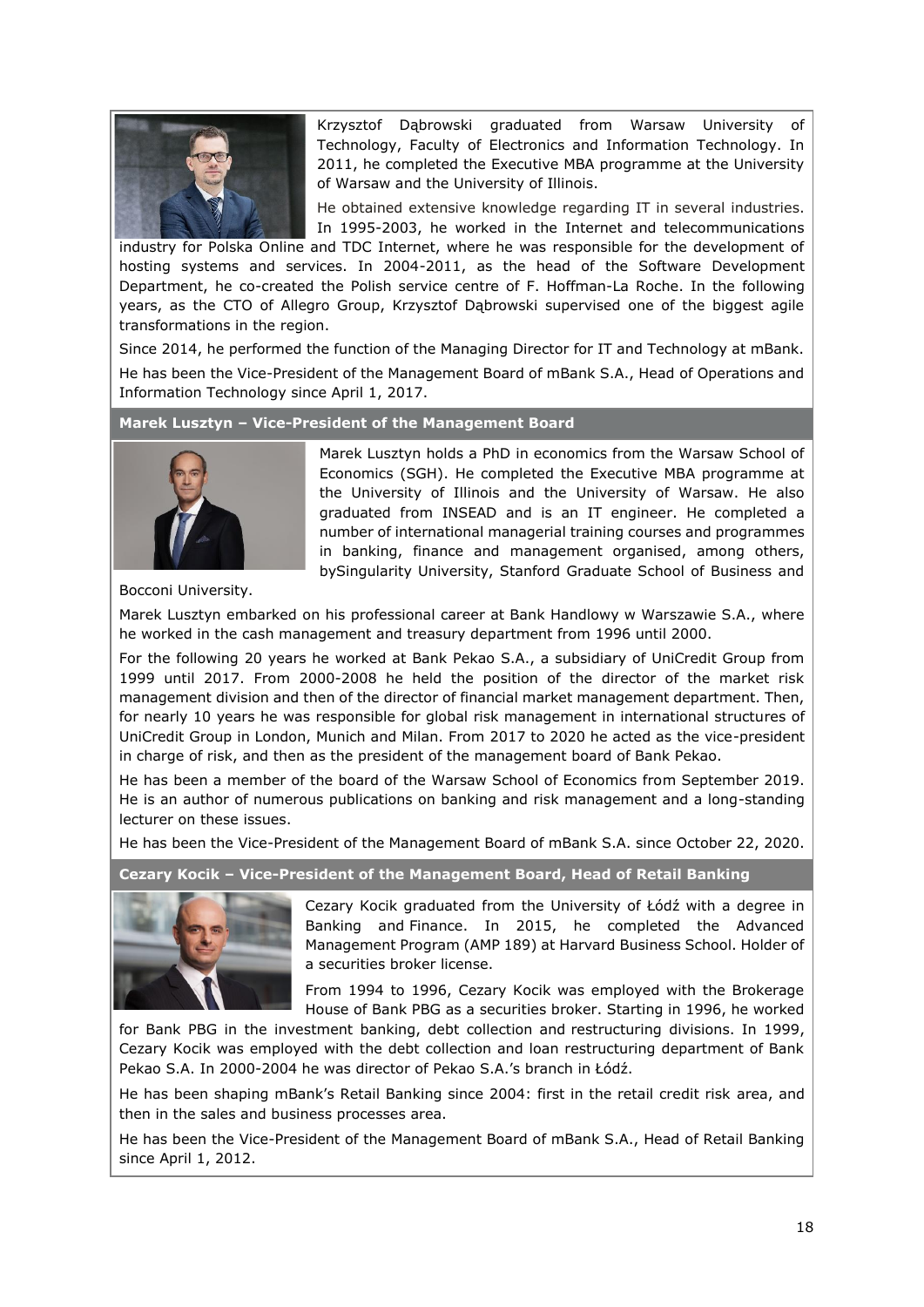

Krzysztof Dąbrowski graduated from Warsaw University of Technology, Faculty of Electronics and Information Technology. In 2011, he completed the Executive MBA programme at the University of Warsaw and the University of Illinois.

He obtained extensive knowledge regarding IT in several industries. In 1995-2003, he worked in the Internet and telecommunications

industry for Polska Online and TDC Internet, where he was responsible for the development of hosting systems and services. In 2004-2011, as the head of the Software Development Department, he co-created the Polish service centre of F. Hoffman-La Roche. In the following years, as the CTO of Allegro Group, Krzysztof Dąbrowski supervised one of the biggest agile transformations in the region.

Since 2014, he performed the function of the Managing Director for IT and Technology at mBank. He has been the Vice-President of the Management Board of mBank S.A., Head of Operations and Information Technology since April 1, 2017.

## **Marek Lusztyn – Vice-President of the Management Board**



Marek Lusztyn holds a PhD in economics from the Warsaw School of Economics (SGH). He completed the Executive MBA programme at the University of Illinois and the University of Warsaw. He also graduated from INSEAD and is an IT engineer. He completed a number of international managerial training courses and programmes in banking, finance and management organised, among others, bySingularity University, Stanford Graduate School of Business and

Bocconi University.

Marek Lusztyn embarked on his professional career at Bank Handlowy w Warszawie S.A., where he worked in the cash management and treasury department from 1996 until 2000.

For the following 20 years he worked at Bank Pekao S.A., a subsidiary of UniCredit Group from 1999 until 2017. From 2000-2008 he held the position of the director of the market risk management division and then of the director of financial market management department. Then, for nearly 10 years he was responsible for global risk management in international structures of UniCredit Group in London, Munich and Milan. From 2017 to 2020 he acted as the vice-president in charge of risk, and then as the president of the management board of Bank Pekao.

He has been a member of the board of the Warsaw School of Economics from September 2019. He is an author of numerous publications on banking and risk management and a long-standing lecturer on these issues.

He has been the Vice-President of the Management Board of mBank S.A. since October 22, 2020.

# **Cezary Kocik – Vice-President of the Management Board, Head of Retail Banking**



Cezary Kocik graduated from the University of Łódź with a degree in Banking and Finance. In 2015, he completed the Advanced Management Program (AMP 189) at Harvard Business School. Holder of a securities broker license.

From 1994 to 1996, Cezary Kocik was employed with the Brokerage House of Bank PBG as a securities broker. Starting in 1996, he worked

for Bank PBG in the investment banking, debt collection and restructuring divisions. In 1999, Cezary Kocik was employed with the debt collection and loan restructuring department of Bank Pekao S.A. In 2000-2004 he was director of Pekao S.A.'s branch in Łódź.

He has been shaping mBank's Retail Banking since 2004: first in the retail credit risk area, and then in the sales and business processes area.

He has been the Vice-President of the Management Board of mBank S.A., Head of Retail Banking since April 1, 2012.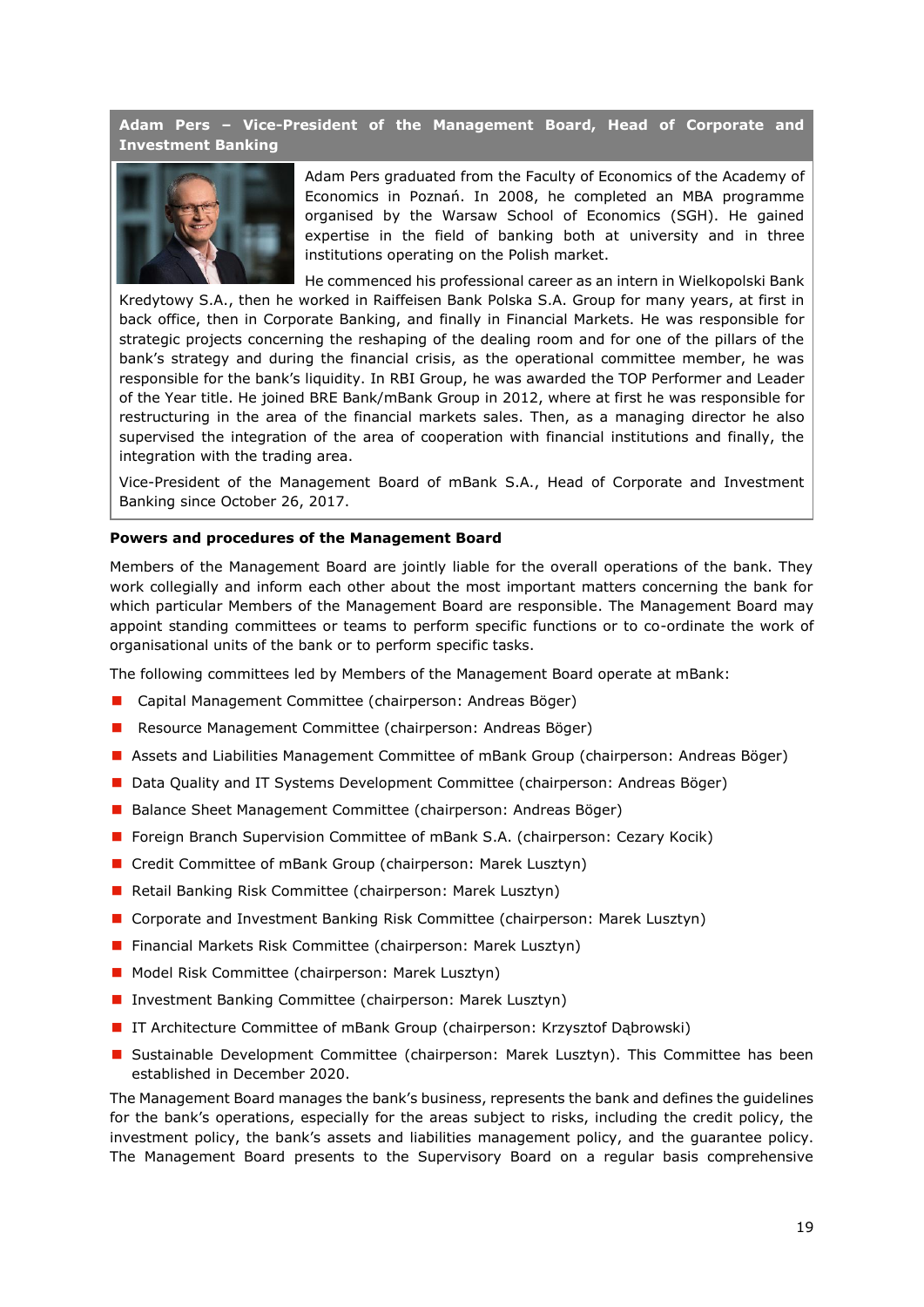**Adam Pers – Vice-President of the Management Board, Head of Corporate and Investment Banking**



Adam Pers graduated from the Faculty of Economics of the Academy of Economics in Poznań. In 2008, he completed an MBA programme organised by the Warsaw School of Economics (SGH). He gained expertise in the field of banking both at university and in three institutions operating on the Polish market.

He commenced his professional career as an intern in Wielkopolski Bank Kredytowy S.A., then he worked in Raiffeisen Bank Polska S.A. Group for many years, at first in back office, then in Corporate Banking, and finally in Financial Markets. He was responsible for strategic projects concerning the reshaping of the dealing room and for one of the pillars of the bank's strategy and during the financial crisis, as the operational committee member, he was responsible for the bank's liquidity. In RBI Group, he was awarded the TOP Performer and Leader of the Year title. He joined BRE Bank/mBank Group in 2012, where at first he was responsible for restructuring in the area of the financial markets sales. Then, as a managing director he also supervised the integration of the area of cooperation with financial institutions and finally, the integration with the trading area.

Vice-President of the Management Board of mBank S.A., Head of Corporate and Investment Banking since October 26, 2017.

### <span id="page-18-0"></span>**Powers and procedures of the Management Board**

Members of the Management Board are jointly liable for the overall operations of the bank. They work collegially and inform each other about the most important matters concerning the bank for which particular Members of the Management Board are responsible. The Management Board may appoint standing committees or teams to perform specific functions or to co-ordinate the work of organisational units of the bank or to perform specific tasks.

The following committees led by Members of the Management Board operate at mBank:

- Capital Management Committee (chairperson: Andreas Böger)
- Resource Management Committee (chairperson: Andreas Böger)
- Assets and Liabilities Management Committee of mBank Group (chairperson: Andreas Böger)
- Data Quality and IT Systems Development Committee (chairperson: Andreas Böger)
- Balance Sheet Management Committee (chairperson: Andreas Böger)
- **F** Foreign Branch Supervision Committee of mBank S.A. (chairperson: Cezary Kocik)
- Credit Committee of mBank Group (chairperson: Marek Lusztyn)
- Retail Banking Risk Committee (chairperson: Marek Lusztyn)
- **Corporate and Investment Banking Risk Committee (chairperson: Marek Lusztyn)**
- Financial Markets Risk Committee (chairperson: Marek Lusztyn)
- **Model Risk Committee (chairperson: Marek Lusztyn)**
- Investment Banking Committee (chairperson: Marek Lusztyn)
- IT Architecture Committee of mBank Group (chairperson: Krzysztof Dąbrowski)
- **Sustainable Development Committee (chairperson: Marek Lusztyn). This Committee has been** established in December 2020.

The Management Board manages the bank's business, represents the bank and defines the guidelines for the bank's operations, especially for the areas subject to risks, including the credit policy, the investment policy, the bank's assets and liabilities management policy, and the guarantee policy. The Management Board presents to the Supervisory Board on a regular basis comprehensive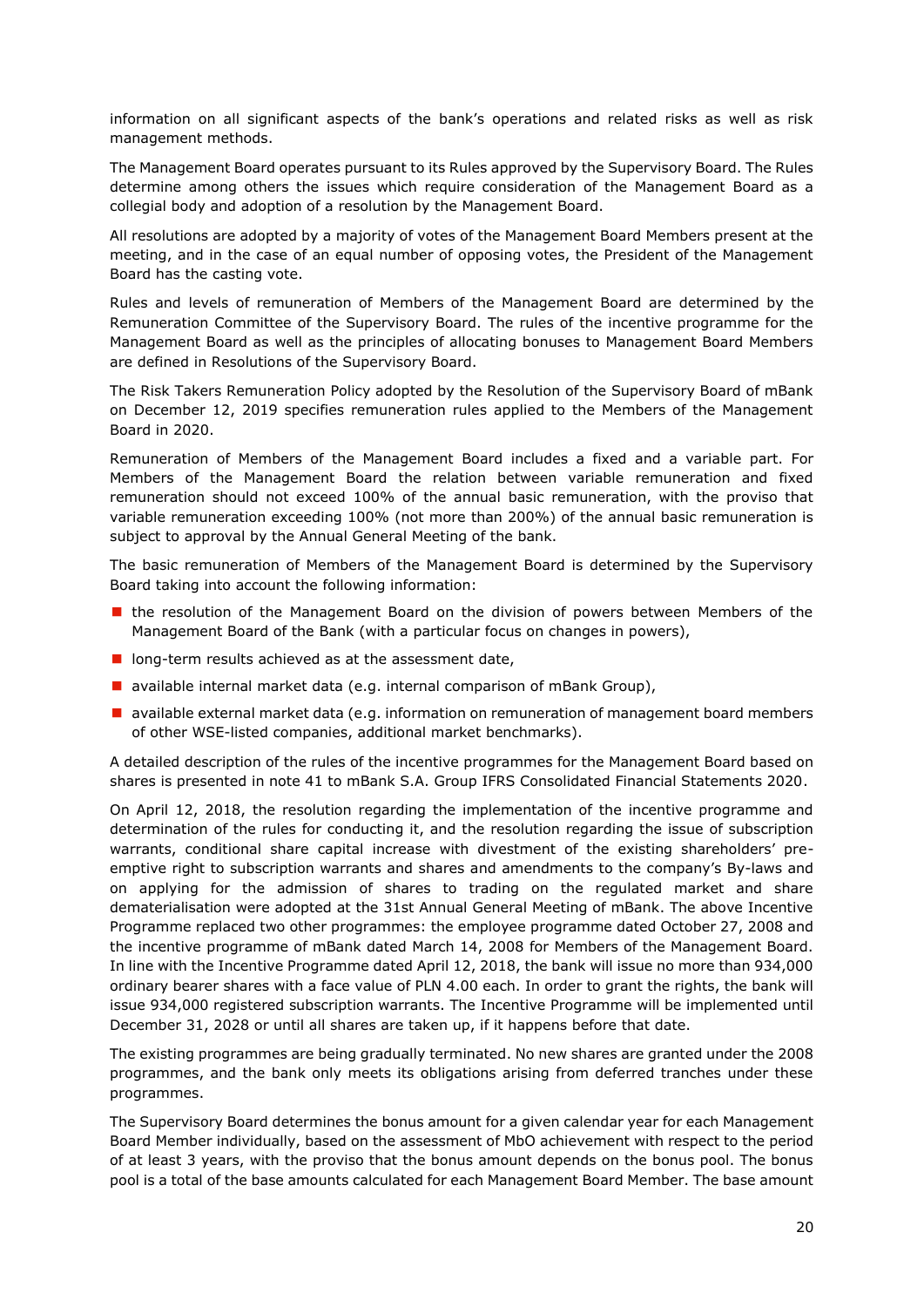information on all significant aspects of the bank's operations and related risks as well as risk management methods.

The Management Board operates pursuant to its Rules approved by the Supervisory Board. The Rules determine among others the issues which require consideration of the Management Board as a collegial body and adoption of a resolution by the Management Board.

All resolutions are adopted by a majority of votes of the Management Board Members present at the meeting, and in the case of an equal number of opposing votes, the President of the Management Board has the casting vote.

Rules and levels of remuneration of Members of the Management Board are determined by the Remuneration Committee of the Supervisory Board. The rules of the incentive programme for the Management Board as well as the principles of allocating bonuses to Management Board Members are defined in Resolutions of the Supervisory Board.

The Risk Takers Remuneration Policy adopted by the Resolution of the Supervisory Board of mBank on December 12, 2019 specifies remuneration rules applied to the Members of the Management Board in 2020.

Remuneration of Members of the Management Board includes a fixed and a variable part. For Members of the Management Board the relation between variable remuneration and fixed remuneration should not exceed 100% of the annual basic remuneration, with the proviso that variable remuneration exceeding 100% (not more than 200%) of the annual basic remuneration is subject to approval by the Annual General Meeting of the bank.

The basic remuneration of Members of the Management Board is determined by the Supervisory Board taking into account the following information:

- **In** the resolution of the Management Board on the division of powers between Members of the Management Board of the Bank (with a particular focus on changes in powers),
- $\blacksquare$  long-term results achieved as at the assessment date,
- available internal market data (e.g. internal comparison of mBank Group),
- **a** available external market data (e.g. information on remuneration of management board members of other WSE-listed companies, additional market benchmarks).

A detailed description of the rules of the incentive programmes for the Management Board based on shares is presented in note 41 to mBank S.A. Group IFRS Consolidated Financial Statements 2020.

On April 12, 2018, the resolution regarding the implementation of the incentive programme and determination of the rules for conducting it, and the resolution regarding the issue of subscription warrants, conditional share capital increase with divestment of the existing shareholders' preemptive right to subscription warrants and shares and amendments to the company's By-laws and on applying for the admission of shares to trading on the regulated market and share dematerialisation were adopted at the 31st Annual General Meeting of mBank. The above Incentive Programme replaced two other programmes: the employee programme dated October 27, 2008 and the incentive programme of mBank dated March 14, 2008 for Members of the Management Board. In line with the Incentive Programme dated April 12, 2018, the bank will issue no more than 934,000 ordinary bearer shares with a face value of PLN 4.00 each. In order to grant the rights, the bank will issue 934,000 registered subscription warrants. The Incentive Programme will be implemented until December 31, 2028 or until all shares are taken up, if it happens before that date.

The existing programmes are being gradually terminated. No new shares are granted under the 2008 programmes, and the bank only meets its obligations arising from deferred tranches under these programmes.

The Supervisory Board determines the bonus amount for a given calendar year for each Management Board Member individually, based on the assessment of MbO achievement with respect to the period of at least 3 years, with the proviso that the bonus amount depends on the bonus pool. The bonus pool is a total of the base amounts calculated for each Management Board Member. The base amount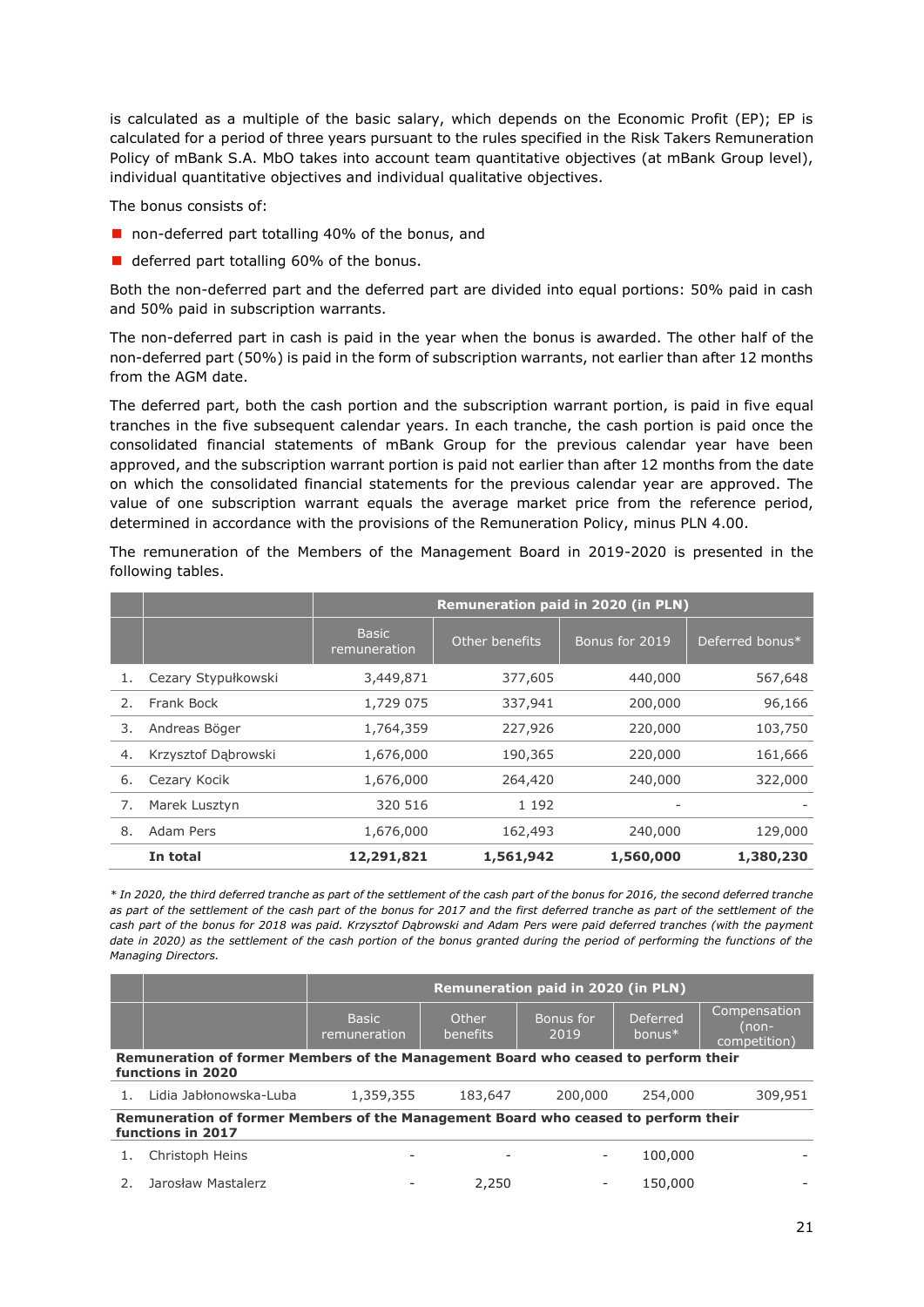is calculated as a multiple of the basic salary, which depends on the Economic Profit (EP); EP is calculated for a period of three years pursuant to the rules specified in the Risk Takers Remuneration Policy of mBank S.A. MbO takes into account team quantitative objectives (at mBank Group level), individual quantitative objectives and individual qualitative objectives.

The bonus consists of:

- non-deferred part totalling 40% of the bonus, and
- deferred part totalling 60% of the bonus.

Both the non-deferred part and the deferred part are divided into equal portions: 50% paid in cash and 50% paid in subscription warrants.

The non-deferred part in cash is paid in the year when the bonus is awarded. The other half of the non-deferred part (50%) is paid in the form of subscription warrants, not earlier than after 12 months from the AGM date.

The deferred part, both the cash portion and the subscription warrant portion, is paid in five equal tranches in the five subsequent calendar years. In each tranche, the cash portion is paid once the consolidated financial statements of mBank Group for the previous calendar year have been approved, and the subscription warrant portion is paid not earlier than after 12 months from the date on which the consolidated financial statements for the previous calendar year are approved. The value of one subscription warrant equals the average market price from the reference period, determined in accordance with the provisions of the Remuneration Policy, minus PLN 4.00.

The remuneration of the Members of the Management Board in 2019-2020 is presented in the following tables.

|    |                     | <b>Remuneration paid in 2020 (in PLN)</b> |                |                |                 |  |  |
|----|---------------------|-------------------------------------------|----------------|----------------|-----------------|--|--|
|    |                     | <b>Basic</b><br>remuneration              | Other benefits | Bonus for 2019 | Deferred bonus* |  |  |
| 1. | Cezary Stypułkowski | 3,449,871                                 | 377,605        | 440,000        | 567,648         |  |  |
| 2. | Frank Bock          | 1,729 075                                 | 337,941        | 200,000        | 96,166          |  |  |
| 3. | Andreas Böger       | 1,764,359                                 | 227,926        | 220,000        | 103,750         |  |  |
| 4. | Krzysztof Dabrowski | 1,676,000                                 | 190,365        | 220,000        | 161,666         |  |  |
| 6. | Cezary Kocik        | 1,676,000                                 | 264,420        | 240,000        | 322,000         |  |  |
| 7. | Marek Lusztyn       | 320 516                                   | 1 1 9 2        |                |                 |  |  |
| 8. | Adam Pers           | 1,676,000                                 | 162,493        | 240,000        | 129,000         |  |  |
|    | In total            | 12,291,821                                | 1,561,942      | 1,560,000      | 1,380,230       |  |  |

*\* In 2020, the third deferred tranche as part of the settlement of the cash part of the bonus for 2016, the second deferred tranche*  as part of the settlement of the cash part of the bonus for 2017 and the first deferred tranche as part of the settlement of the *cash part of the bonus for 2018 was paid. Krzysztof Dąbrowski and Adam Pers were paid deferred tranches (with the payment date in 2020) as the settlement of the cash portion of the bonus granted during the period of performing the functions of the Managing Directors.*

|    |                                                                                                         | Remuneration paid in 2020 (in PLN)   |                          |                   |                       |                                       |  |
|----|---------------------------------------------------------------------------------------------------------|--------------------------------------|--------------------------|-------------------|-----------------------|---------------------------------------|--|
|    |                                                                                                         | <b>Basic</b><br><u>iremuneration</u> | Other<br><b>benefits</b> | Bonus for<br>2019 | Deferred<br>bonus $*$ | Compensation<br>(non-<br>competition) |  |
|    | Remuneration of former Members of the Management Board who ceased to perform their<br>functions in 2020 |                                      |                          |                   |                       |                                       |  |
|    | Lidia Jabłonowska-Luba                                                                                  | 1,359,355                            | 183,647                  | 200,000           | 254,000               | 309,951                               |  |
|    | Remuneration of former Members of the Management Board who ceased to perform their<br>functions in 2017 |                                      |                          |                   |                       |                                       |  |
|    | Christoph Heins                                                                                         |                                      |                          |                   | 100,000               |                                       |  |
| 2. | Jarosław Mastalerz                                                                                      |                                      | 2,250                    |                   | 150,000               |                                       |  |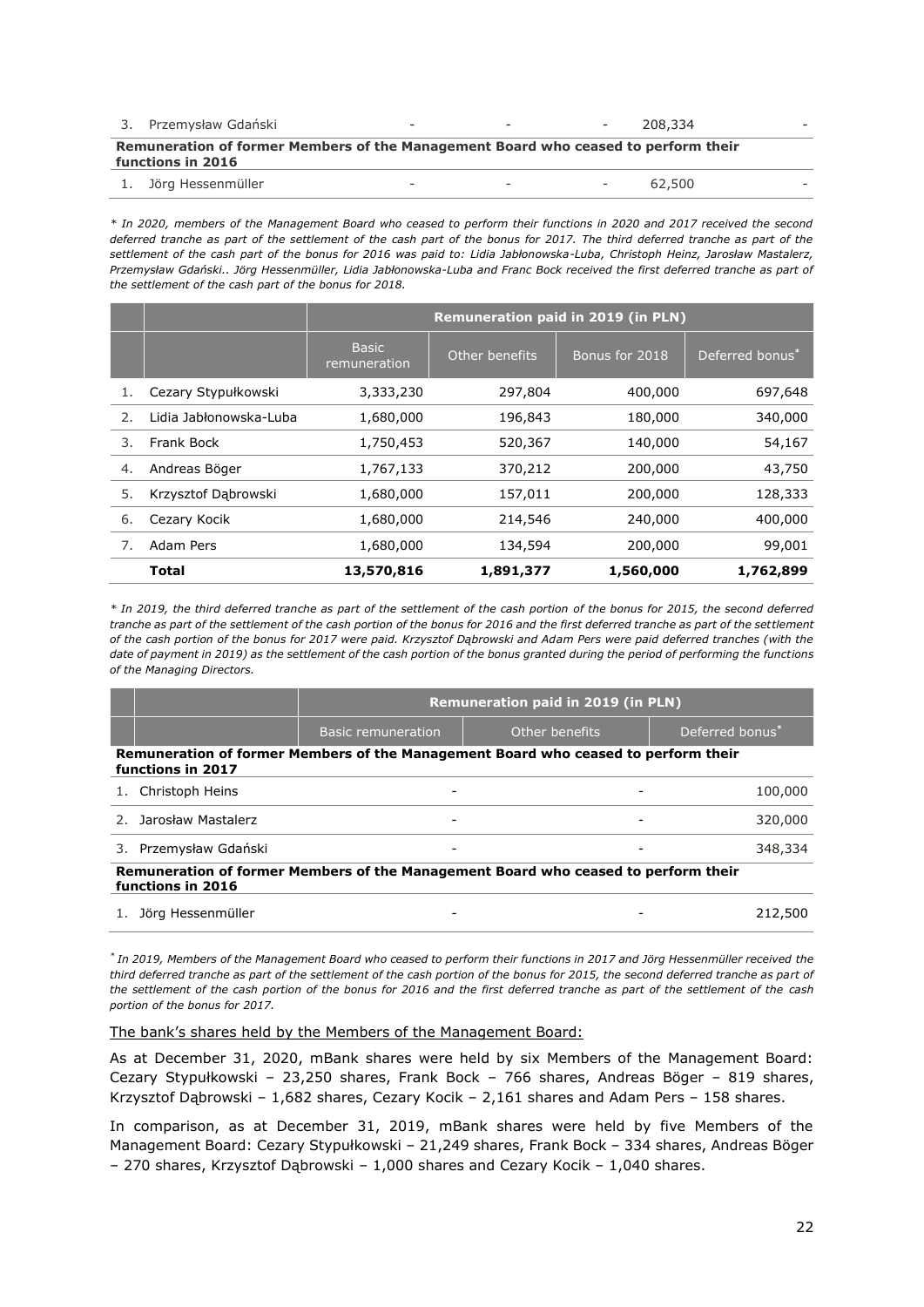| 3. Przemysław Gdański                                                                                   | $\overline{\phantom{0}}$ | $\overline{\phantom{a}}$ |        | $-208.334$ |  |  |
|---------------------------------------------------------------------------------------------------------|--------------------------|--------------------------|--------|------------|--|--|
| Remuneration of former Members of the Management Board who ceased to perform their<br>functions in 2016 |                          |                          |        |            |  |  |
| 1. Jörg Hessenmüller                                                                                    |                          | $\overline{\phantom{a}}$ | $\sim$ | 62.500     |  |  |

*\* In 2020, members of the Management Board who ceased to perform their functions in 2020 and 2017 received the second deferred tranche as part of the settlement of the cash part of the bonus for 2017. The third deferred tranche as part of the settlement of the cash part of the bonus for 2016 was paid to: Lidia Jabłonowska-Luba, Christoph Heinz, Jarosław Mastalerz, Przemysław Gdański.. Jörg Hessenmüller, Lidia Jabłonowska-Luba and Franc Bock received the first deferred tranche as part of the settlement of the cash part of the bonus for 2018.*

|    |                        | <b>Remuneration paid in 2019 (in PLN)</b> |                |                |                 |  |  |
|----|------------------------|-------------------------------------------|----------------|----------------|-----------------|--|--|
|    |                        | <b>Basic</b><br>remuneration              | Other benefits | Bonus for 2018 | Deferred bonus* |  |  |
| 1. | Cezary Stypułkowski    | 3,333,230                                 | 297,804        | 400,000        | 697,648         |  |  |
| 2. | Lidia Jabłonowska-Luba | 1,680,000                                 | 196,843        | 180,000        | 340,000         |  |  |
| 3. | Frank Bock             | 1,750,453                                 | 520,367        | 140,000        | 54,167          |  |  |
| 4. | Andreas Böger          | 1,767,133                                 | 370,212        | 200,000        | 43,750          |  |  |
| 5. | Krzysztof Dąbrowski    | 1,680,000                                 | 157,011        | 200,000        | 128,333         |  |  |
| 6. | Cezary Kocik           | 1,680,000                                 | 214,546        | 240,000        | 400,000         |  |  |
| 7. | Adam Pers              | 1,680,000                                 | 134,594        | 200,000        | 99,001          |  |  |
|    | <b>Total</b>           | 13,570,816                                | 1,891,377      | 1,560,000      | 1,762,899       |  |  |

*\* In 2019, the third deferred tranche as part of the settlement of the cash portion of the bonus for 2015, the second deferred tranche as part of the settlement of the cash portion of the bonus for 2016 and the first deferred tranche as part of the settlement of the cash portion of the bonus for 2017 were paid. Krzysztof Dąbrowski and Adam Pers were paid deferred tranches (with the date of payment in 2019) as the settlement of the cash portion of the bonus granted during the period of performing the functions of the Managing Directors.*

|                                                                                                         | <b>Remuneration paid in 2019 (in PLN)</b> |                |                 |  |  |  |  |  |
|---------------------------------------------------------------------------------------------------------|-------------------------------------------|----------------|-----------------|--|--|--|--|--|
|                                                                                                         | <b>Basic remuneration</b>                 | Other benefits | Deferred bonus* |  |  |  |  |  |
| Remuneration of former Members of the Management Board who ceased to perform their<br>functions in 2017 |                                           |                |                 |  |  |  |  |  |
| Christoph Heins                                                                                         |                                           |                | 100,000         |  |  |  |  |  |
| Jarosław Mastalerz                                                                                      |                                           |                | 320,000         |  |  |  |  |  |
| Przemysław Gdański<br>3.                                                                                |                                           |                | 348,334         |  |  |  |  |  |
| Remuneration of former Members of the Management Board who ceased to perform their<br>functions in 2016 |                                           |                |                 |  |  |  |  |  |
| Jörg Hessenmüller                                                                                       |                                           |                | 212,500         |  |  |  |  |  |

*\* In 2019, Members of the Management Board who ceased to perform their functions in 2017 and Jörg Hessenmüller received the*  third deferred tranche as part of the settlement of the cash portion of the bonus for 2015, the second deferred tranche as part of *the settlement of the cash portion of the bonus for 2016 and the first deferred tranche as part of the settlement of the cash portion of the bonus for 2017.*

The bank's shares held by the Members of the Management Board:

As at December 31, 2020, mBank shares were held by six Members of the Management Board: Cezary Stypułkowski – 23,250 shares, Frank Bock – 766 shares, Andreas Böger – 819 shares, Krzysztof Dąbrowski – 1,682 shares, Cezary Kocik – 2,161 shares and Adam Pers – 158 shares.

In comparison, as at December 31, 2019, mBank shares were held by five Members of the Management Board: Cezary Stypułkowski – 21,249 shares, Frank Bock – 334 shares, Andreas Böger – 270 shares, Krzysztof Dąbrowski – 1,000 shares and Cezary Kocik – 1,040 shares.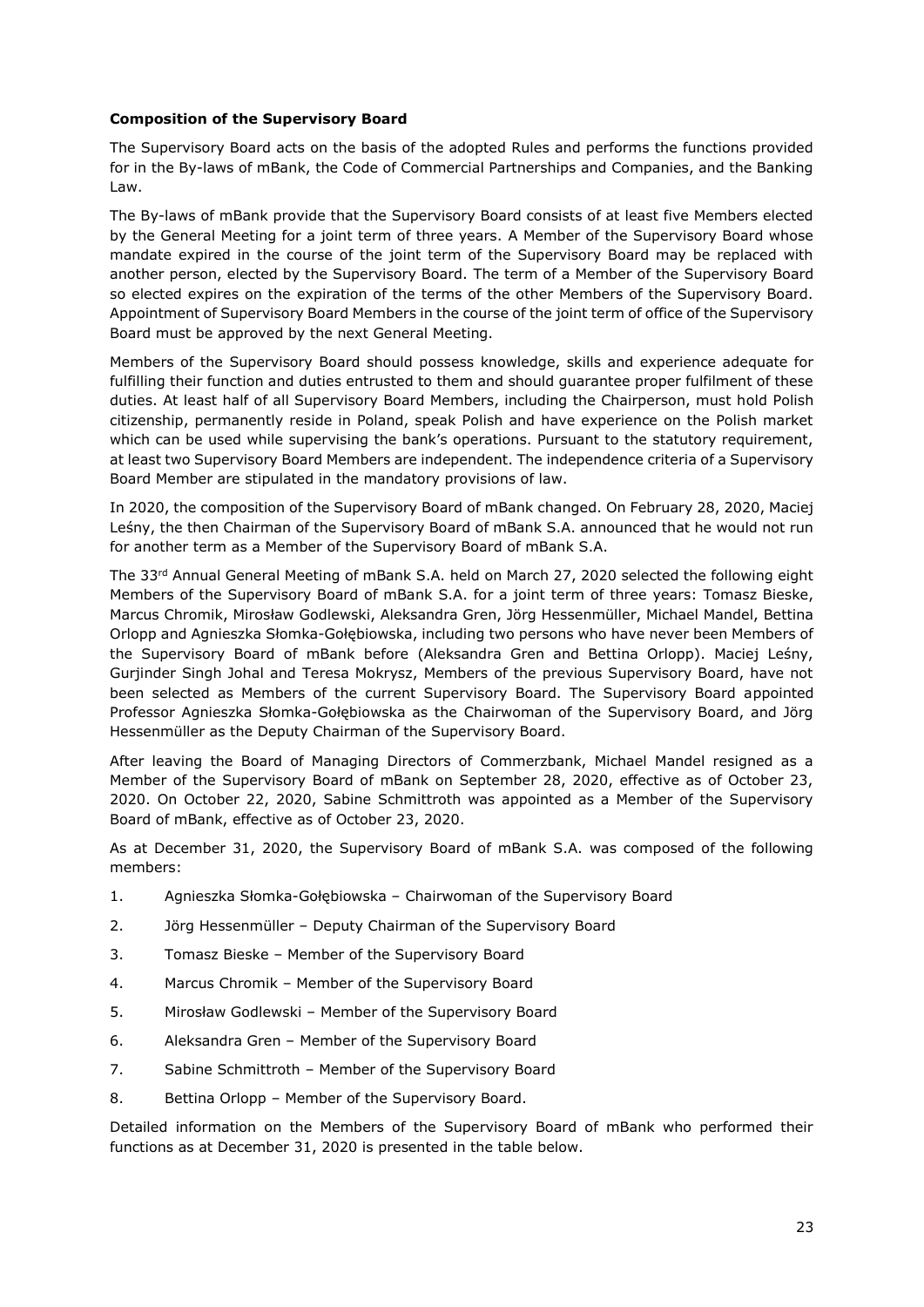## **Composition of the Supervisory Board**

The Supervisory Board acts on the basis of the adopted Rules and performs the functions provided for in the By-laws of mBank, the Code of Commercial Partnerships and Companies, and the Banking Law.

The By-laws of mBank provide that the Supervisory Board consists of at least five Members elected by the General Meeting for a joint term of three years. A Member of the Supervisory Board whose mandate expired in the course of the joint term of the Supervisory Board may be replaced with another person, elected by the Supervisory Board. The term of a Member of the Supervisory Board so elected expires on the expiration of the terms of the other Members of the Supervisory Board. Appointment of Supervisory Board Members in the course of the joint term of office of the Supervisory Board must be approved by the next General Meeting.

Members of the Supervisory Board should possess knowledge, skills and experience adequate for fulfilling their function and duties entrusted to them and should guarantee proper fulfilment of these duties. At least half of all Supervisory Board Members, including the Chairperson, must hold Polish citizenship, permanently reside in Poland, speak Polish and have experience on the Polish market which can be used while supervising the bank's operations. Pursuant to the statutory requirement, at least two Supervisory Board Members are independent. The independence criteria of a Supervisory Board Member are stipulated in the mandatory provisions of law.

In 2020, the composition of the Supervisory Board of mBank changed. On February 28, 2020, Maciej Leśny, the then Chairman of the Supervisory Board of mBank S.A. announced that he would not run for another term as a Member of the Supervisory Board of mBank S.A.

The 33rd Annual General Meeting of mBank S.A. held on March 27, 2020 selected the following eight Members of the Supervisory Board of mBank S.A. for a joint term of three years: Tomasz Bieske, Marcus Chromik, Mirosław Godlewski, Aleksandra Gren, Jörg Hessenmüller, Michael Mandel, Bettina Orlopp and Agnieszka Słomka-Gołębiowska, including two persons who have never been Members of the Supervisory Board of mBank before (Aleksandra Gren and Bettina Orlopp). Maciej Leśny, Gurjinder Singh Johal and Teresa Mokrysz, Members of the previous Supervisory Board, have not been selected as Members of the current Supervisory Board. The Supervisory Board appointed Professor Agnieszka Słomka-Gołębiowska as the Chairwoman of the Supervisory Board, and Jörg Hessenmüller as the Deputy Chairman of the Supervisory Board.

After leaving the Board of Managing Directors of Commerzbank, Michael Mandel resigned as a Member of the Supervisory Board of mBank on September 28, 2020, effective as of October 23, 2020. On October 22, 2020, Sabine Schmittroth was appointed as a Member of the Supervisory Board of mBank, effective as of October 23, 2020.

As at December 31, 2020, the Supervisory Board of mBank S.A. was composed of the following members:

- 1. Agnieszka Słomka-Gołębiowska Chairwoman of the Supervisory Board
- 2. Jörg Hessenmüller Deputy Chairman of the Supervisory Board
- 3. Tomasz Bieske Member of the Supervisory Board
- 4. Marcus Chromik Member of the Supervisory Board
- 5. Mirosław Godlewski Member of the Supervisory Board
- 6. Aleksandra Gren Member of the Supervisory Board
- 7. Sabine Schmittroth Member of the Supervisory Board
- 8. Bettina Orlopp Member of the Supervisory Board.

Detailed information on the Members of the Supervisory Board of mBank who performed their functions as at December 31, 2020 is presented in the table below.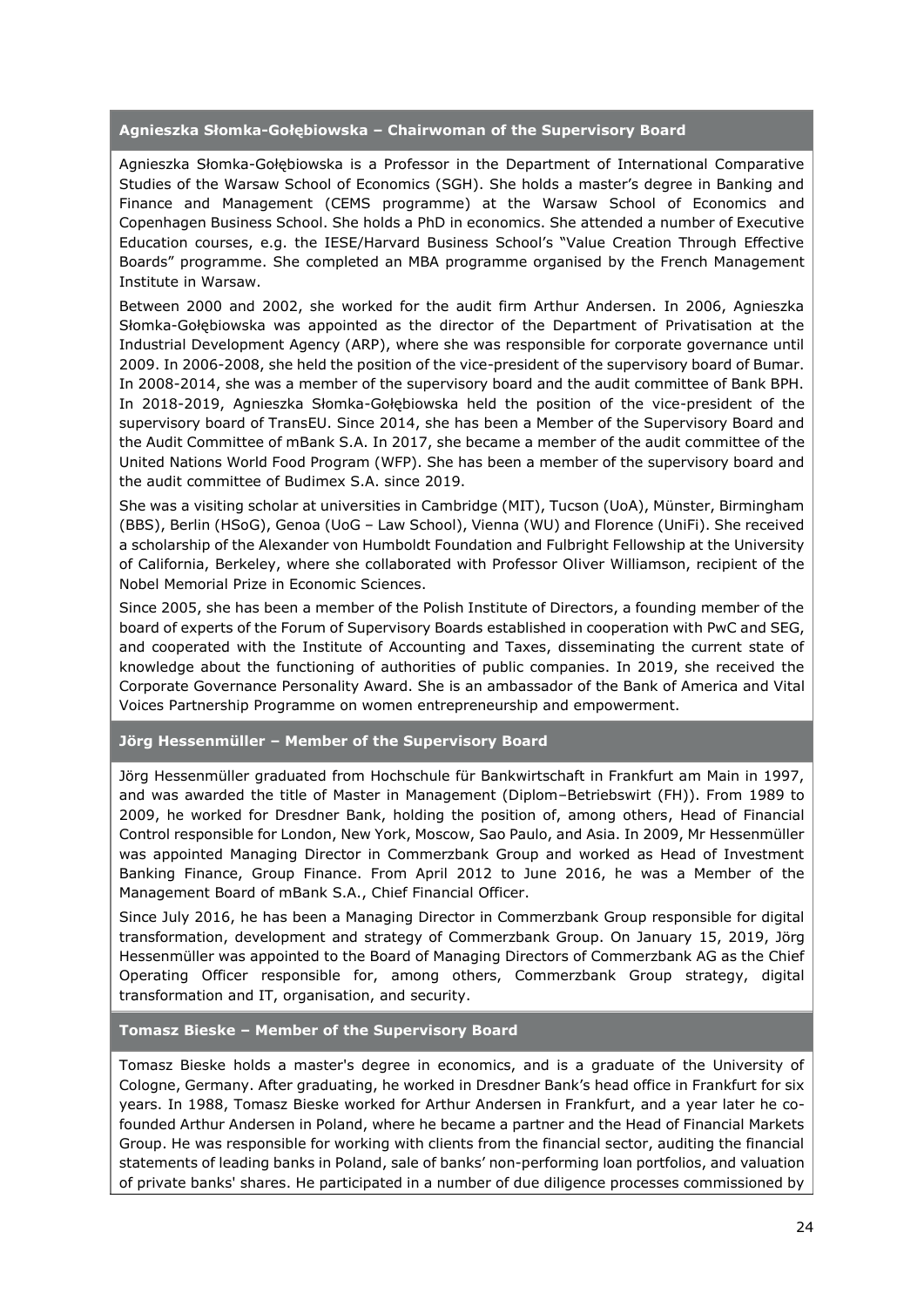**Agnieszka Słomka-Gołębiowska – Chairwoman of the Supervisory Board** 

Agnieszka Słomka-Gołębiowska is a Professor in the Department of International Comparative Studies of the Warsaw School of Economics (SGH). She holds a master's degree in Banking and Finance and Management (CEMS programme) at the Warsaw School of Economics and Copenhagen Business School. She holds a PhD in economics. She attended a number of Executive Education courses, e.g. the IESE/Harvard Business School's "Value Creation Through Effective Boards" programme. She completed an MBA programme organised by the French Management Institute in Warsaw.

Between 2000 and 2002, she worked for the audit firm Arthur Andersen. In 2006, Agnieszka Słomka-Gołębiowska was appointed as the director of the Department of Privatisation at the Industrial Development Agency (ARP), where she was responsible for corporate governance until 2009. In 2006-2008, she held the position of the vice-president of the supervisory board of Bumar. In 2008-2014, she was a member of the supervisory board and the audit committee of Bank BPH. In 2018-2019, Agnieszka Słomka-Gołębiowska held the position of the vice-president of the supervisory board of TransEU. Since 2014, she has been a Member of the Supervisory Board and the Audit Committee of mBank S.A. In 2017, she became a member of the audit committee of the United Nations World Food Program (WFP). She has been a member of the supervisory board and the audit committee of Budimex S.A. since 2019.

She was a visiting scholar at universities in Cambridge (MIT), Tucson (UoA), Münster, Birmingham (BBS), Berlin (HSoG), Genoa (UoG – Law School), Vienna (WU) and Florence (UniFi). She received a scholarship of the Alexander von Humboldt Foundation and Fulbright Fellowship at the University of California, Berkeley, where she collaborated with Professor Oliver Williamson, recipient of the Nobel Memorial Prize in Economic Sciences.

Since 2005, she has been a member of the Polish Institute of Directors, a founding member of the board of experts of the Forum of Supervisory Boards established in cooperation with PwC and SEG, and cooperated with the Institute of Accounting and Taxes, disseminating the current state of knowledge about the functioning of authorities of public companies. In 2019, she received the Corporate Governance Personality Award. She is an ambassador of the Bank of America and Vital Voices Partnership Programme on women entrepreneurship and empowerment.

## **Jörg Hessenmüller – Member of the Supervisory Board**

Jörg Hessenmüller graduated from Hochschule für Bankwirtschaft in Frankfurt am Main in 1997, and was awarded the title of Master in Management (Diplom–Betriebswirt (FH)). From 1989 to 2009, he worked for Dresdner Bank, holding the position of, among others, Head of Financial Control responsible for London, New York, Moscow, Sao Paulo, and Asia. In 2009, Mr Hessenmüller was appointed Managing Director in Commerzbank Group and worked as Head of Investment Banking Finance, Group Finance. From April 2012 to June 2016, he was a Member of the Management Board of mBank S.A., Chief Financial Officer.

Since July 2016, he has been a Managing Director in Commerzbank Group responsible for digital transformation, development and strategy of Commerzbank Group. On January 15, 2019, Jörg Hessenmüller was appointed to the Board of Managing Directors of Commerzbank AG as the Chief Operating Officer responsible for, among others, Commerzbank Group strategy, digital transformation and IT, organisation, and security.

## **Tomasz Bieske – Member of the Supervisory Board**

Tomasz Bieske holds a master's degree in economics, and is a graduate of the University of Cologne, Germany. After graduating, he worked in Dresdner Bank's head office in Frankfurt for six years. In 1988, Tomasz Bieske worked for Arthur Andersen in Frankfurt, and a year later he cofounded Arthur Andersen in Poland, where he became a partner and the Head of Financial Markets Group. He was responsible for working with clients from the financial sector, auditing the financial statements of leading banks in Poland, sale of banks' non-performing loan portfolios, and valuation of private banks' shares. He participated in a number of due diligence processes commissioned by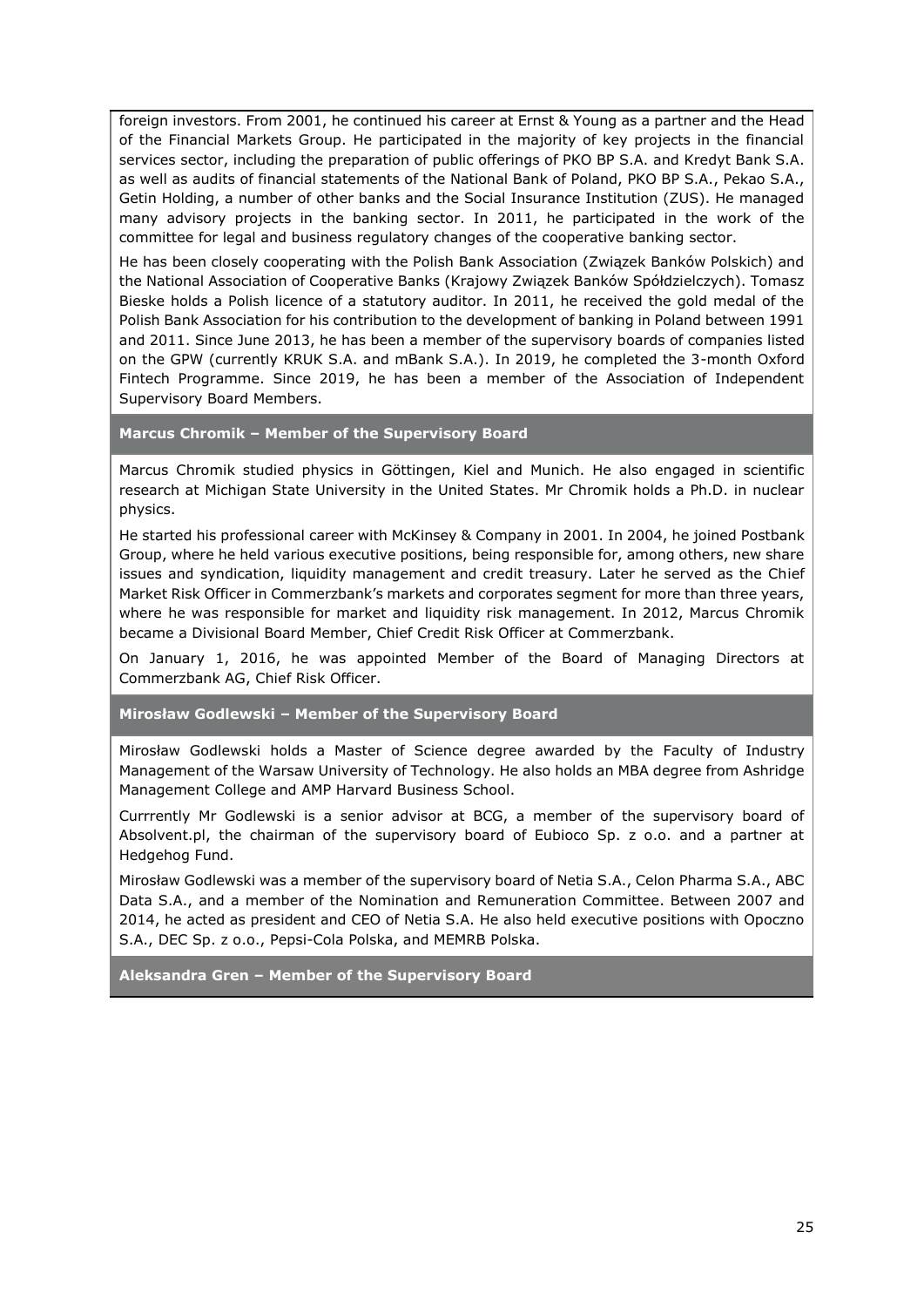foreign investors. From 2001, he continued his career at Ernst & Young as a partner and the Head of the Financial Markets Group. He participated in the majority of key projects in the financial services sector, including the preparation of public offerings of PKO BP S.A. and Kredyt Bank S.A. as well as audits of financial statements of the National Bank of Poland, PKO BP S.A., Pekao S.A., Getin Holding, a number of other banks and the Social Insurance Institution (ZUS). He managed many advisory projects in the banking sector. In 2011, he participated in the work of the committee for legal and business regulatory changes of the cooperative banking sector.

He has been closely cooperating with the Polish Bank Association (Związek Banków Polskich) and the National Association of Cooperative Banks (Krajowy Związek Banków Spółdzielczych). Tomasz Bieske holds a Polish licence of a statutory auditor. In 2011, he received the gold medal of the Polish Bank Association for his contribution to the development of banking in Poland between 1991 and 2011. Since June 2013, he has been a member of the supervisory boards of companies listed on the GPW (currently KRUK S.A. and mBank S.A.). In 2019, he completed the 3-month Oxford Fintech Programme. Since 2019, he has been a member of the Association of Independent Supervisory Board Members.

# **Marcus Chromik – Member of the Supervisory Board**

Marcus Chromik studied physics in Göttingen, Kiel and Munich. He also engaged in scientific research at Michigan State University in the United States. Mr Chromik holds a Ph.D. in nuclear physics.

He started his professional career with McKinsey & Company in 2001. In 2004, he joined Postbank Group, where he held various executive positions, being responsible for, among others, new share issues and syndication, liquidity management and credit treasury. Later he served as the Chief Market Risk Officer in Commerzbank's markets and corporates segment for more than three years, where he was responsible for market and liquidity risk management. In 2012, Marcus Chromik became a Divisional Board Member, Chief Credit Risk Officer at Commerzbank.

On January 1, 2016, he was appointed Member of the Board of Managing Directors at Commerzbank AG, Chief Risk Officer.

**Mirosław Godlewski – Member of the Supervisory Board**

Mirosław Godlewski holds a Master of Science degree awarded by the Faculty of Industry Management of the Warsaw University of Technology. He also holds an MBA degree from Ashridge Management College and AMP Harvard Business School.

Currrently Mr Godlewski is a senior advisor at BCG, a member of the supervisory board of Absolvent.pl, the chairman of the supervisory board of Eubioco Sp. z o.o. and a partner at Hedgehog Fund.

Mirosław Godlewski was a member of the supervisory board of Netia S.A., Celon Pharma S.A., ABC Data S.A., and a member of the Nomination and Remuneration Committee. Between 2007 and 2014, he acted as president and CEO of Netia S.A. He also held executive positions with Opoczno S.A., DEC Sp. z o.o., Pepsi-Cola Polska, and MEMRB Polska.

**Aleksandra Gren – Member of the Supervisory Board**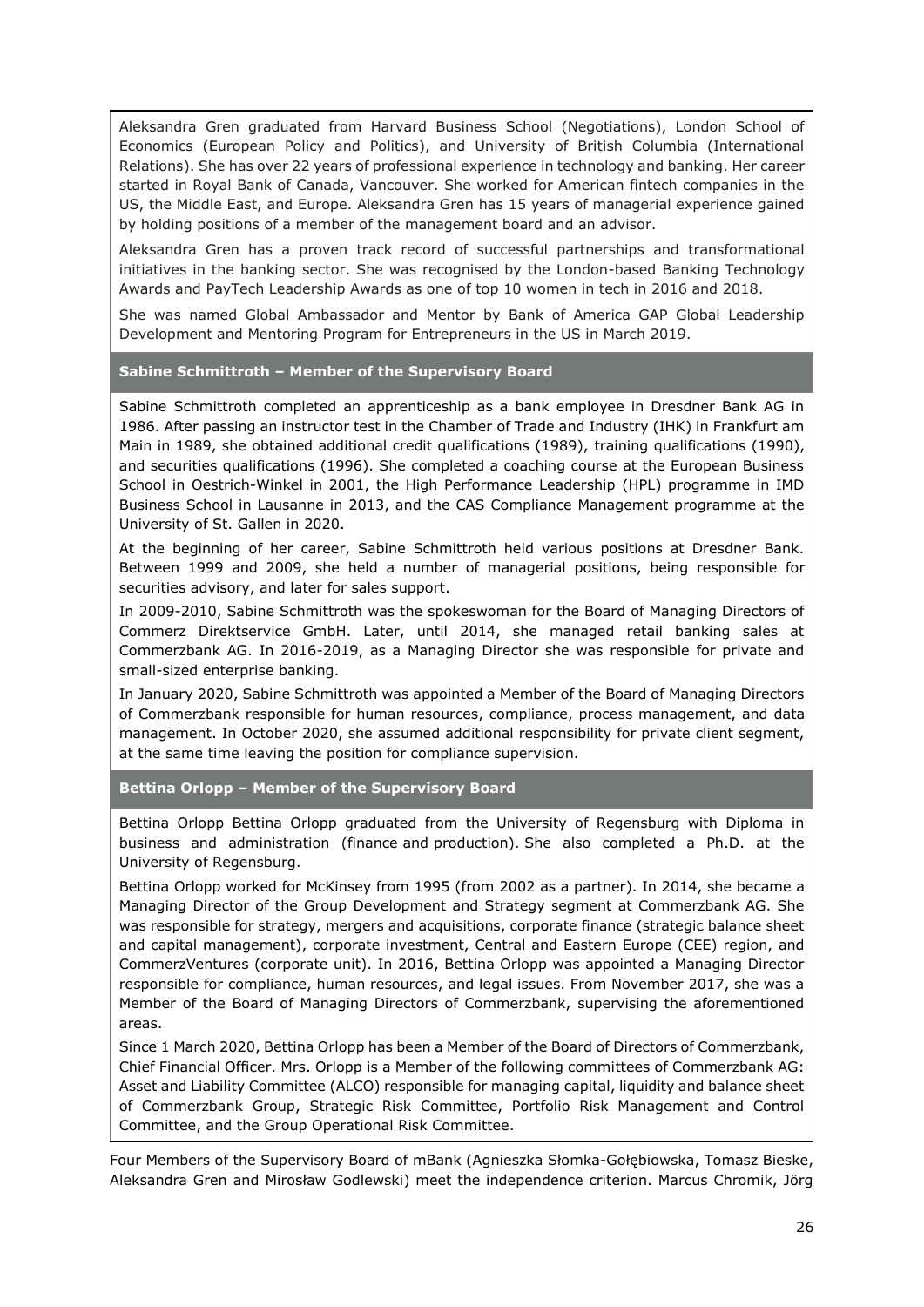Aleksandra Gren graduated from Harvard Business School (Negotiations), London School of Economics (European Policy and Politics), and University of British Columbia (International Relations). She has over 22 years of professional experience in technology and banking. Her career started in Royal Bank of Canada, Vancouver. She worked for American fintech companies in the US, the Middle East, and Europe. Aleksandra Gren has 15 years of managerial experience gained by holding positions of a member of the management board and an advisor.

Aleksandra Gren has a proven track record of successful partnerships and transformational initiatives in the banking sector. She was recognised by the London-based Banking Technology Awards and PayTech Leadership Awards as one of top 10 women in tech in 2016 and 2018.

She was named Global Ambassador and Mentor by Bank of America GAP Global Leadership Development and Mentoring Program for Entrepreneurs in the US in March 2019.

## **Sabine Schmittroth – Member of the Supervisory Board**

Sabine Schmittroth completed an apprenticeship as a bank employee in Dresdner Bank AG in 1986. After passing an instructor test in the Chamber of Trade and Industry (IHK) in Frankfurt am Main in 1989, she obtained additional credit qualifications (1989), training qualifications (1990), and securities qualifications (1996). She completed a coaching course at the European Business School in Oestrich-Winkel in 2001, the High Performance Leadership (HPL) programme in IMD Business School in Lausanne in 2013, and the CAS Compliance Management programme at the University of St. Gallen in 2020.

At the beginning of her career, Sabine Schmittroth held various positions at Dresdner Bank. Between 1999 and 2009, she held a number of managerial positions, being responsible for securities advisory, and later for sales support.

In 2009-2010, Sabine Schmittroth was the spokeswoman for the Board of Managing Directors of Commerz Direktservice GmbH. Later, until 2014, she managed retail banking sales at Commerzbank AG. In 2016-2019, as a Managing Director she was responsible for private and small-sized enterprise banking.

In January 2020, Sabine Schmittroth was appointed a Member of the Board of Managing Directors of Commerzbank responsible for human resources, compliance, process management, and data management. In October 2020, she assumed additional responsibility for private client segment, at the same time leaving the position for compliance supervision.

**Bettina Orlopp – Member of the Supervisory Board**

Bettina Orlopp Bettina Orlopp graduated from the University of Regensburg with Diploma in business and administration (finance and production). She also completed a Ph.D. at the University of Regensburg.

Bettina Orlopp worked for McKinsey from 1995 (from 2002 as a partner). In 2014, she became a Managing Director of the Group Development and Strategy segment at Commerzbank AG. She was responsible for strategy, mergers and acquisitions, corporate finance (strategic balance sheet and capital management), corporate investment, Central and Eastern Europe (CEE) region, and CommerzVentures (corporate unit). In 2016, Bettina Orlopp was appointed a Managing Director responsible for compliance, human resources, and legal issues. From November 2017, she was a Member of the Board of Managing Directors of Commerzbank, supervising the aforementioned areas.

Since 1 March 2020, Bettina Orlopp has been a Member of the Board of Directors of Commerzbank, Chief Financial Officer. Mrs. Orlopp is a Member of the following committees of Commerzbank AG: Asset and Liability Committee (ALCO) responsible for managing capital, liquidity and balance sheet of Commerzbank Group, Strategic Risk Committee, Portfolio Risk Management and Control Committee, and the Group Operational Risk Committee.

Four Members of the Supervisory Board of mBank (Agnieszka Słomka-Gołębiowska, Tomasz Bieske, Aleksandra Gren and Mirosław Godlewski) meet the independence criterion. Marcus Chromik, Jörg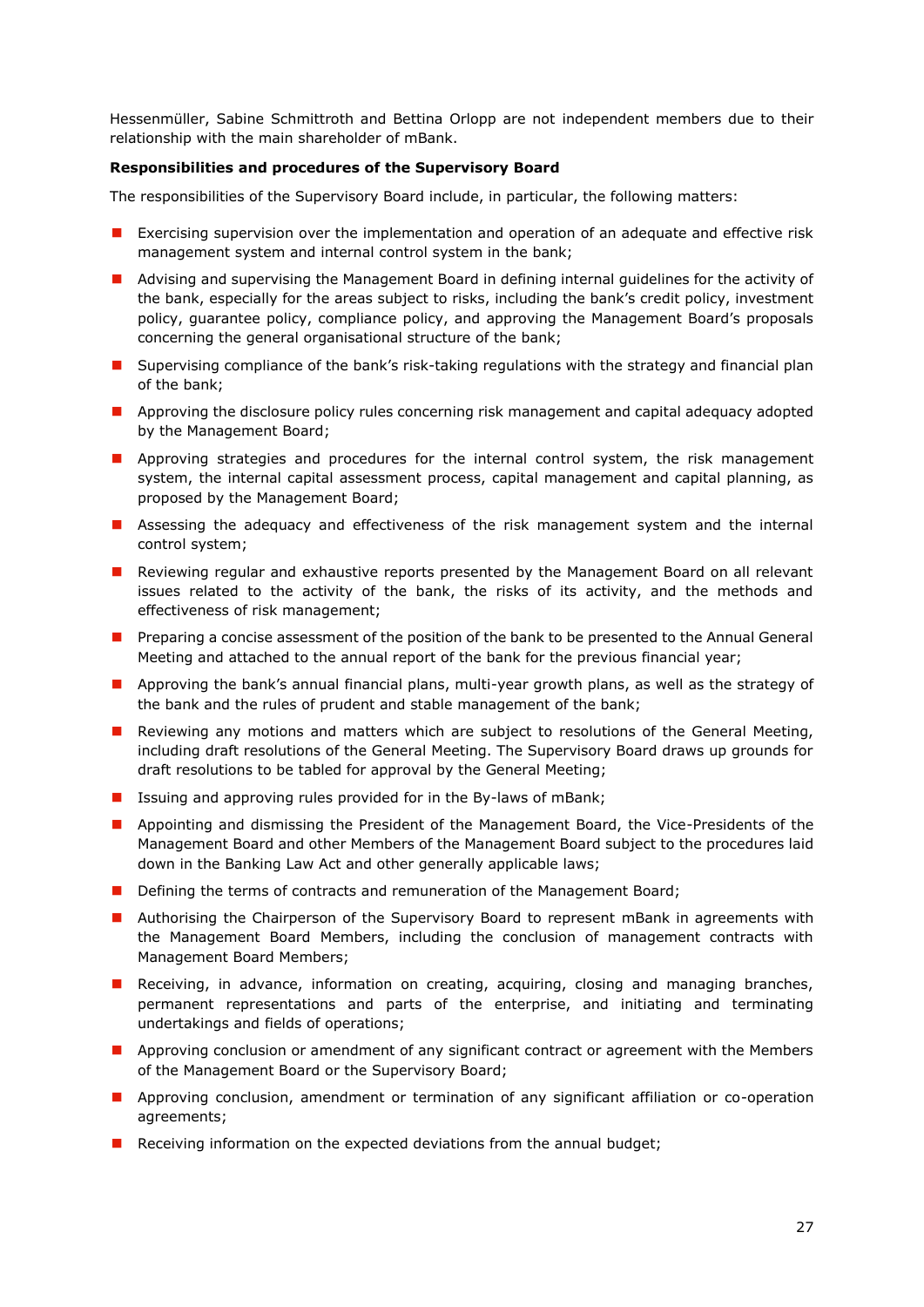Hessenmüller, Sabine Schmittroth and Bettina Orlopp are not independent members due to their relationship with the main shareholder of mBank.

## <span id="page-26-0"></span>**Responsibilities and procedures of the Supervisory Board**

The responsibilities of the Supervisory Board include, in particular, the following matters:

- **EXECT** Exercising supervision over the implementation and operation of an adequate and effective risk management system and internal control system in the bank;
- **A** Advising and supervising the Management Board in defining internal guidelines for the activity of the bank, especially for the areas subject to risks, including the bank's credit policy, investment policy, guarantee policy, compliance policy, and approving the Management Board's proposals concerning the general organisational structure of the bank;
- **I** Supervising compliance of the bank's risk-taking regulations with the strategy and financial plan of the bank;
- **Approving the disclosure policy rules concerning risk management and capital adequacy adopted** by the Management Board;
- **Approving strategies and procedures for the internal control system, the risk management** system, the internal capital assessment process, capital management and capital planning, as proposed by the Management Board;
- **Assessing the adequacy and effectiveness of the risk management system and the internal** control system;
- **Reviewing regular and exhaustive reports presented by the Management Board on all relevant** issues related to the activity of the bank, the risks of its activity, and the methods and effectiveness of risk management;
- **Preparing a concise assessment of the position of the bank to be presented to the Annual General** Meeting and attached to the annual report of the bank for the previous financial year;
- **Approving the bank's annual financial plans, multi-year growth plans, as well as the strategy of** the bank and the rules of prudent and stable management of the bank;
- **Reviewing any motions and matters which are subject to resolutions of the General Meeting,** including draft resolutions of the General Meeting. The Supervisory Board draws up grounds for draft resolutions to be tabled for approval by the General Meeting;
- **I** Issuing and approving rules provided for in the By-laws of mBank;
- **Appointing and dismissing the President of the Management Board, the Vice-Presidents of the** Management Board and other Members of the Management Board subject to the procedures laid down in the Banking Law Act and other generally applicable laws;
- Defining the terms of contracts and remuneration of the Management Board;
- **Authorising the Chairperson of the Supervisory Board to represent mBank in agreements with** the Management Board Members, including the conclusion of management contracts with Management Board Members;
- **Receiving, in advance, information on creating, acquiring, closing and managing branches,** permanent representations and parts of the enterprise, and initiating and terminating undertakings and fields of operations;
- **Approving conclusion or amendment of any significant contract or agreement with the Members** of the Management Board or the Supervisory Board;
- **Approving conclusion, amendment or termination of any significant affiliation or co-operation** agreements;
- Receiving information on the expected deviations from the annual budget;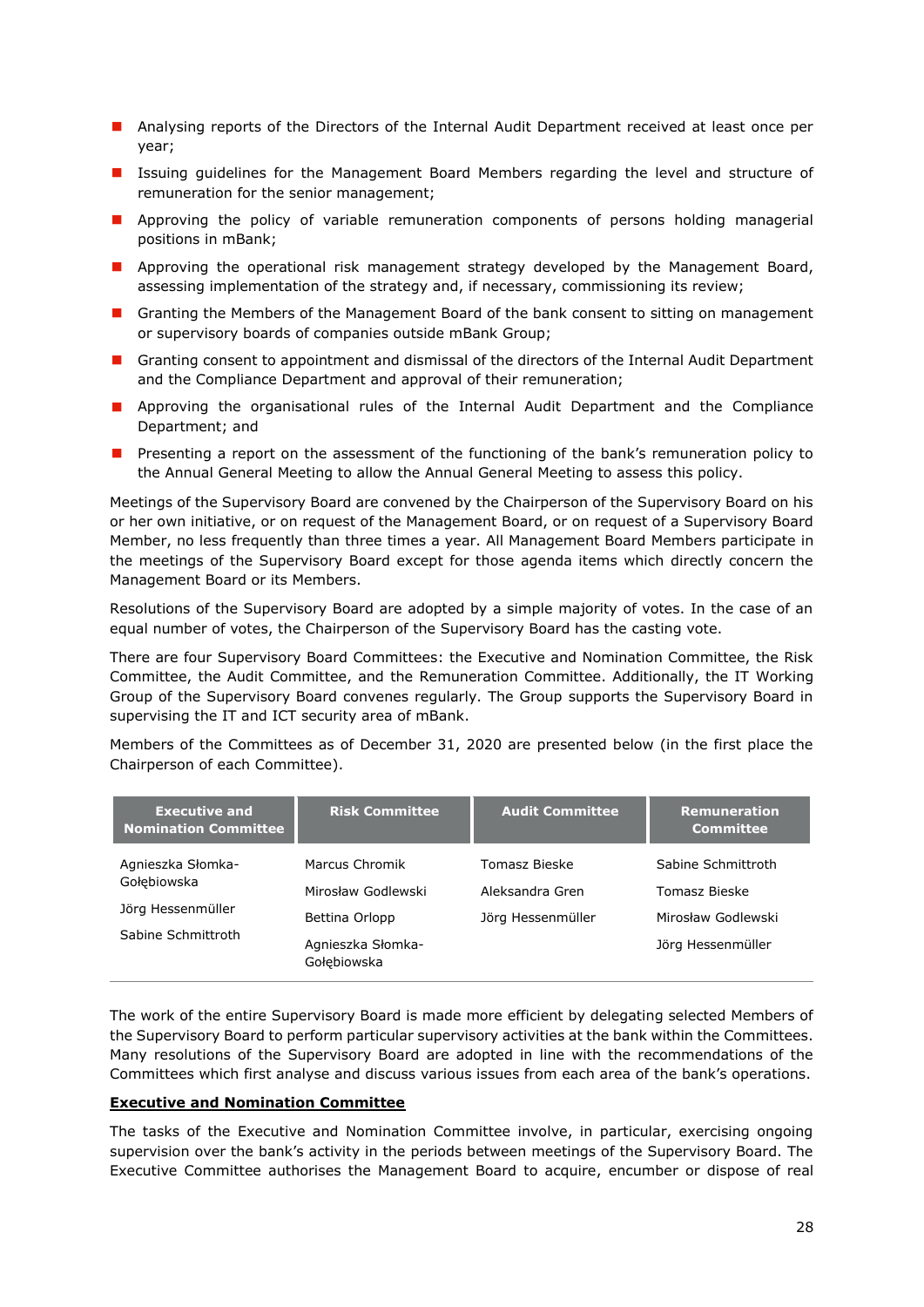- **Analysing reports of the Directors of the Internal Audit Department received at least once per** year;
- **I** Issuing guidelines for the Management Board Members regarding the level and structure of remuneration for the senior management;
- **Approving the policy of variable remuneration components of persons holding managerial** positions in mBank;
- **Approving the operational risk management strategy developed by the Management Board,** assessing implementation of the strategy and, if necessary, commissioning its review;
- **E** Granting the Members of the Management Board of the bank consent to sitting on management or supervisory boards of companies outside mBank Group;
- Granting consent to appointment and dismissal of the directors of the Internal Audit Department and the Compliance Department and approval of their remuneration;
- **Approving the organisational rules of the Internal Audit Department and the Compliance** Department; and
- **P** Presenting a report on the assessment of the functioning of the bank's remuneration policy to the Annual General Meeting to allow the Annual General Meeting to assess this policy.

Meetings of the Supervisory Board are convened by the Chairperson of the Supervisory Board on his or her own initiative, or on request of the Management Board, or on request of a Supervisory Board Member, no less frequently than three times a year. All Management Board Members participate in the meetings of the Supervisory Board except for those agenda items which directly concern the Management Board or its Members.

Resolutions of the Supervisory Board are adopted by a simple majority of votes. In the case of an equal number of votes, the Chairperson of the Supervisory Board has the casting vote.

There are four Supervisory Board Committees: the Executive and Nomination Committee, the Risk Committee, the Audit Committee, and the Remuneration Committee. Additionally, the IT Working Group of the Supervisory Board convenes regularly. The Group supports the Supervisory Board in supervising the IT and ICT security area of mBank.

Members of the Committees as of December 31, 2020 are presented below (in the first place the Chairperson of each Committee).

| <b>Executive and</b><br><b>Nomination Committee</b> | <b>Risk Committee</b>            | <b>Audit Committee</b> | <b>Remuneration</b><br><b>Committee</b> |
|-----------------------------------------------------|----------------------------------|------------------------|-----------------------------------------|
| Agnieszka Słomka-                                   | Marcus Chromik                   | Tomasz Bieske          | Sabine Schmittroth                      |
| Gołebiowska                                         | Mirosław Godlewski               | Aleksandra Gren        | Tomasz Bieske                           |
| Jörg Hessenmüller                                   | Bettina Orlopp                   | Jörg Hessenmüller      | Mirosław Godlewski                      |
| Sabine Schmittroth                                  | Agnieszka Słomka-<br>Gołebiowska |                        | Jörg Hessenmüller                       |

The work of the entire Supervisory Board is made more efficient by delegating selected Members of the Supervisory Board to perform particular supervisory activities at the bank within the Committees. Many resolutions of the Supervisory Board are adopted in line with the recommendations of the Committees which first analyse and discuss various issues from each area of the bank's operations.

## **Executive and Nomination Committee**

The tasks of the Executive and Nomination Committee involve, in particular, exercising ongoing supervision over the bank's activity in the periods between meetings of the Supervisory Board. The Executive Committee authorises the Management Board to acquire, encumber or dispose of real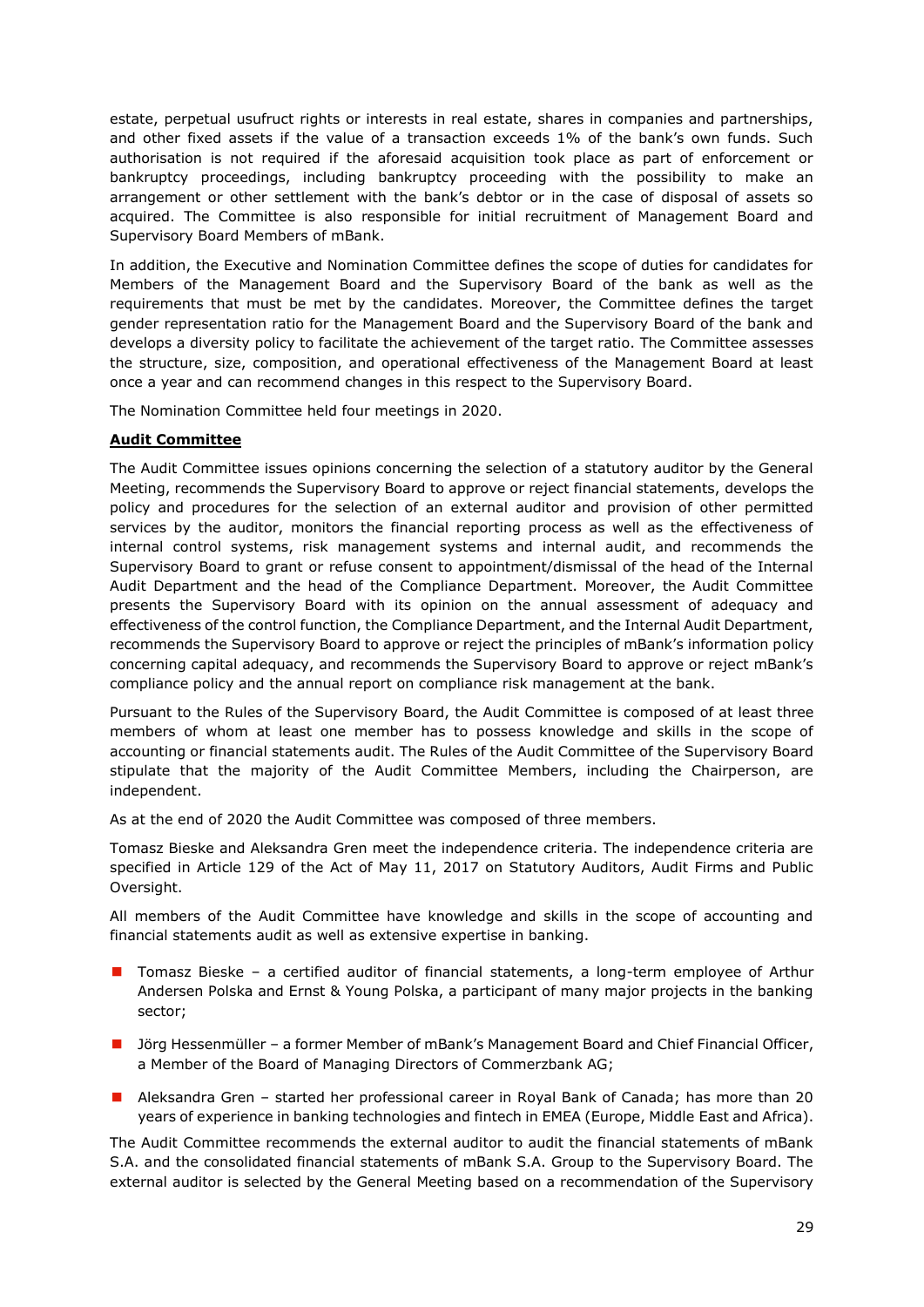estate, perpetual usufruct rights or interests in real estate, shares in companies and partnerships, and other fixed assets if the value of a transaction exceeds 1% of the bank's own funds. Such authorisation is not required if the aforesaid acquisition took place as part of enforcement or bankruptcy proceedings, including bankruptcy proceeding with the possibility to make an arrangement or other settlement with the bank's debtor or in the case of disposal of assets so acquired. The Committee is also responsible for initial recruitment of Management Board and Supervisory Board Members of mBank.

In addition, the Executive and Nomination Committee defines the scope of duties for candidates for Members of the Management Board and the Supervisory Board of the bank as well as the requirements that must be met by the candidates. Moreover, the Committee defines the target gender representation ratio for the Management Board and the Supervisory Board of the bank and develops a diversity policy to facilitate the achievement of the target ratio. The Committee assesses the structure, size, composition, and operational effectiveness of the Management Board at least once a year and can recommend changes in this respect to the Supervisory Board.

The Nomination Committee held four meetings in 2020.

# **Audit Committee**

The Audit Committee issues opinions concerning the selection of a statutory auditor by the General Meeting, recommends the Supervisory Board to approve or reject financial statements, develops the policy and procedures for the selection of an external auditor and provision of other permitted services by the auditor, monitors the financial reporting process as well as the effectiveness of internal control systems, risk management systems and internal audit, and recommends the Supervisory Board to grant or refuse consent to appointment/dismissal of the head of the Internal Audit Department and the head of the Compliance Department. Moreover, the Audit Committee presents the Supervisory Board with its opinion on the annual assessment of adequacy and effectiveness of the control function, the Compliance Department, and the Internal Audit Department, recommends the Supervisory Board to approve or reject the principles of mBank's information policy concerning capital adequacy, and recommends the Supervisory Board to approve or reject mBank's compliance policy and the annual report on compliance risk management at the bank.

Pursuant to the Rules of the Supervisory Board, the Audit Committee is composed of at least three members of whom at least one member has to possess knowledge and skills in the scope of accounting or financial statements audit. The Rules of the Audit Committee of the Supervisory Board stipulate that the majority of the Audit Committee Members, including the Chairperson, are independent.

As at the end of 2020 the Audit Committee was composed of three members.

Tomasz Bieske and Aleksandra Gren meet the independence criteria. The independence criteria are specified in Article 129 of the Act of May 11, 2017 on Statutory Auditors, Audit Firms and Public Oversight.

All members of the Audit Committee have knowledge and skills in the scope of accounting and financial statements audit as well as extensive expertise in banking.

- Tomasz Bieske a certified auditor of financial statements, a long-term employee of Arthur Andersen Polska and Ernst & Young Polska, a participant of many major projects in the banking sector;
- **Jorg Hessenmüller a former Member of mBank's Management Board and Chief Financial Officer,** a Member of the Board of Managing Directors of Commerzbank AG;
- Aleksandra Gren started her professional career in Royal Bank of Canada; has more than 20 years of experience in banking technologies and fintech in EMEA (Europe, Middle East and Africa).

The Audit Committee recommends the external auditor to audit the financial statements of mBank S.A. and the consolidated financial statements of mBank S.A. Group to the Supervisory Board. The external auditor is selected by the General Meeting based on a recommendation of the Supervisory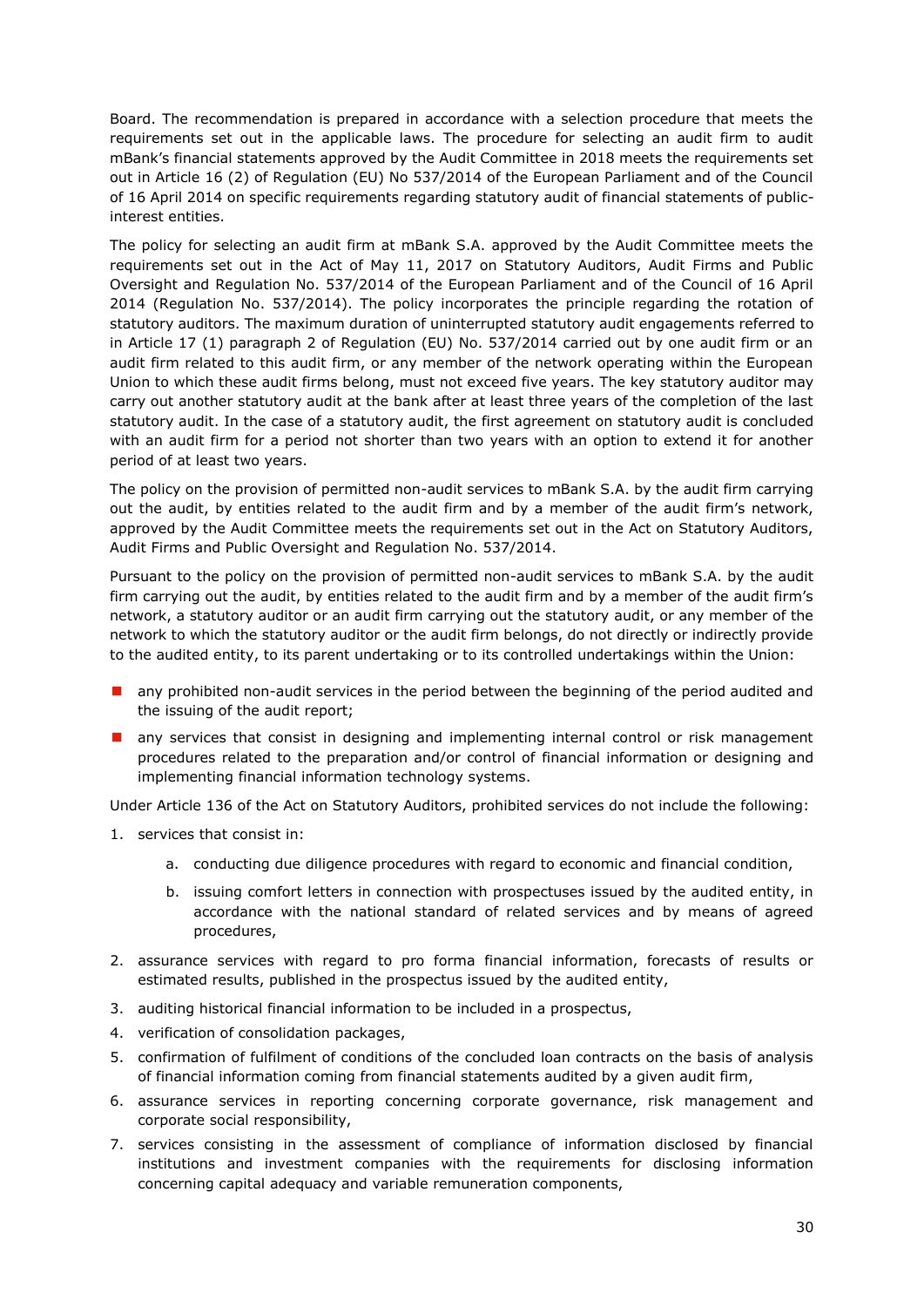Board. The recommendation is prepared in accordance with a selection procedure that meets the requirements set out in the applicable laws. The procedure for selecting an audit firm to audit mBank's financial statements approved by the Audit Committee in 2018 meets the requirements set out in Article 16 (2) of Regulation (EU) No 537/2014 of the European Parliament and of the Council of 16 April 2014 on specific requirements regarding statutory audit of financial statements of publicinterest entities.

The policy for selecting an audit firm at mBank S.A. approved by the Audit Committee meets the requirements set out in the Act of May 11, 2017 on Statutory Auditors, Audit Firms and Public Oversight and Regulation No. 537/2014 of the European Parliament and of the Council of 16 April 2014 (Regulation No. 537/2014). The policy incorporates the principle regarding the rotation of statutory auditors. The maximum duration of uninterrupted statutory audit engagements referred to in Article 17 (1) paragraph 2 of Regulation (EU) No. 537/2014 carried out by one audit firm or an audit firm related to this audit firm, or any member of the network operating within the European Union to which these audit firms belong, must not exceed five years. The key statutory auditor may carry out another statutory audit at the bank after at least three years of the completion of the last statutory audit. In the case of a statutory audit, the first agreement on statutory audit is concluded with an audit firm for a period not shorter than two years with an option to extend it for another period of at least two years.

The policy on the provision of permitted non-audit services to mBank S.A. by the audit firm carrying out the audit, by entities related to the audit firm and by a member of the audit firm's network, approved by the Audit Committee meets the requirements set out in the Act on Statutory Auditors, Audit Firms and Public Oversight and Regulation No. 537/2014.

Pursuant to the policy on the provision of permitted non-audit services to mBank S.A. by the audit firm carrying out the audit, by entities related to the audit firm and by a member of the audit firm's network, a statutory auditor or an audit firm carrying out the statutory audit, or any member of the network to which the statutory auditor or the audit firm belongs, do not directly or indirectly provide to the audited entity, to its parent undertaking or to its controlled undertakings within the Union:

- any prohibited non-audit services in the period between the beginning of the period audited and the issuing of the audit report;
- **a** any services that consist in designing and implementing internal control or risk management procedures related to the preparation and/or control of financial information or designing and implementing financial information technology systems.

Under Article 136 of the Act on Statutory Auditors, prohibited services do not include the following:

- 1. services that consist in:
	- a. conducting due diligence procedures with regard to economic and financial condition,
	- b. issuing comfort letters in connection with prospectuses issued by the audited entity, in accordance with the national standard of related services and by means of agreed procedures,
- 2. assurance services with regard to pro forma financial information, forecasts of results or estimated results, published in the prospectus issued by the audited entity,
- 3. auditing historical financial information to be included in a prospectus,
- 4. verification of consolidation packages,
- 5. confirmation of fulfilment of conditions of the concluded loan contracts on the basis of analysis of financial information coming from financial statements audited by a given audit firm,
- 6. assurance services in reporting concerning corporate governance, risk management and corporate social responsibility,
- 7. services consisting in the assessment of compliance of information disclosed by financial institutions and investment companies with the requirements for disclosing information concerning capital adequacy and variable remuneration components,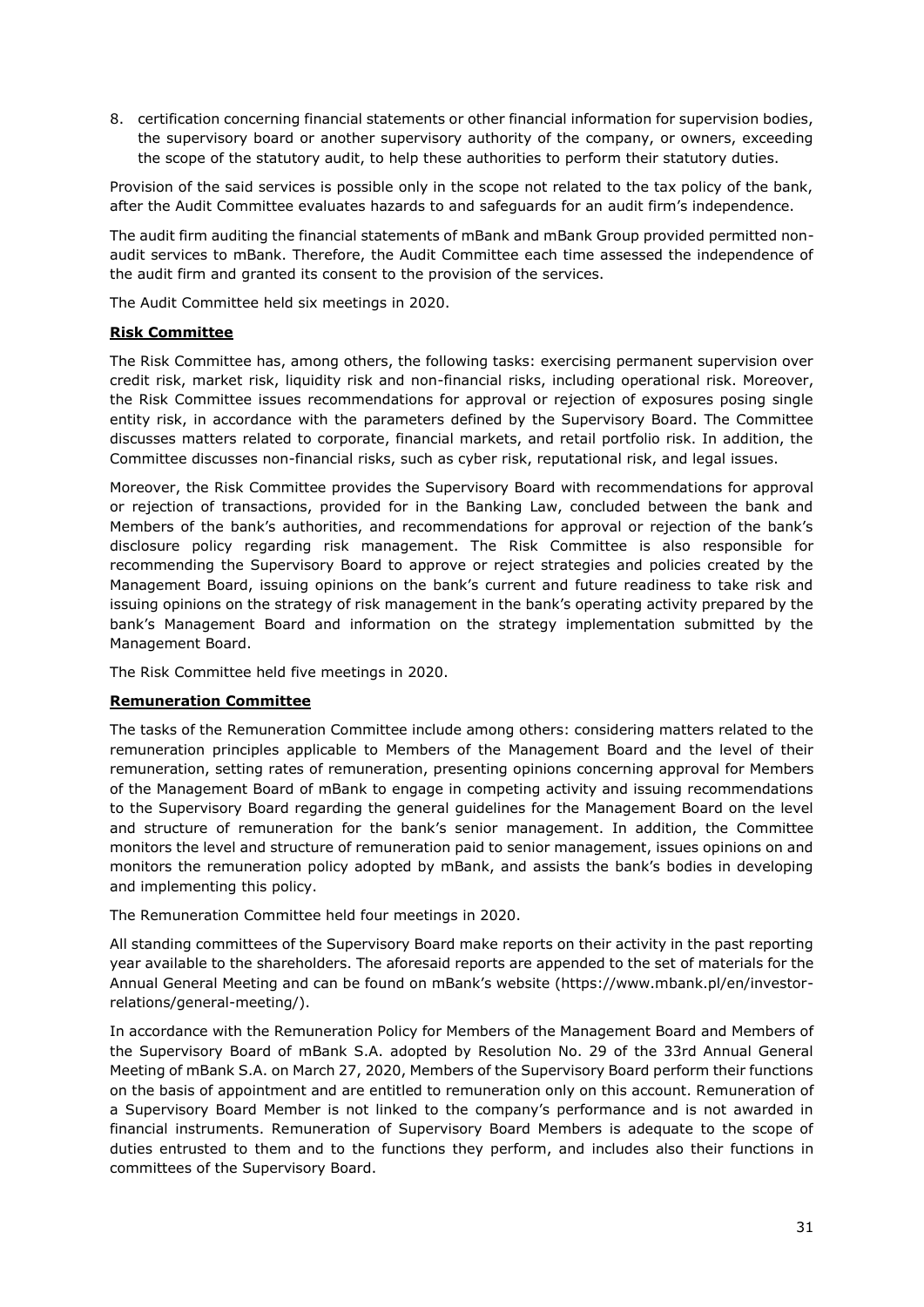8. certification concerning financial statements or other financial information for supervision bodies, the supervisory board or another supervisory authority of the company, or owners, exceeding the scope of the statutory audit, to help these authorities to perform their statutory duties.

Provision of the said services is possible only in the scope not related to the tax policy of the bank, after the Audit Committee evaluates hazards to and safeguards for an audit firm's independence.

The audit firm auditing the financial statements of mBank and mBank Group provided permitted nonaudit services to mBank. Therefore, the Audit Committee each time assessed the independence of the audit firm and granted its consent to the provision of the services.

The Audit Committee held six meetings in 2020.

# **Risk Committee**

The Risk Committee has, among others, the following tasks: exercising permanent supervision over credit risk, market risk, liquidity risk and non-financial risks, including operational risk. Moreover, the Risk Committee issues recommendations for approval or rejection of exposures posing single entity risk, in accordance with the parameters defined by the Supervisory Board. The Committee discusses matters related to corporate, financial markets, and retail portfolio risk. In addition, the Committee discusses non-financial risks, such as cyber risk, reputational risk, and legal issues.

Moreover, the Risk Committee provides the Supervisory Board with recommendations for approval or rejection of transactions, provided for in the Banking Law, concluded between the bank and Members of the bank's authorities, and recommendations for approval or rejection of the bank's disclosure policy regarding risk management. The Risk Committee is also responsible for recommending the Supervisory Board to approve or reject strategies and policies created by the Management Board, issuing opinions on the bank's current and future readiness to take risk and issuing opinions on the strategy of risk management in the bank's operating activity prepared by the bank's Management Board and information on the strategy implementation submitted by the Management Board.

The Risk Committee held five meetings in 2020.

# **Remuneration Committee**

The tasks of the Remuneration Committee include among others: considering matters related to the remuneration principles applicable to Members of the Management Board and the level of their remuneration, setting rates of remuneration, presenting opinions concerning approval for Members of the Management Board of mBank to engage in competing activity and issuing recommendations to the Supervisory Board regarding the general guidelines for the Management Board on the level and structure of remuneration for the bank's senior management. In addition, the Committee monitors the level and structure of remuneration paid to senior management, issues opinions on and monitors the remuneration policy adopted by mBank, and assists the bank's bodies in developing and implementing this policy.

The Remuneration Committee held four meetings in 2020.

All standing committees of the Supervisory Board make reports on their activity in the past reporting year available to the shareholders. The aforesaid reports are appended to the set of materials for the Annual General Meeting and can be found on mBank's website (https://www.mbank.pl/en/investorrelations/general-meeting/).

In accordance with the Remuneration Policy for Members of the Management Board and Members of the Supervisory Board of mBank S.A. adopted by Resolution No. 29 of the 33rd Annual General Meeting of mBank S.A. on March 27, 2020, Members of the Supervisory Board perform their functions on the basis of appointment and are entitled to remuneration only on this account. Remuneration of a Supervisory Board Member is not linked to the company's performance and is not awarded in financial instruments. Remuneration of Supervisory Board Members is adequate to the scope of duties entrusted to them and to the functions they perform, and includes also their functions in committees of the Supervisory Board.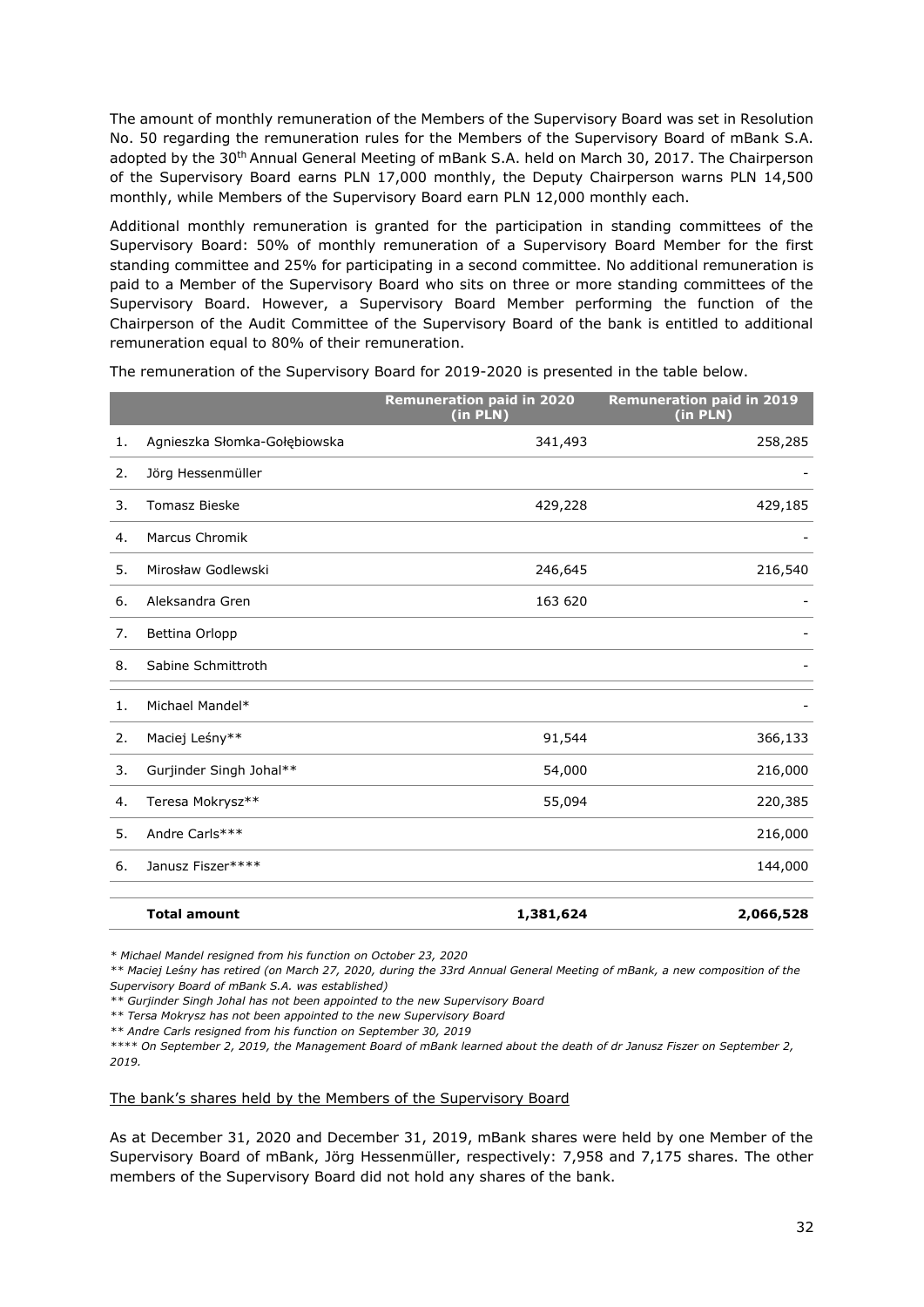The amount of monthly remuneration of the Members of the Supervisory Board was set in Resolution No. 50 regarding the remuneration rules for the Members of the Supervisory Board of mBank S.A. adopted by the 30<sup>th</sup> Annual General Meeting of mBank S.A. held on March 30, 2017. The Chairperson of the Supervisory Board earns PLN 17,000 monthly, the Deputy Chairperson warns PLN 14,500 monthly, while Members of the Supervisory Board earn PLN 12,000 monthly each.

Additional monthly remuneration is granted for the participation in standing committees of the Supervisory Board: 50% of monthly remuneration of a Supervisory Board Member for the first standing committee and 25% for participating in a second committee. No additional remuneration is paid to a Member of the Supervisory Board who sits on three or more standing committees of the Supervisory Board. However, a Supervisory Board Member performing the function of the Chairperson of the Audit Committee of the Supervisory Board of the bank is entitled to additional remuneration equal to 80% of their remuneration.

|    |                              | <b>Remuneration paid in 2020</b><br>(in PLN) | <b>Remuneration paid in 2019</b><br>(in PLN) |
|----|------------------------------|----------------------------------------------|----------------------------------------------|
| 1. | Agnieszka Słomka-Gołębiowska | 341,493                                      | 258,285                                      |
| 2. | Jörg Hessenmüller            |                                              |                                              |
| 3. | <b>Tomasz Bieske</b>         | 429,228                                      | 429,185                                      |
| 4. | <b>Marcus Chromik</b>        |                                              |                                              |
| 5. | Mirosław Godlewski           | 246,645                                      | 216,540                                      |
| 6. | Aleksandra Gren              | 163 620                                      |                                              |
| 7. | Bettina Orlopp               |                                              |                                              |
| 8. | Sabine Schmittroth           |                                              |                                              |
| 1. | Michael Mandel*              |                                              |                                              |
| 2. | Maciej Leśny**               | 91,544                                       | 366,133                                      |
| 3. | Gurjinder Singh Johal**      | 54,000                                       | 216,000                                      |
| 4. | Teresa Mokrysz**             | 55,094                                       | 220,385                                      |
| 5. | Andre Carls***               |                                              | 216,000                                      |
| 6. | Janusz Fiszer****            |                                              | 144,000                                      |
|    | <b>Total amount</b>          | 1,381,624                                    | 2,066,528                                    |

The remuneration of the Supervisory Board for 2019-2020 is presented in the table below.

*\* Michael Mandel resigned from his function on October 23, 2020*

*\*\* Maciej Leśny has retired (on March 27, 2020, during the 33rd Annual General Meeting of mBank, a new composition of the Supervisory Board of mBank S.A. was established)*

*\*\* Gurjinder Singh Johal has not been appointed to the new Supervisory Board*

*\*\* Tersa Mokrysz has not been appointed to the new Supervisory Board*

*\*\* Andre Carls resigned from his function on September 30, 2019*

*\*\*\*\* On September 2, 2019, the Management Board of mBank learned about the death of dr Janusz Fiszer on September 2, 2019.*

#### The bank's shares held by the Members of the Supervisory Board

As at December 31, 2020 and December 31, 2019, mBank shares were held by one Member of the Supervisory Board of mBank, Jörg Hessenmüller, respectively: 7,958 and 7,175 shares. The other members of the Supervisory Board did not hold any shares of the bank.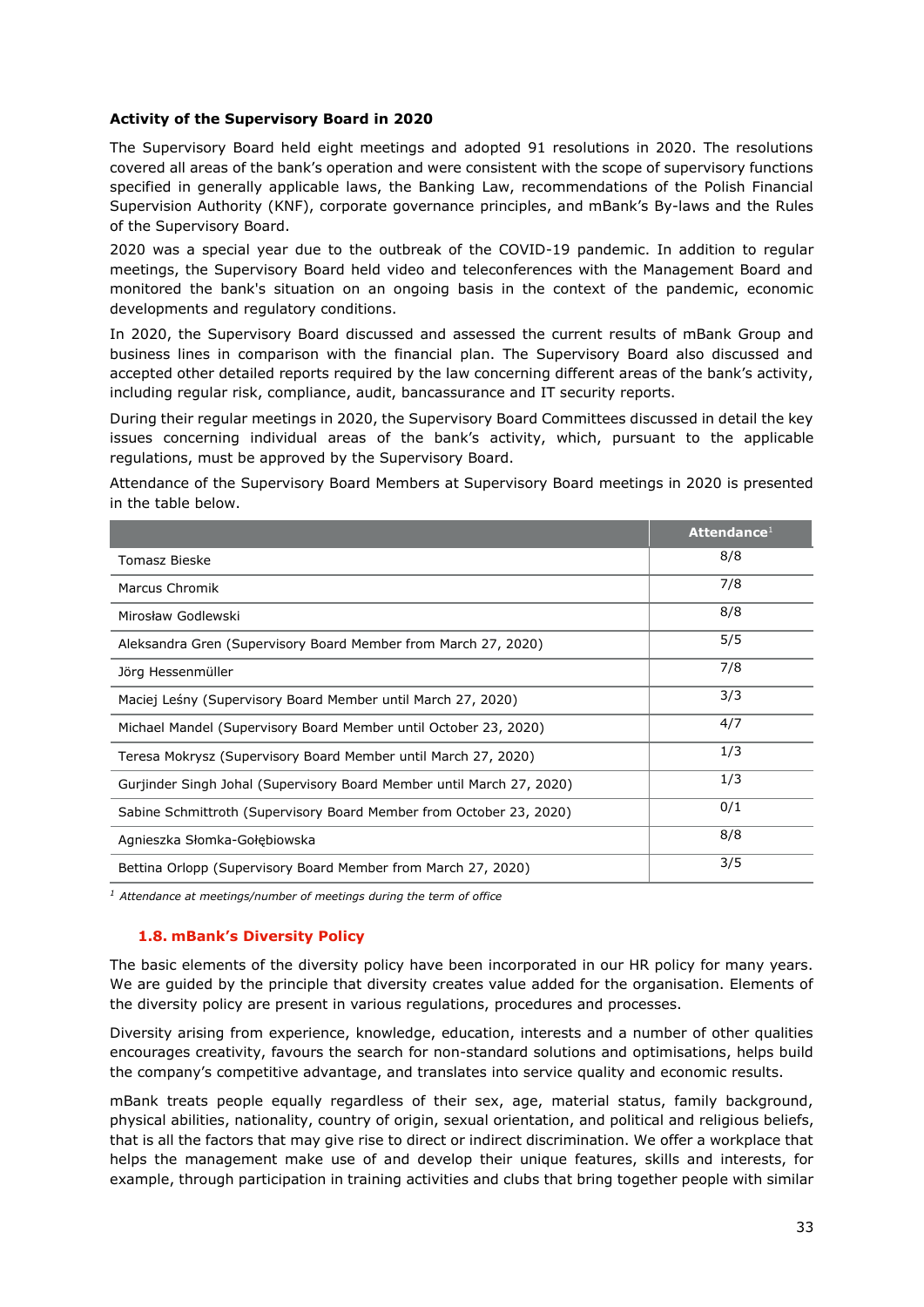## **Activity of the Supervisory Board in 2020**

The Supervisory Board held eight meetings and adopted 91 resolutions in 2020. The resolutions covered all areas of the bank's operation and were consistent with the scope of supervisory functions specified in generally applicable laws, the Banking Law, recommendations of the Polish Financial Supervision Authority (KNF), corporate governance principles, and mBank's By-laws and the Rules of the Supervisory Board.

2020 was a special year due to the outbreak of the COVID-19 pandemic. In addition to regular meetings, the Supervisory Board held video and teleconferences with the Management Board and monitored the bank's situation on an ongoing basis in the context of the pandemic, economic developments and regulatory conditions.

In 2020, the Supervisory Board discussed and assessed the current results of mBank Group and business lines in comparison with the financial plan. The Supervisory Board also discussed and accepted other detailed reports required by the law concerning different areas of the bank's activity, including regular risk, compliance, audit, bancassurance and IT security reports.

During their regular meetings in 2020, the Supervisory Board Committees discussed in detail the key issues concerning individual areas of the bank's activity, which, pursuant to the applicable regulations, must be approved by the Supervisory Board.

Attendance of the Supervisory Board Members at Supervisory Board meetings in 2020 is presented in the table below.

|                                                                       | Attendance <sup>1</sup> |
|-----------------------------------------------------------------------|-------------------------|
| <b>Tomasz Bieske</b>                                                  | 8/8                     |
| Marcus Chromik                                                        | 7/8                     |
| Mirosław Godlewski                                                    | 8/8                     |
| Aleksandra Gren (Supervisory Board Member from March 27, 2020)        | 5/5                     |
| Jörg Hessenmüller                                                     | 7/8                     |
| Maciej Leśny (Supervisory Board Member until March 27, 2020)          | 3/3                     |
| Michael Mandel (Supervisory Board Member until October 23, 2020)      | 4/7                     |
| Teresa Mokrysz (Supervisory Board Member until March 27, 2020)        | 1/3                     |
| Gurjinder Singh Johal (Supervisory Board Member until March 27, 2020) | 1/3                     |
| Sabine Schmittroth (Supervisory Board Member from October 23, 2020)   | 0/1                     |
| Agnieszka Słomka-Gołębiowska                                          | 8/8                     |
| Bettina Orlopp (Supervisory Board Member from March 27, 2020)         | 3/5                     |

*<sup>1</sup> Attendance at meetings/number of meetings during the term of office*

# **1.8. mBank's Diversity Policy**

<span id="page-32-0"></span>The basic elements of the diversity policy have been incorporated in our HR policy for many years. We are guided by the principle that diversity creates value added for the organisation. Elements of the diversity policy are present in various regulations, procedures and processes.

Diversity arising from experience, knowledge, education, interests and a number of other qualities encourages creativity, favours the search for non-standard solutions and optimisations, helps build the company's competitive advantage, and translates into service quality and economic results.

mBank treats people equally regardless of their sex, age, material status, family background, physical abilities, nationality, country of origin, sexual orientation, and political and religious beliefs, that is all the factors that may give rise to direct or indirect discrimination. We offer a workplace that helps the management make use of and develop their unique features, skills and interests, for example, through participation in training activities and clubs that bring together people with similar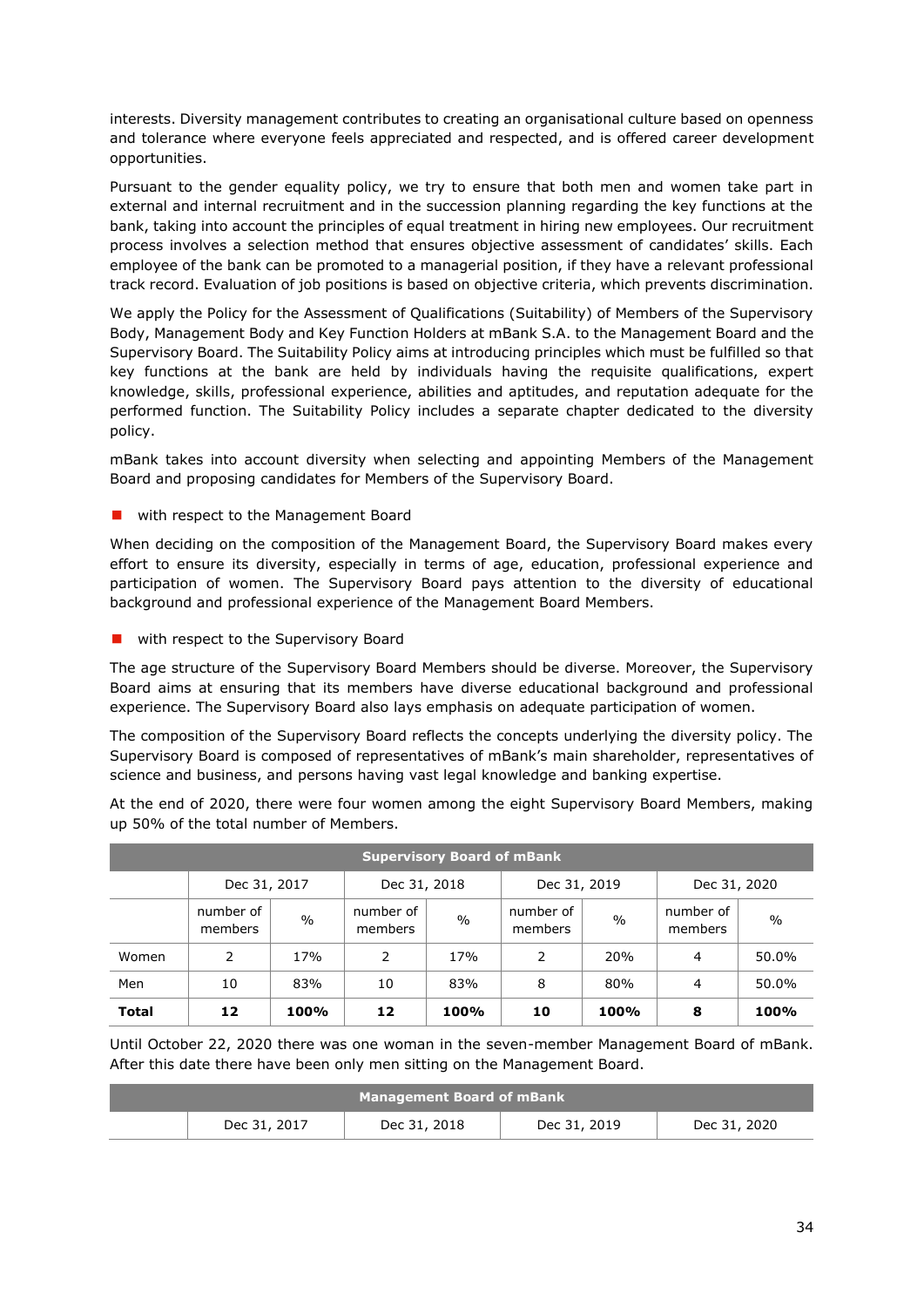interests. Diversity management contributes to creating an organisational culture based on openness and tolerance where everyone feels appreciated and respected, and is offered career development opportunities.

Pursuant to the gender equality policy, we try to ensure that both men and women take part in external and internal recruitment and in the succession planning regarding the key functions at the bank, taking into account the principles of equal treatment in hiring new employees. Our recruitment process involves a selection method that ensures objective assessment of candidates' skills. Each employee of the bank can be promoted to a managerial position, if they have a relevant professional track record. Evaluation of job positions is based on objective criteria, which prevents discrimination.

We apply the Policy for the Assessment of Qualifications (Suitability) of Members of the Supervisory Body, Management Body and Key Function Holders at mBank S.A. to the Management Board and the Supervisory Board. The Suitability Policy aims at introducing principles which must be fulfilled so that key functions at the bank are held by individuals having the requisite qualifications, expert knowledge, skills, professional experience, abilities and aptitudes, and reputation adequate for the performed function. The Suitability Policy includes a separate chapter dedicated to the diversity policy.

mBank takes into account diversity when selecting and appointing Members of the Management Board and proposing candidates for Members of the Supervisory Board.

**u** with respect to the Management Board

When deciding on the composition of the Management Board, the Supervisory Board makes every effort to ensure its diversity, especially in terms of age, education, professional experience and participation of women. The Supervisory Board pays attention to the diversity of educational background and professional experience of the Management Board Members.

**Now with respect to the Supervisory Board** 

The age structure of the Supervisory Board Members should be diverse. Moreover, the Supervisory Board aims at ensuring that its members have diverse educational background and professional experience. The Supervisory Board also lays emphasis on adequate participation of women.

The composition of the Supervisory Board reflects the concepts underlying the diversity policy. The Supervisory Board is composed of representatives of mBank's main shareholder, representatives of science and business, and persons having vast legal knowledge and banking expertise.

At the end of 2020, there were four women among the eight Supervisory Board Members, making up 50% of the total number of Members.

| <b>Supervisory Board of mBank</b> |                                                              |               |                      |                 |                      |               |                      |               |
|-----------------------------------|--------------------------------------------------------------|---------------|----------------------|-----------------|----------------------|---------------|----------------------|---------------|
|                                   | Dec 31, 2018<br>Dec 31, 2020<br>Dec 31, 2017<br>Dec 31, 2019 |               |                      |                 |                      |               |                      |               |
|                                   | number of<br>members                                         | $\frac{0}{0}$ | number of<br>members | $\frac{0}{0}$   | number of<br>members | $\frac{0}{0}$ | number of<br>members | $\frac{0}{0}$ |
| Women                             | 2                                                            | 17%           | 2                    | 17 <sub>%</sub> | 2                    | 20%           | 4                    | 50.0%         |
| Men                               | 10                                                           | 83%           | 10                   | 83%             | 8                    | 80%           | 4                    | 50.0%         |
| <b>Total</b>                      | 12                                                           | 100%          | 12                   | 100%            | 10                   | <b>100%</b>   | 8                    | 100%          |

Until October 22, 2020 there was one woman in the seven-member Management Board of mBank. After this date there have been only men sitting on the Management Board.

| Management Board of mBank |              |              |              |              |  |  |
|---------------------------|--------------|--------------|--------------|--------------|--|--|
|                           | Dec 31, 2017 | Dec 31, 2018 | Dec 31, 2019 | Dec 31, 2020 |  |  |